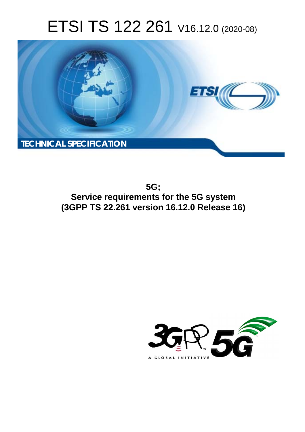# ETSI TS 122 261 V16.12.0 (2020-08)



**5G; Service requirements for the 5G system (3GPP TS 22.261 version 16.12.0 Release 16)** 

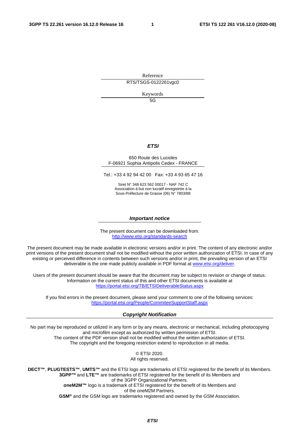Reference RTS/TSGS-0122261vgc0

Keywords

5G

#### *ETSI*

#### 650 Route des Lucioles F-06921 Sophia Antipolis Cedex - FRANCE

Tel.: +33 4 92 94 42 00 Fax: +33 4 93 65 47 16

Siret N° 348 623 562 00017 - NAF 742 C Association à but non lucratif enregistrée à la Sous-Préfecture de Grasse (06) N° 7803/88

#### *Important notice*

The present document can be downloaded from: <http://www.etsi.org/standards-search>

The present document may be made available in electronic versions and/or in print. The content of any electronic and/or print versions of the present document shall not be modified without the prior written authorization of ETSI. In case of any existing or perceived difference in contents between such versions and/or in print, the prevailing version of an ETSI deliverable is the one made publicly available in PDF format at [www.etsi.org/deliver](http://www.etsi.org/deliver).

Users of the present document should be aware that the document may be subject to revision or change of status. Information on the current status of this and other ETSI documents is available at <https://portal.etsi.org/TB/ETSIDeliverableStatus.aspx>

If you find errors in the present document, please send your comment to one of the following services: <https://portal.etsi.org/People/CommiteeSupportStaff.aspx>

#### *Copyright Notification*

No part may be reproduced or utilized in any form or by any means, electronic or mechanical, including photocopying and microfilm except as authorized by written permission of ETSI. The content of the PDF version shall not be modified without the written authorization of ETSI. The copyright and the foregoing restriction extend to reproduction in all media.

> © ETSI 2020. All rights reserved.

**DECT™**, **PLUGTESTS™**, **UMTS™** and the ETSI logo are trademarks of ETSI registered for the benefit of its Members. **3GPP™** and **LTE™** are trademarks of ETSI registered for the benefit of its Members and of the 3GPP Organizational Partners. **oneM2M™** logo is a trademark of ETSI registered for the benefit of its Members and of the oneM2M Partners. **GSM®** and the GSM logo are trademarks registered and owned by the GSM Association.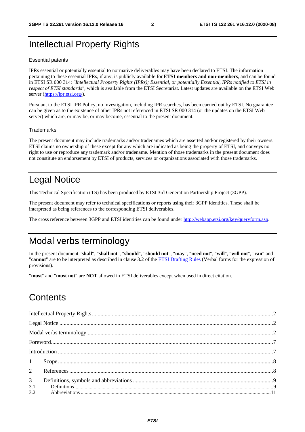# Intellectual Property Rights

#### Essential patents

IPRs essential or potentially essential to normative deliverables may have been declared to ETSI. The information pertaining to these essential IPRs, if any, is publicly available for **ETSI members and non-members**, and can be found in ETSI SR 000 314: *"Intellectual Property Rights (IPRs); Essential, or potentially Essential, IPRs notified to ETSI in respect of ETSI standards"*, which is available from the ETSI Secretariat. Latest updates are available on the ETSI Web server [\(https://ipr.etsi.org/](https://ipr.etsi.org/)).

Pursuant to the ETSI IPR Policy, no investigation, including IPR searches, has been carried out by ETSI. No guarantee can be given as to the existence of other IPRs not referenced in ETSI SR 000 314 (or the updates on the ETSI Web server) which are, or may be, or may become, essential to the present document.

#### **Trademarks**

The present document may include trademarks and/or tradenames which are asserted and/or registered by their owners. ETSI claims no ownership of these except for any which are indicated as being the property of ETSI, and conveys no right to use or reproduce any trademark and/or tradename. Mention of those trademarks in the present document does not constitute an endorsement by ETSI of products, services or organizations associated with those trademarks.

# Legal Notice

This Technical Specification (TS) has been produced by ETSI 3rd Generation Partnership Project (3GPP).

The present document may refer to technical specifications or reports using their 3GPP identities. These shall be interpreted as being references to the corresponding ETSI deliverables.

The cross reference between 3GPP and ETSI identities can be found under<http://webapp.etsi.org/key/queryform.asp>.

# Modal verbs terminology

In the present document "**shall**", "**shall not**", "**should**", "**should not**", "**may**", "**need not**", "**will**", "**will not**", "**can**" and "**cannot**" are to be interpreted as described in clause 3.2 of the [ETSI Drafting Rules](https://portal.etsi.org/Services/editHelp!/Howtostart/ETSIDraftingRules.aspx) (Verbal forms for the expression of provisions).

"**must**" and "**must not**" are **NOT** allowed in ETSI deliverables except when used in direct citation.

# **Contents**

|                | $1 \qquad \text{Scope} \qquad 3$ |  |
|----------------|----------------------------------|--|
|                |                                  |  |
| 3 <sup>7</sup> |                                  |  |
| 3.1<br>3.2     |                                  |  |
|                |                                  |  |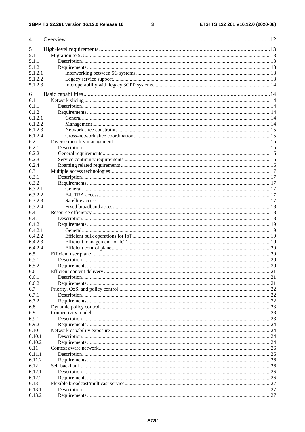#### $\mathbf{3}$

| $\overline{4}$   |      |
|------------------|------|
| 5                |      |
| 5.1              |      |
| 5.1.1            |      |
| 5.1.2            |      |
| 5.1.2.1          |      |
| 5.1.2.2          |      |
| 5.1.2.3          |      |
| 6                |      |
| 6.1              |      |
| 6.1.1            |      |
| 6.1.2            |      |
| 6.1.2.1          |      |
| 6.1.2.2          |      |
| 6.1.2.3          |      |
| 6.1.2.4          |      |
| 6.2              |      |
| 6.2.1            |      |
| 6.2.2            |      |
| 6.2.3            |      |
| 6.2.4            |      |
| 6.3              |      |
| 6.3.1            |      |
| 6.3.2            |      |
| 6.3.2.1          |      |
| 6.3.2.2          |      |
| 6.3.2.3          |      |
| 6.3.2.4          |      |
| 6.4<br>6.4.1     |      |
| 6.4.2            |      |
| 6.4.2.1          |      |
| 6.4.2.2          |      |
| 6.4.2.3          |      |
| 6.4.2.4          |      |
| 6.5              |      |
| 6.5.1            |      |
| 6.5.2            |      |
| 6.6              |      |
| 6.6.1            |      |
| 6.6.2            |      |
| 6.7              |      |
| 6.7.1            |      |
| 6.7.2            |      |
| 6.8              |      |
| 6.9              |      |
| 6.9.1            |      |
| 6.9.2            |      |
| 6.10             |      |
| 6.10.1           |      |
| 6.10.2           |      |
| 6.11             |      |
| 6.11.1<br>6.11.2 |      |
| 6.12             |      |
| 6.12.1           | .26  |
| 6.12.2           | . 26 |
| 6.13             |      |
| 6.13.1           |      |
| 6.13.2           |      |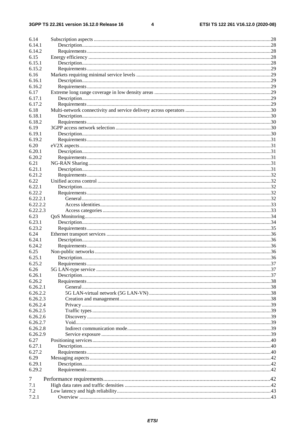$\overline{\mathbf{4}}$ 

| 6.14     |  |
|----------|--|
| 6.14.1   |  |
| 6.14.2   |  |
| 6.15     |  |
| 6.15.1   |  |
| 6.15.2   |  |
| 6.16     |  |
| 6.16.1   |  |
| 6.16.2   |  |
| 6.17     |  |
| 6.17.1   |  |
| 6.17.2   |  |
| 6.18     |  |
| 6.18.1   |  |
| 6.18.2   |  |
| 6.19     |  |
| 6.19.1   |  |
| 6.19.2   |  |
| 6.20     |  |
| 6.20.1   |  |
| 6.20.2   |  |
| 6.21     |  |
| 6.21.1   |  |
| 6.21.2   |  |
| 6.22     |  |
| 6.22.1   |  |
|          |  |
| 6.22.2   |  |
| 6.22.2.1 |  |
| 6.22.2.2 |  |
| 6.22.2.3 |  |
| 6.23     |  |
| 6.23.1   |  |
| 6.23.2   |  |
| 6.24     |  |
| 6.24.1   |  |
| 6.24.2   |  |
| 6.25     |  |
| 6.25.1   |  |
| 6.25.2   |  |
| 6.26     |  |
| 6.26.1   |  |
| 6.26.2   |  |
| 6.26.2.1 |  |
| 6.26.2.2 |  |
| 6.26.2.3 |  |
| 6.26.2.4 |  |
| 6.26.2.5 |  |
| 6.26.2.6 |  |
| 6.26.2.7 |  |
| 6.26.2.8 |  |
| 6.26.2.9 |  |
| 6.27     |  |
| 6.27.1   |  |
| 6.27.2   |  |
| 6.29     |  |
| 6.29.1   |  |
| 6.29.2   |  |
|          |  |
| 7        |  |
| 7.1      |  |
| 7.2      |  |
| 7.2.1    |  |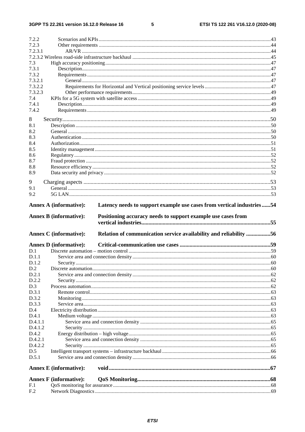$5\phantom{a}$ 

| 7.2.2                         |                                                                                                                                                                        |  |
|-------------------------------|------------------------------------------------------------------------------------------------------------------------------------------------------------------------|--|
| 7.2.3                         |                                                                                                                                                                        |  |
| 7.2.3.1                       |                                                                                                                                                                        |  |
|                               |                                                                                                                                                                        |  |
| 7.3                           |                                                                                                                                                                        |  |
| 7.3.1                         |                                                                                                                                                                        |  |
| 7.3.2                         |                                                                                                                                                                        |  |
| 7.3.2.1                       |                                                                                                                                                                        |  |
| 7.3.2.2                       |                                                                                                                                                                        |  |
| 7.3.2.3<br>7.4                |                                                                                                                                                                        |  |
| 7.4.1                         |                                                                                                                                                                        |  |
| 7.4.2                         |                                                                                                                                                                        |  |
| 8                             |                                                                                                                                                                        |  |
| 8.1                           |                                                                                                                                                                        |  |
| 8.2                           |                                                                                                                                                                        |  |
| 8.3                           |                                                                                                                                                                        |  |
| 8.4                           |                                                                                                                                                                        |  |
| 8.5                           |                                                                                                                                                                        |  |
| 8.6                           |                                                                                                                                                                        |  |
| 8.7                           |                                                                                                                                                                        |  |
| 8.8                           |                                                                                                                                                                        |  |
| 8.9                           |                                                                                                                                                                        |  |
| 9                             |                                                                                                                                                                        |  |
| 9.1                           |                                                                                                                                                                        |  |
| 9.2                           |                                                                                                                                                                        |  |
| <b>Annex A (informative):</b> | Latency needs to support example use cases from vertical industries54<br>Positioning accuracy needs to support example use cases from<br><b>Annex B</b> (informative): |  |
|                               |                                                                                                                                                                        |  |
|                               | Relation of communication service availability and reliability 56<br><b>Annex C</b> (informative):                                                                     |  |
|                               | <b>Annex D</b> (informative):                                                                                                                                          |  |
| D.1                           |                                                                                                                                                                        |  |
| D.1.1                         |                                                                                                                                                                        |  |
| D.1.2                         |                                                                                                                                                                        |  |
| D.2                           |                                                                                                                                                                        |  |
| D.2.1                         |                                                                                                                                                                        |  |
| D.2.2                         |                                                                                                                                                                        |  |
| D.3                           |                                                                                                                                                                        |  |
| D.3.1                         |                                                                                                                                                                        |  |
| D.3.2                         |                                                                                                                                                                        |  |
| D.3.3                         |                                                                                                                                                                        |  |
| D.4<br>D.4.1                  |                                                                                                                                                                        |  |
| D.4.1.1                       |                                                                                                                                                                        |  |
| D.4.1.2                       |                                                                                                                                                                        |  |
| D.4.2                         |                                                                                                                                                                        |  |
| D.4.2.1                       |                                                                                                                                                                        |  |
| D.4.2.2                       |                                                                                                                                                                        |  |
| D.5                           |                                                                                                                                                                        |  |
| D.5.1                         |                                                                                                                                                                        |  |
|                               | <b>Annex E</b> (informative):                                                                                                                                          |  |
|                               | <b>Annex F</b> (informative):                                                                                                                                          |  |
| F.1                           |                                                                                                                                                                        |  |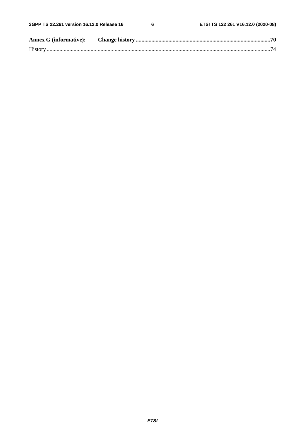$\bf 6$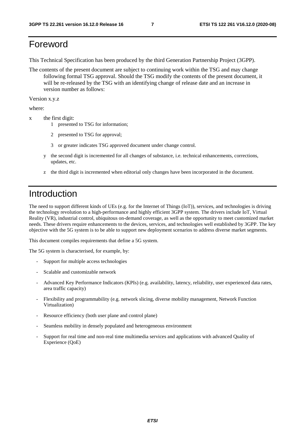# Foreword

This Technical Specification has been produced by the third Generation Partnership Project (3GPP).

The contents of the present document are subject to continuing work within the TSG and may change following formal TSG approval. Should the TSG modify the contents of the present document, it will be re-released by the TSG with an identifying change of release date and an increase in version number as follows:

Version x.y.z

where:

- x the first digit:
	- 1 presented to TSG for information;
	- 2 presented to TSG for approval;
	- 3 or greater indicates TSG approved document under change control.
	- y the second digit is incremented for all changes of substance, i.e. technical enhancements, corrections, updates, etc.
	- z the third digit is incremented when editorial only changes have been incorporated in the document.

# Introduction

The need to support different kinds of UEs (e.g. for the Internet of Things (IoT)), services, and technologies is driving the technology revolution to a high-performance and highly efficient 3GPP system. The drivers include IoT, Virtual Reality (VR), industrial control, ubiquitous on-demand coverage, as well as the opportunity to meet customized market needs. These drivers require enhancements to the devices, services, and technologies well established by 3GPP. The key objective with the 5G system is to be able to support new deployment scenarios to address diverse market segments.

This document compiles requirements that define a 5G system.

The 5G system is characterised, for example, by:

- Support for multiple access technologies
- Scalable and customizable network
- Advanced Key Performance Indicators (KPIs) (e.g. availability, latency, reliability, user experienced data rates, area traffic capacity)
- Flexibility and programmability (e.g. network slicing, diverse mobility management, Network Function Virtualization)
- Resource efficiency (both user plane and control plane)
- Seamless mobility in densely populated and heterogeneous environment
- Support for real time and non-real time multimedia services and applications with advanced Quality of Experience (QoE)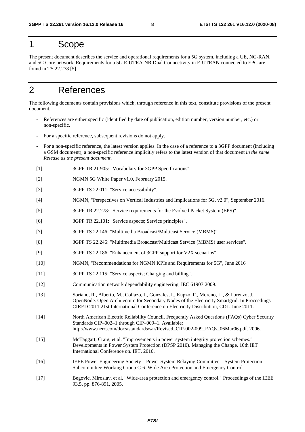# 1 Scope

The present document describes the service and operational requirements for a 5G system, including a UE, NG-RAN, and 5G Core network. Requirements for a 5G E-UTRA-NR Dual Connectivity in E-UTRAN connected to EPC are found in TS 22.278 [5].

# 2 References

The following documents contain provisions which, through reference in this text, constitute provisions of the present document.

- References are either specific (identified by date of publication, edition number, version number, etc.) or non-specific.
- For a specific reference, subsequent revisions do not apply.
- For a non-specific reference, the latest version applies. In the case of a reference to a 3GPP document (including a GSM document), a non-specific reference implicitly refers to the latest version of that document *in the same Release as the present document*.
- [1] 3GPP TR 21.905: "Vocabulary for 3GPP Specifications".
- [2] NGMN 5G White Paper v1.0, February 2015.
- [3] 3GPP TS 22.011: "Service accessibility".
- [4] NGMN, "Perspectives on Vertical Industries and Implications for 5G, v2.0", September 2016.
- [5] 3GPP TR 22.278: "Service requirements for the Evolved Packet System (EPS)".
- [6] 3GPP TR 22.101: "Service aspects; Service principles".
- [7] 3GPP TS 22.146: "Multimedia Broadcast/Multicast Service (MBMS)".
- [8] 3GPP TS 22.246: "Multimedia Broadcast/Multicast Service (MBMS) user services".
- [9] 3GPP TS 22.186: "Enhancement of 3GPP support for V2X scenarios".
- [10] NGMN, "Recommendations for NGMN KPIs and Requirements for 5G", June 2016
- [11] 3GPP TS 22.115: "Service aspects; Charging and billing".
- [12] Communication network dependability engineering. IEC 61907:2009.
- [13] Soriano, R., Alberto, M., Collazo, J., Gonzales, I., Kupzo, F., Moreno, L., & Lorenzo, J. OpenNode. Open Architecture for Secondary Nodes of the Electricity Smartgrid. In Proceedings CIRED 2011 21st International Conference on Electricity Distribution, CD1. June 2011.
- [14] North American Electric Reliability Council. Frequently Asked Questions (FAQs) Cyber Security Standards CIP–002–1 through CIP–009–1. Available: http://www.nerc.com/docs/standards/sar/Revised\_CIP-002-009\_FAQs\_06Mar06.pdf. 2006.
- [15] McTaggart, Craig, et al. "Improvements in power system integrity protection schemes." Developments in Power System Protection (DPSP 2010). Managing the Change, 10th IET International Conference on. IET, 2010.
- [16] IEEE Power Engineering Society Power System Relaying Committee System Protection Subcommittee Working Group C-6. Wide Area Protection and Emergency Control.
- [17] Begovic, Miroslav, et al. "Wide-area protection and emergency control." Proceedings of the IEEE 93.5, pp. 876-891, 2005.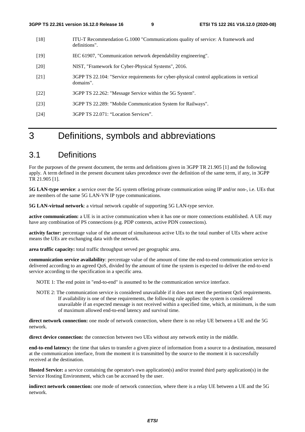- [18] ITU-T Recommendation G.1000 "Communications quality of service: A framework and definitions".
- [19] IEC 61907, "Communication network dependability engineering".
- [20] NIST, "Framework for Cyber-Physical Systems", 2016.
- [21] 3GPP TS 22.104: "Service requirements for cyber-physical control applications in vertical domains".
- [22] 3GPP TS 22.262: "Message Service within the 5G System".
- [23] 3GPP TS 22.289: "Mobile Communication System for Railways".
- [24] 3GPP TS 22.071: "Location Services".

# 3 Definitions, symbols and abbreviations

# 3.1 Definitions

For the purposes of the present document, the terms and definitions given in 3GPP TR 21.905 [1] and the following apply. A term defined in the present document takes precedence over the definition of the same term, if any, in 3GPP TR 21.905 [1].

**5G LAN-type service**: a service over the 5G system offering private communication using IP and/or non-, i.e. UEs that are members of the same 5G LAN-VN IP type communications.

**5G LAN-virtual network**: a virtual network capable of supporting 5G LAN-type service.

**active communication:** a UE is in active communication when it has one or more connections established. A UE may have any combination of PS connections (e.g. PDP contexts, active PDN connections).

**activity factor:** percentage value of the amount of simultaneous active UEs to the total number of UEs where active means the UEs are exchanging data with the network.

**area traffic capacity:** total traffic throughput served per geographic area.

**communication service availability**: percentage value of the amount of time the end-to-end communication service is delivered according to an agreed QoS, divided by the amount of time the system is expected to deliver the end-to-end service according to the specification in a specific area.

NOTE 1: The end point in "end-to-end" is assumed to be the communication service interface.

NOTE 2: The communication service is considered unavailable if it does not meet the pertinent QoS requirements. If availability is one of these requirements, the following rule applies: the system is considered unavailable if an expected message is not received within a specified time, which, at minimum, is the sum of maximum allowed end-to-end latency and survival time.

**direct network connection:** one mode of network connection, where there is no relay UE between a UE and the 5G network.

**direct device connection:** the connection between two UEs without any network entity in the middle.

**end-to-end latency:** the time that takes to transfer a given piece of information from a source to a destination, measured at the communication interface, from the moment it is transmitted by the source to the moment it is successfully received at the destination.

**Hosted Service:** a service containing the operator's own application(s) and/or trusted third party application(s) in the Service Hosting Environment, which can be accessed by the user.

**indirect network connection:** one mode of network connection, where there is a relay UE between a UE and the 5G network.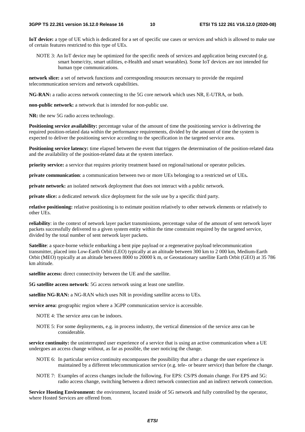**IoT device:** a type of UE which is dedicated for a set of specific use cases or services and which is allowed to make use of certain features restricted to this type of UEs.

NOTE 3: An IoT device may be optimized for the specific needs of services and application being executed (e.g. smart home/city, smart utilities, e-Health and smart wearables). Some IoT devices are not intended for human type communications.

**network slice:** a set of network functions and corresponding resources necessary to provide the required telecommunication services and network capabilities.

**NG-RAN:** a radio access network connecting to the 5G core network which uses NR, E-UTRA, or both.

**non-public network:** a network that is intended for non-public use.

**NR:** the new 5G radio access technology.

**Positioning service availability:** percentage value of the amount of time the positioning service is delivering the required position-related data within the performance requirements, divided by the amount of time the system is expected to deliver the positioning service according to the specification in the targeted service area.

**Positioning service latency:** time elapsed between the event that triggers the determination of the position-related data and the availability of the position-related data at the system interface.

**priority service:** a service that requires priority treatment based on regional/national or operator policies.

**private communication**: a communication between two or more UEs belonging to a restricted set of UEs**.** 

**private network:** an isolated network deployment that does not interact with a public network.

**private slice:** a dedicated network slice deployment for the sole use by a specific third party.

**relative positioning:** relative positioning is to estimate position relatively to other network elements or relatively to other UEs.

**reliability**: in the context of network layer packet transmissions, percentage value of the amount of sent network layer packets successfully delivered to a given system entity within the time constraint required by the targeted service, divided by the total number of sent network layer packets.

**Satellite**: a space-borne vehicle embarking a bent pipe payload or a regenerative payload telecommunication transmitter, placed into Low-Earth Orbit (LEO) typically at an altitude between 300 km to 2 000 km, Medium-Earth Orbit (MEO) typically at an altitude between 8000 to 20000 k m, or Geostationary satellite Earth Orbit (GEO) at 35 786 km altitude.

**satellite access:** direct connectivity between the UE and the satellite.

**5G satellite access network**: 5G access network using at least one satellite.

**satellite NG-RAN:** a NG-RAN which uses NR in providing satellite access to UEs.

**service area:** geographic region where a 3GPP communication service is accessible.

- NOTE 4: The service area can be indoors.
- NOTE 5: For some deployments, e.g. in process industry, the vertical dimension of the service area can be considerable.

**service continuity:** the uninterrupted user experience of a service that is using an active communication when a UE undergoes an access change without, as far as possible, the user noticing the change.

- NOTE 6: In particular service continuity encompasses the possibility that after a change the user experience is maintained by a different telecommunication service (e.g. tele- or bearer service) than before the change.
- NOTE 7: Examples of access changes include the following. For EPS: CS/PS domain change. For EPS and 5G: radio access change, switching between a direct network connection and an indirect network connection.

**Service Hosting Environment:** the environment, located inside of 5G network and fully controlled by the operator, where Hosted Services are offered from.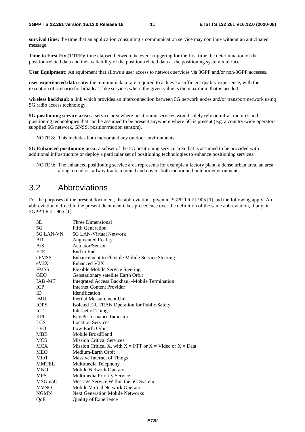**survival time:** the time that an application consuming a communication service may continue without an anticipated message.

**Time to First Fix (TTFF):** time elapsed between the event triggering for the first time the determination of the position-related data and the availability of the position-related data at the positioning system interface.

**User Equipment:** An equipment that allows a user access to network services via 3GPP and/or non-3GPP accesses.

**user experienced data rate:** the minimum data rate required to achieve a sufficient quality experience, with the exception of scenario for broadcast like services where the given value is the maximum that is needed.

**wireless backhaul:** a link which provides an interconnection between 5G network nodes and/or transport network using 5G radio access technology**.** 

**5G positioning service area:** a service area where positioning services would solely rely on infrastructures and positioning technologies that can be assumed to be present anywhere where 5G is present (e.g. a country-wide operatorsupplied 5G network, GNSS, position/motion sensors).

NOTE 8: This includes both indoor and any outdoor environments.

**5G Enhanced positioning area:** a subset of the 5G positioning service area that is assumed to be provided with additional infrastructure or deploy a particular set of positioning technologies to enhance positioning services.

NOTE 9: The enhanced positioning service area represents for example a factory plant, a dense urban area, an area along a road or railway track, a tunnel and covers both indoor and outdoor environments.

### 3.2 Abbreviations

For the purposes of the present document, the abbreviations given in 3GPP TR 21.905 [1] and the following apply. An abbreviation defined in the present document takes precedence over the definition of the same abbreviation, if any, in 3GPP TR 21.905 [1].

| 3D               | Three Dimensional                                               |
|------------------|-----------------------------------------------------------------|
| 5G               | <b>Fifth Generation</b>                                         |
| 5G LAN-VN        | 5G LAN-Virtual Network                                          |
| AR               | <b>Augmented Reality</b>                                        |
| A/S              | Actuator/Sensor                                                 |
| E <sub>2</sub> E | End to End                                                      |
| eFMSS            | Enhancement to Flexible Mobile Service Steering                 |
| eV2X             | Enhanced V2X                                                    |
| <b>FMSS</b>      | Flexible Mobile Service Steering                                |
| <b>GEO</b>       | Geostationary satellite Earth Orbit                             |
| IAB -MT          | Integrated Access Backhaul -Mobile Termination                  |
| <b>ICP</b>       | <b>Internet Content Provider</b>                                |
| ID               | Identification                                                  |
| <b>IMU</b>       | <b>Inertial Measurement Unit</b>                                |
| <b>IOPS</b>      | Isolated E-UTRAN Operation for Public Safety                    |
| IoT              | Internet of Things                                              |
| KPI              | Key Performance Indicator                                       |
| <b>LCS</b>       | <b>Location Services</b>                                        |
| <b>LEO</b>       | Low-Earth Orbit                                                 |
| <b>MBB</b>       | Mobile BroadBand                                                |
| <b>MCS</b>       | <b>Mission Critical Services</b>                                |
| <b>MCX</b>       | Mission Critical X, with $X = PTT$ or $X = Video$ or $X = Data$ |
| <b>MEO</b>       | Medium-Earth Orbit                                              |
| MIoT             | Massive Internet of Things                                      |
| <b>MMTEL</b>     | Multimedia Telephony                                            |
| <b>MNO</b>       | Mobile Network Operator                                         |
| <b>MPS</b>       | Multimedia Priority Service                                     |
| MSGin5G          | Message Service Within the 5G System                            |
| <b>MVNO</b>      | Mobile Virtual Network Operator                                 |
| <b>NGMN</b>      | <b>Next Generation Mobile Networks</b>                          |
| QoE              | <b>Quality of Experience</b>                                    |
|                  |                                                                 |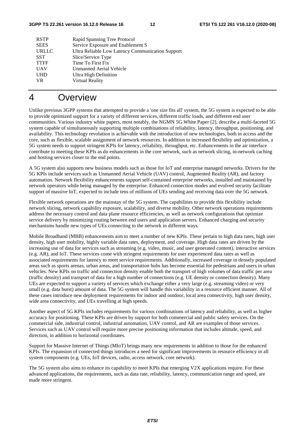| <b>RSTP</b>  | Rapid Spanning Tree Protocol                     |
|--------------|--------------------------------------------------|
| <b>SEES</b>  | Service Exposure and Enablement S                |
| <b>URLLC</b> | Ultra Reliable Low Latency Communication Support |
| <b>SST</b>   | Slice/Service Type                               |
| <b>TTFF</b>  | Time To First Fix                                |
| <b>UAV</b>   | Unmanned Aerial Vehicle                          |
| <b>UHD</b>   | <b>Ultra High Definition</b>                     |
| VR.          | Virtual Reality                                  |
|              |                                                  |

# 4 Overview

Unlike previous 3GPP systems that attempted to provide a 'one size fits all' system, the 5G system is expected to be able to provide optimized support for a variety of different services, different traffic loads, and different end user communities. Various industry white papers, most notably, the NGMN 5G White Paper [2], describe a multi-faceted 5G system capable of simultaneously supporting multiple combinations of reliability, latency, throughput, positioning, and availability. This technology revolution is achievable with the introduction of new technologies, both in access and the core, such as flexible, scalable assignment of network resources. In addition to increased flexibility and optimization, a 5G system needs to support stringent KPIs for latency, reliability, throughput, etc. Enhancements in the air interface contribute to meeting these KPIs as do enhancements in the core network, such as network slicing, in-network caching and hosting services closer to the end points.

A 5G system also supports new business models such as those for IoT and enterprise managed networks. Drivers for the 5G KPIs include services such as Unmanned Aerial Vehicle (UAV) control, Augmented Reality (AR), and factory automation. Network flexibility enhancements support self-contained enterprise networks, installed and maintained by network operators while being managed by the enterprise. Enhanced connection modes and evolved security facilitate support of massive IoT, expected to include tens of millions of UEs sending and receiving data over the 5G network.

Flexible network operations are the mainstay of the 5G system. The capabilities to provide this flexibility include network slicing, network capability exposure, scalability, and diverse mobility. Other network operations requirements address the necessary control and data plane resource efficiencies, as well as network configurations that optimize service delivery by minimizing routing between end users and application servers. Enhanced charging and security mechanisms handle new types of UEs connecting to the network in different ways.

Mobile Broadband (MBB) enhancements aim to meet a number of new KPIs. These pertain to high data rates, high user density, high user mobility, highly variable data rates, deployment, and coverage. High data rates are driven by the increasing use of data for services such as streaming (e.g. video, music, and user generated content), interactive services (e.g. AR), and IoT. These services come with stringent requirements for user experienced data rates as well as associated requirements for latency to meet service requirements. Additionally, increased coverage in densely populated areas such as sports arenas, urban areas, and transportation hubs has become essential for pedestrians and users in urban vehicles. New KPIs on traffic and connection density enable both the transport of high volumes of data traffic per area (traffic density) and transport of data for a high number of connections (e.g. UE density or connection density). Many UEs are expected to support a variety of services which exchange either a very large (e.g. streaming video) or very small (e.g. data burst) amount of data. The 5G system will handle this variability in a resource efficient manner. All of these cases introduce new deployment requirements for indoor and outdoor, local area connectivity, high user density, wide area connectivity, and UEs travelling at high speeds.

Another aspect of 5G KPIs includes requirements for various combinations of latency and reliability, as well as higher accuracy for positioning. These KPIs are driven by support for both commercial and public safety services. On the commercial side, industrial control, industrial automation, UAV control, and AR are examples of those services. Services such as UAV control will require more precise positioning information that includes altitude, speed, and direction, in addition to horizontal coordinates.

Support for Massive Internet of Things (MIoT) brings many new requirements in addition to those for the enhanced KPIs. The expansion of connected things introduces a need for significant improvements in resource efficiency in all system components (e.g. UEs, IoT devices, radio, access network, core network).

The 5G system also aims to enhance its capability to meet KPIs that emerging V2X applications require. For these advanced applications, the requirements, such as data rate, reliability, latency, communication range and speed, are made more stringent.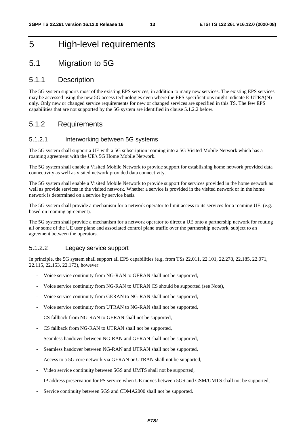# 5 High-level requirements

# 5.1 Migration to 5G

#### 5.1.1 Description

The 5G system supports most of the existing EPS services, in addition to many new services. The existing EPS services may be accessed using the new 5G access technologies even where the EPS specifications might indicate E-UTRA(N) only. Only new or changed service requirements for new or changed services are specified in this TS. The few EPS capabilities that are not supported by the 5G system are identified in clause 5.1.2.2 below.

#### 5.1.2 Requirements

#### 5.1.2.1 Interworking between 5G systems

The 5G system shall support a UE with a 5G subscription roaming into a 5G Visited Mobile Network which has a roaming agreement with the UE's 5G Home Mobile Network.

The 5G system shall enable a Visited Mobile Network to provide support for establishing home network provided data connectivity as well as visited network provided data connectivity.

The 5G system shall enable a Visited Mobile Network to provide support for services provided in the home network as well as provide services in the visited network. Whether a service is provided in the visited network or in the home network is determined on a service by service basis.

The 5G system shall provide a mechanism for a network operator to limit access to its services for a roaming UE, (e.g. based on roaming agreement).

The 5G system shall provide a mechanism for a network operator to direct a UE onto a partnership network for routing all or some of the UE user plane and associated control plane traffic over the partnership network, subject to an agreement between the operators.

#### 5.1.2.2 Legacy service support

In principle, the 5G system shall support all EPS capabilities (e.g. from TSs 22.011, 22.101, 22.278, 22.185, 22.071, 22.115, 22.153, 22.173), however:

- Voice service continuity from NG-RAN to GERAN shall not be supported,
- Voice service continuity from NG-RAN to UTRAN CS should be supported (see Note),
- Voice service continuity from GERAN to NG-RAN shall not be supported,
- Voice service continuity from UTRAN to NG-RAN shall not be supported,
- CS fallback from NG-RAN to GERAN shall not be supported,
- CS fallback from NG-RAN to UTRAN shall not be supported,
- Seamless handover between NG-RAN and GERAN shall not be supported,
- Seamless handover between NG-RAN and UTRAN shall not be supported,
- Access to a 5G core network via GERAN or UTRAN shall not be supported,
- Video service continuity between 5GS and UMTS shall not be supported,
- IP address preservation for PS service when UE moves between 5GS and GSM/UMTS shall not be supported,
- Service continuity between 5GS and CDMA2000 shall not be supported.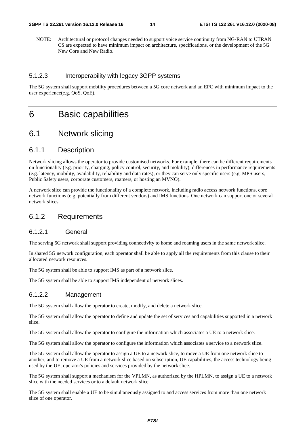NOTE: Architectural or protocol changes needed to support voice service continuity from NG-RAN to UTRAN CS are expected to have minimum impact on architecture, specifications, or the development of the 5G New Core and New Radio.

#### 5.1.2.3 Interoperability with legacy 3GPP systems

The 5G system shall support mobility procedures between a 5G core network and an EPC with minimum impact to the user experience(e.g. QoS, QoE).

# 6 Basic capabilities

### 6.1 Network slicing

#### 6.1.1 Description

Network slicing allows the operator to provide customised networks. For example, there can be different requirements on functionality (e.g. priority, charging, policy control, security, and mobility), differences in performance requirements (e.g. latency, mobility, availability, reliability and data rates), or they can serve only specific users (e.g. MPS users, Public Safety users, corporate customers, roamers, or hosting an MVNO).

A network slice can provide the functionality of a complete network, including radio access network functions, core network functions (e.g. potentially from different vendors) and IMS functions. One network can support one or several network slices.

#### 6.1.2 Requirements

#### 6.1.2.1 General

The serving 5G network shall support providing connectivity to home and roaming users in the same network slice.

In shared 5G network configuration, each operator shall be able to apply all the requirements from this clause to their allocated network resources.

The 5G system shall be able to support IMS as part of a network slice.

The 5G system shall be able to support IMS independent of network slices.

#### 6.1.2.2 Management

The 5G system shall allow the operator to create, modify, and delete a network slice.

The 5G system shall allow the operator to define and update the set of services and capabilities supported in a network slice.

The 5G system shall allow the operator to configure the information which associates a UE to a network slice.

The 5G system shall allow the operator to configure the information which associates a service to a network slice.

The 5G system shall allow the operator to assign a UE to a network slice, to move a UE from one network slice to another, and to remove a UE from a network slice based on subscription, UE capabilities, the access technology being used by the UE, operator's policies and services provided by the network slice.

The 5G system shall support a mechanism for the VPLMN, as authorized by the HPLMN, to assign a UE to a network slice with the needed services or to a default network slice.

The 5G system shall enable a UE to be simultaneously assigned to and access services from more than one network slice of one operator.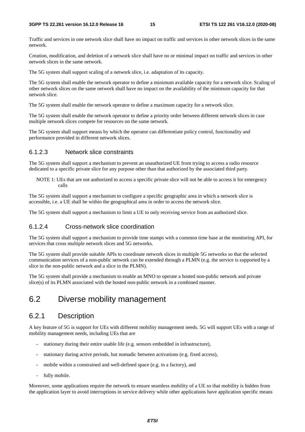Traffic and services in one network slice shall have no impact on traffic and services in other network slices in the same network.

Creation, modification, and deletion of a network slice shall have no or minimal impact on traffic and services in other network slices in the same network.

The 5G system shall support scaling of a network slice, i.e. adaptation of its capacity.

The 5G system shall enable the network operator to define a minimum available capacity for a network slice. Scaling of other network slices on the same network shall have no impact on the availability of the minimum capacity for that network slice.

The 5G system shall enable the network operator to define a maximum capacity for a network slice.

The 5G system shall enable the network operator to define a priority order between different network slices in case multiple network slices compete for resources on the same network.

The 5G system shall support means by which the operator can differentiate policy control, functionality and performance provided in different network slices.

#### 6.1.2.3 Network slice constraints

The 5G system shall support a mechanism to prevent an unauthorized UE from trying to access a radio resource dedicated to a specific private slice for any purpose other than that authorized by the associated third party.

NOTE 1: UEs that are not authorized to access a specific private slice will not be able to access it for emergency calls

The 5G system shall support a mechanism to configure a specific geographic area in which a network slice is accessible, i.e. a UE shall be within the geographical area in order to access the network slice.

The 5G system shall support a mechanism to limit a UE to only receiving service from an authorized slice.

#### 6.1.2.4 Cross-network slice coordination

The 5G system shall support a mechanism to provide time stamps with a common time base at the monitoring API, for services that cross multiple network slices and 5G networks.

The 5G system shall provide suitable APIs to coordinate network slices in multiple 5G networks so that the selected communication services of a non-public network can be extended through a PLMN (e.g. the service is supported by a slice in the non-public network and a slice in the PLMN).

The 5G system shall provide a mechanism to enable an MNO to operate a hosted non-public network and private slice(s) of its PLMN associated with the hosted non-public network in a combined manner.

### 6.2 Diverse mobility management

#### 6.2.1 Description

A key feature of 5G is support for UEs with different mobility management needs. 5G will support UEs with a range of mobility management needs, including UEs that are

- stationary during their entire usable life (e.g. sensors embedded in infrastructure),
- stationary during active periods, but nomadic between activations (e.g. fixed access),
- mobile within a constrained and well-defined space (e.g. in a factory), and
- fully mobile.

Moreover, some applications require the network to ensure seamless mobility of a UE so that mobility is hidden from the application layer to avoid interruptions in service delivery while other applications have application specific means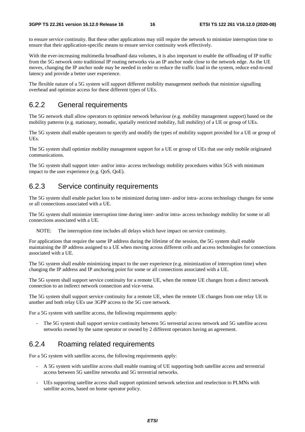to ensure service continuity. But these other applications may still require the network to minimize interruption time to ensure that their application-specific means to ensure service continuity work effectively.

With the ever-increasing multimedia broadband data volumes, it is also important to enable the offloading of IP traffic from the 5G network onto traditional IP routing networks via an IP anchor node close to the network edge. As the UE moves, changing the IP anchor node may be needed in order to reduce the traffic load in the system, reduce end-to-end latency and provide a better user experience.

The flexible nature of a 5G system will support different mobility management methods that minimize signalling overhead and optimize access for these different types of UEs.

### 6.2.2 General requirements

The 5G network shall allow operators to optimize network behaviour (e.g. mobility management support) based on the mobility patterns (e.g. stationary, nomadic, spatially restricted mobility, full mobility) of a UE or group of UEs.

The 5G system shall enable operators to specify and modify the types of mobility support provided for a UE or group of UEs.

The 5G system shall optimize mobility management support for a UE or group of UEs that use only mobile originated communications.

The 5G system shall support inter- and/or intra- access technology mobility procedures within 5GS with minimum impact to the user experience (e.g. QoS, QoE).

#### 6.2.3 Service continuity requirements

The 5G system shall enable packet loss to be minimized during inter- and/or intra- access technology changes for some or all connections associated with a UE.

The 5G system shall minimize interruption time during inter- and/or intra- access technology mobility for some or all connections associated with a UE.

NOTE: The interruption time includes all delays which have impact on service continuity.

For applications that require the same IP address during the lifetime of the session, the 5G system shall enable maintaining the IP address assigned to a UE when moving across different cells and access technologies for connections associated with a UE.

The 5G system shall enable minimizing impact to the user experience (e.g. minimization of interruption time) when changing the IP address and IP anchoring point for some or all connections associated with a UE.

The 5G system shall support service continuity for a remote UE, when the remote UE changes from a direct network connection to an indirect network connection and vice-versa.

The 5G system shall support service continuity for a remote UE, when the remote UE changes from one relay UE to another and both relay UEs use 3GPP access to the 5G core network.

For a 5G system with satellite access, the following requirements apply:

The 5G system shall support service continuity between 5G terrestrial access network and 5G satellite access networks owned by the same operator or owned by 2 different operators having an agreement.

### 6.2.4 Roaming related requirements

For a 5G system with satellite access, the following requirements apply:

- A 5G system with satellite access shall enable roaming of UE supporting both satellite access and terrestrial access between 5G satellite networks and 5G terrestrial networks.
- UEs supporting satellite access shall support optimized network selection and reselection to PLMNs with satellite access, based on home operator policy.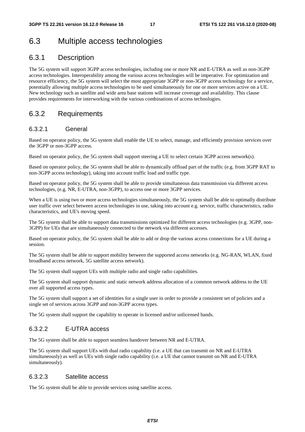# 6.3 Multiple access technologies

# 6.3.1 Description

The 5G system will support 3GPP access technologies, including one or more NR and E-UTRA as well as non-3GPP access technologies. Interoperability among the various access technologies will be imperative. For optimization and resource efficiency, the 5G system will select the most appropriate 3GPP or non-3GPP access technology for a service, potentially allowing multiple access technologies to be used simultaneously for one or more services active on a UE. New technology such as satellite and wide area base stations will increase coverage and availability. This clause provides requirements for interworking with the various combinations of access technologies.

### 6.3.2 Requirements

#### 6.3.2.1 General

Based on operator policy, the 5G system shall enable the UE to select, manage, and efficiently provision services over the 3GPP or non-3GPP access.

Based on operator policy, the 5G system shall support steering a UE to select certain 3GPP access network(s).

Based on operator policy, the 5G system shall be able to dynamically offload part of the traffic (e.g. from 3GPP RAT to non-3GPP access technology), taking into account traffic load and traffic type.

Based on operator policy, the 5G system shall be able to provide simultaneous data transmission via different access technologies, (e.g. NR, E-UTRA, non-3GPP), to access one or more 3GPP services.

When a UE is using two or more access technologies simultaneously, the 5G system shall be able to optimally distribute user traffic over select between access technologies in use, taking into account e.g. service, traffic characteristics, radio characteristics, and UE's moving speed.

The 5G system shall be able to support data transmissions optimized for different access technologies (e.g. 3GPP, non-3GPP) for UEs that are simultaneously connected to the network via different accesses.

Based on operator policy, the 5G system shall be able to add or drop the various access connections for a UE during a session.

The 5G system shall be able to support mobility between the supported access networks (e.g. NG-RAN, WLAN, fixed broadband access network, 5G satellite access network).

The 5G system shall support UEs with multiple radio and single radio capabilities.

The 5G system shall support dynamic and static network address allocation of a common network address to the UE over all supported access types.

The 5G system shall support a set of identities for a single user in order to provide a consistent set of policies and a single set of services across 3GPP and non-3GPP access types.

The 5G system shall support the capability to operate in licensed and/or unlicensed bands.

#### 6.3.2.2 E-UTRA access

The 5G system shall be able to support seamless handover between NR and E-UTRA.

The 5G system shall support UEs with dual radio capability (i.e. a UE that can transmit on NR and E-UTRA simultaneously) as well as UEs with single radio capability (i.e. a UE that cannot transmit on NR and E-UTRA simultaneously).

#### 6.3.2.3 Satellite access

The 5G system shall be able to provide services using satellite access.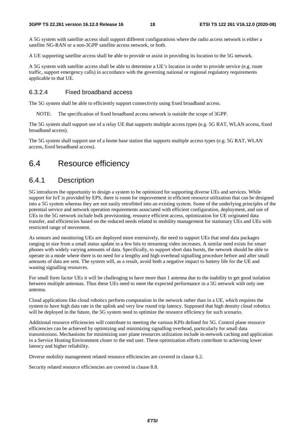A 5G system with satellite access shall support different configurations where the radio access network is either a satellite NG-RAN or a non-3GPP satellite access network, or both.

A UE supporting satellite access shall be able to provide or assist in providing its location to the 5G network.

A 5G system with satellite access shall be able to determine a UE's location in order to provide service (e.g. route traffic, support emergency calls) in accordance with the governing national or regional regulatory requirements applicable to that UE.

#### 6.3.2.4 Fixed broadband access

The 5G system shall be able to efficiently support connectivity using fixed broadband access.

NOTE: The specification of fixed broadband access network is outside the scope of 3GPP.

The 5G system shall support use of a relay UE that supports multiple access types (e.g. 5G RAT, WLAN access, fixed broadband access).

The 5G system shall support use of a home base station that supports multiple access types (e.g. 5G RAT, WLAN access, fixed broadband access).

### 6.4 Resource efficiency

### 6.4.1 Description

5G introduces the opportunity to design a system to be optimized for supporting diverse UEs and services. While support for IoT is provided by EPS, there is room for improvement in efficient resource utilization that can be designed into a 5G system whereas they are not easily retrofitted into an existing system. Some of the underlying principles of the potential service and network operation requirements associated with efficient configuration, deployment, and use of UEs in the 5G network include bulk provisioning, resource efficient access, optimization for UE originated data transfer, and efficiencies based on the reduced needs related to mobility management for stationary UEs and UEs with restricted range of movement.

As sensors and monitoring UEs are deployed more extensively, the need to support UEs that send data packages ranging in size from a small status update in a few bits to streaming video increases. A similar need exists for smart phones with widely varying amounts of data. Specifically, to support short data bursts, the network should be able to operate in a mode where there is no need for a lengthy and high overhead signalling procedure before and after small amounts of data are sent. The system will, as a result, avoid both a negative impact to battery life for the UE and wasting signalling resources.

For small form factor UEs it will be challenging to have more than 1 antenna due to the inability to get good isolation between multiple antennas. Thus these UEs need to meet the expected performance in a 5G network with only one antenna.

Cloud applications like cloud robotics perform computation in the network rather than in a UE, which requires the system to have high data rate in the uplink and very low round trip latency. Supposed that high density cloud robotics will be deployed in the future, the 5G system need to optimize the resource efficiency for such scenario.

Additional resource efficiencies will contribute to meeting the various KPIs defined for 5G. Control plane resource efficiencies can be achieved by optimizing and minimizing signalling overhead, particularly for small data transmissions. Mechanisms for minimizing user plane resources utilization include in-network caching and application in a Service Hosting Environment closer to the end user. These optimization efforts contribute to achieving lower latency and higher reliability.

Diverse mobility management related resource efficiencies are covered in clause 6.2.

Security related resource efficiencies are covered in clause 8.8.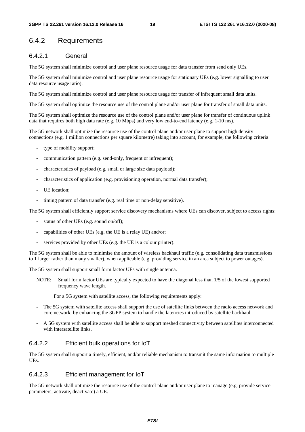### 6.4.2 Requirements

#### 6.4.2.1 General

The 5G system shall minimize control and user plane resource usage for data transfer from send only UEs.

The 5G system shall minimize control and user plane resource usage for stationary UEs (e.g. lower signalling to user data resource usage ratio).

The 5G system shall minimize control and user plane resource usage for transfer of infrequent small data units.

The 5G system shall optimize the resource use of the control plane and/or user plane for transfer of small data units.

The 5G system shall optimize the resource use of the control plane and/or user plane for transfer of continuous uplink data that requires both high data rate (e.g. 10 Mbps) and very low end-to-end latency (e.g. 1-10 ms).

The 5G network shall optimize the resource use of the control plane and/or user plane to support high density connections (e.g. 1 million connections per square kilometre) taking into account, for example, the following criteria:

- type of mobility support;
- communication pattern (e.g. send-only, frequent or infrequent);
- characteristics of payload (e.g. small or large size data payload);
- characteristics of application (e.g. provisioning operation, normal data transfer);
- UE location;
- timing pattern of data transfer (e.g. real time or non-delay sensitive).

The 5G system shall efficiently support service discovery mechanisms where UEs can discover, subject to access rights:

- status of other UEs (e.g. sound on/off);
- capabilities of other UEs (e.g. the UE is a relay UE) and/or;
- services provided by other UEs (e.g. the UE is a colour printer).

The 5G system shall be able to minimise the amount of wireless backhaul traffic (e.g. consolidating data transmissions to 1 larger rather than many smaller), when applicable (e.g. providing service in an area subject to power outages).

The 5G system shall support small form factor UEs with single antenna.

NOTE: Small form factor UEs are typically expected to have the diagonal less than 1/5 of the lowest supported frequency wave length.

For a 5G system with satellite access, the following requirements apply:

- The 5G system with satellite access shall support the use of satellite links between the radio access network and core network, by enhancing the 3GPP system to handle the latencies introduced by satellite backhaul.
- A 5G system with satellite access shall be able to support meshed connectivity between satellites interconnected with intersatellite links.

#### 6.4.2.2 Efficient bulk operations for IoT

The 5G system shall support a timely, efficient, and/or reliable mechanism to transmit the same information to multiple UEs.

#### 6.4.2.3 Efficient management for IoT

The 5G network shall optimize the resource use of the control plane and/or user plane to manage (e.g. provide service parameters, activate, deactivate) a UE.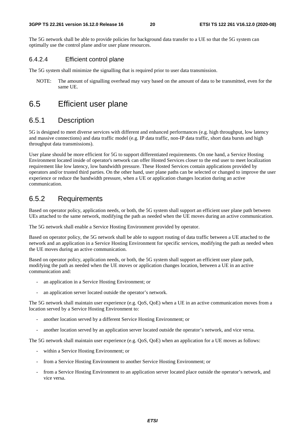The 5G network shall be able to provide policies for background data transfer to a UE so that the 5G system can optimally use the control plane and/or user plane resources.

#### 6.4.2.4 Efficient control plane

The 5G system shall minimize the signalling that is required prior to user data transmission.

NOTE: The amount of signalling overhead may vary based on the amount of data to be transmitted, even for the same UE.

# 6.5 Efficient user plane

#### 6.5.1 Description

5G is designed to meet diverse services with different and enhanced performances (e.g. high throughput, low latency and massive connections) and data traffic model (e.g. IP data traffic, non-IP data traffic, short data bursts and high throughput data transmissions).

User plane should be more efficient for 5G to support differentiated requirements. On one hand, a Service Hosting Environment located inside of operator's network can offer Hosted Services closer to the end user to meet localization requirement like low latency, low bandwidth pressure. These Hosted Services contain applications provided by operators and/or trusted third parties. On the other hand, user plane paths can be selected or changed to improve the user experience or reduce the bandwidth pressure, when a UE or application changes location during an active communication.

#### 6.5.2 Requirements

Based on operator policy, application needs, or both, the 5G system shall support an efficient user plane path between UEs attached to the same network, modifying the path as needed when the UE moves during an active communication.

The 5G network shall enable a Service Hosting Environment provided by operator.

Based on operator policy, the 5G network shall be able to support routing of data traffic between a UE attached to the network and an application in a Service Hosting Environment for specific services, modifying the path as needed when the UE moves during an active communication.

Based on operator policy, application needs, or both, the 5G system shall support an efficient user plane path, modifying the path as needed when the UE moves or application changes location, between a UE in an active communication and:

- an application in a Service Hosting Environment; or
- an application server located outside the operator's network.

The 5G network shall maintain user experience (e.g. QoS, QoE) when a UE in an active communication moves from a location served by a Service Hosting Environment to:

- another location served by a different Service Hosting Environment; or
- another location served by an application server located outside the operator's network, and vice versa.

The 5G network shall maintain user experience (e.g. QoS, QoE) when an application for a UE moves as follows:

- within a Service Hosting Environment; or
- from a Service Hosting Environment to another Service Hosting Environment; or
- from a Service Hosting Environment to an application server located place outside the operator's network, and vice versa.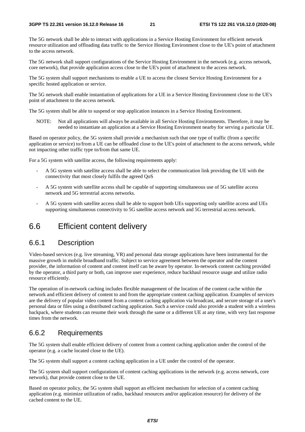The 5G network shall be able to interact with applications in a Service Hosting Environment for efficient network resource utilization and offloading data traffic to the Service Hosting Environment close to the UE's point of attachment to the access network.

The 5G network shall support configurations of the Service Hosting Environment in the network (e.g. access network, core network), that provide application access close to the UE's point of attachment to the access network.

The 5G system shall support mechanisms to enable a UE to access the closest Service Hosting Environment for a specific hosted application or service.

The 5G network shall enable instantiation of applications for a UE in a Service Hosting Environment close to the UE's point of attachment to the access network.

The 5G system shall be able to suspend or stop application instances in a Service Hosting Environment.

NOTE: Not all applications will always be available in all Service Hosting Environments. Therefore, it may be needed to instantiate an application at a Service Hosting Environment nearby for serving a particular UE.

Based on operator policy, the 5G system shall provide a mechanism such that one type of traffic (from a specific application or service) to/from a UE can be offloaded close to the UE's point of attachment to the access network, while not impacting other traffic type to/from that same UE.

For a 5G system with satellite access, the following requirements apply:

- A 5G system with satellite access shall be able to select the communication link providing the UE with the connectivity that most closely fulfils the agreed QoS
- A 5G system with satellite access shall be capable of supporting simultaneous use of 5G satellite access network and 5G terrestrial access networks.
- A 5G system with satellite access shall be able to support both UEs supporting only satellite access and UEs supporting simultaneous connectivity to 5G satellite access network and 5G terrestrial access network.

### 6.6 Efficient content delivery

#### 6.6.1 Description

Video-based services (e.g. live streaming, VR) and personal data storage applications have been instrumental for the massive growth in mobile broadband traffic. Subject to service agreement between the operator and the content provider, the information of content and content itself can be aware by operator. In-network content caching provided by the operator, a third party or both, can improve user experience, reduce backhaul resource usage and utilize radio resource efficiently.

The operation of in-network caching includes flexible management of the location of the content cache within the network and efficient delivery of content to and from the appropriate content caching application. Examples of services are the delivery of popular video content from a content caching application via broadcast, and secure storage of a user's personal data or files using a distributed caching application. Such a service could also provide a student with a wireless backpack, where students can resume their work through the same or a different UE at any time, with very fast response times from the network.

#### 6.6.2 Requirements

The 5G system shall enable efficient delivery of content from a content caching application under the control of the operator (e.g. a cache located close to the UE).

The 5G system shall support a content caching application in a UE under the control of the operator.

The 5G system shall support configurations of content caching applications in the network (e.g. access network, core network), that provide content close to the UE.

Based on operator policy, the 5G system shall support an efficient mechanism for selection of a content caching application (e.g. minimize utilization of radio, backhaul resources and/or application resource) for delivery of the cached content to the UE.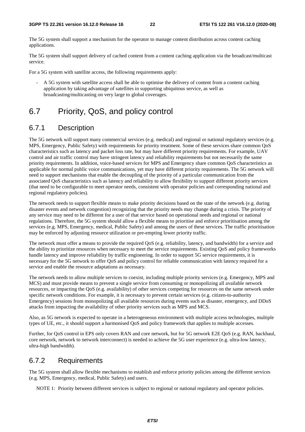The 5G system shall support a mechanism for the operator to manage content distribution across content caching applications.

The 5G system shall support delivery of cached content from a content caching application via the broadcast/multicast service.

For a 5G system with satellite access, the following requirements apply:

- A 5G system with satellite access shall be able to optimise the delivery of content from a content caching application by taking advantage of satellites in supporting ubiquitous service, as well as broadcasting/multicasting on very large to global coverages.

# 6.7 Priority, QoS, and policy control

### 6.7.1 Description

The 5G network will support many commercial services (e.g. medical) and regional or national regulatory services (e.g. MPS, Emergency, Public Safety) with requirements for priority treatment. Some of these services share common QoS characteristics such as latency and packet loss rate, but may have different priority requirements. For example, UAV control and air traffic control may have stringent latency and reliability requirements but not necessarily the same priority requirements. In addition, voice-based services for MPS and Emergency share common QoS characteristics as applicable for normal public voice communications, yet may have different priority requirements. The 5G network will need to support mechanisms that enable the decoupling of the priority of a particular communication from the associated QoS characteristics such as latency and reliability to allow flexibility to support different priority services (that need to be configurable to meet operator needs, consistent with operator policies and corresponding national and regional regulatory policies).

The network needs to support flexible means to make priority decisions based on the state of the network (e.g. during disaster events and network congestion) recognizing that the priority needs may change during a crisis. The priority of any service may need to be different for a user of that service based on operational needs and regional or national regulations. Therefore, the 5G system should allow a flexible means to prioritise and enforce prioritisation among the services (e.g. MPS, Emergency, medical, Public Safety) and among the users of these services. The traffic prioritisation may be enforced by adjusting resource utilization or pre-empting lower priority traffic.

The network must offer a means to provide the required QoS (e.g. reliability, latency, and bandwidth) for a service and the ability to prioritize resources when necessary to meet the service requirements. Existing QoS and policy frameworks handle latency and improve reliability by traffic engineering. In order to support 5G service requirements, it is necessary for the 5G network to offer QoS and policy control for reliable communication with latency required for a service and enable the resource adaptations as necessary.

The network needs to allow multiple services to coexist, including multiple priority services (e.g. Emergency, MPS and MCS) and must provide means to prevent a single service from consuming or monopolizing all available network resources, or impacting the QoS (e.g. availability) of other services competing for resources on the same network under specific network conditions. For example, it is necessary to prevent certain services (e.g. citizen-to-authority Emergency) sessions from monopolizing all available resources during events such as disaster, emergency, and DDoS attacks from impacting the availability of other priority services such as MPS and MCS.

Also, as 5G network is expected to operate in a heterogeneous environment with multiple access technologies, multiple types of UE, etc., it should support a harmonised QoS and policy framework that applies to multiple accesses.

Further, for QoS control in EPS only covers RAN and core network, but for 5G network E2E QoS (e.g. RAN, backhaul, core network, network to network interconnect) is needed to achieve the 5G user experience (e.g. ultra-low latency, ultra-high bandwidth).

### 6.7.2 Requirements

The 5G system shall allow flexible mechanisms to establish and enforce priority policies among the different services (e.g. MPS, Emergency, medical, Public Safety) and users.

NOTE 1: Priority between different services is subject to regional or national regulatory and operator policies.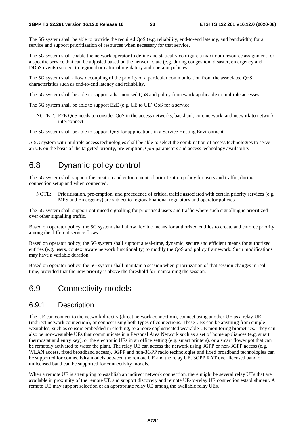The 5G system shall be able to provide the required QoS (e.g. reliability, end-to-end latency, and bandwidth) for a service and support prioritization of resources when necessary for that service.

The 5G system shall enable the network operator to define and statically configure a maximum resource assignment for a specific service that can be adjusted based on the network state (e.g. during congestion, disaster, emergency and DDoS events) subject to regional or national regulatory and operator policies.

The 5G system shall allow decoupling of the priority of a particular communication from the associated QoS characteristics such as end-to-end latency and reliability.

The 5G system shall be able to support a harmonised QoS and policy framework applicable to multiple accesses.

The 5G system shall be able to support E2E (e.g. UE to UE) QoS for a service.

NOTE 2: E2E QoS needs to consider QoS in the access networks, backhaul, core network, and network to network interconnect.

The 5G system shall be able to support QoS for applications in a Service Hosting Environment.

A 5G system with multiple access technologies shall be able to select the combination of access technologies to serve an UE on the basis of the targeted priority, pre-emption, QoS parameters and access technology availability

### 6.8 Dynamic policy control

The 5G system shall support the creation and enforcement of prioritisation policy for users and traffic, during connection setup and when connected.

NOTE: Prioritisation, pre-emption, and precedence of critical traffic associated with certain priority services (e.g. MPS and Emergency) are subject to regional/national regulatory and operator policies.

The 5G system shall support optimised signalling for prioritised users and traffic where such signalling is prioritized over other signalling traffic.

Based on operator policy, the 5G system shall allow flexible means for authorized entities to create and enforce priority among the different service flows.

Based on operator policy, the 5G system shall support a real-time, dynamic, secure and efficient means for authorized entities (e.g. users, context aware network functionality) to modify the QoS and policy framework. Such modifications may have a variable duration.

Based on operator policy, the 5G system shall maintain a session when prioritization of that session changes in real time, provided that the new priority is above the threshold for maintaining the session.

### 6.9 Connectivity models

#### 6.9.1 Description

The UE can connect to the network directly (direct network connection), connect using another UE as a relay UE (indirect network connection), or connect using both types of connections. These UEs can be anything from simple wearables, such as sensors embedded in clothing, to a more sophisticated wearable UE monitoring biometrics. They can also be non-wearable UEs that communicate in a Personal Area Network such as a set of home appliances (e.g. smart thermostat and entry key), or the electronic UEs in an office setting (e.g. smart printers), or a smart flower pot that can be remotely activated to water the plant. The relay UE can access the network using 3GPP or non-3GPP access (e.g. WLAN access, fixed broadband access). 3GPP and non-3GPP radio technologies and fixed broadband technologies can be supported for connectivity models between the remote UE and the relay UE. 3GPP RAT over licensed band or unlicensed band can be supported for connectivity models.

When a remote UE is attempting to establish an indirect network connection, there might be several relay UEs that are available in proximity of the remote UE and support discovery and remote UE-to-relay UE connection establishment. A remote UE may support selection of an appropriate relay UE among the available relay UEs.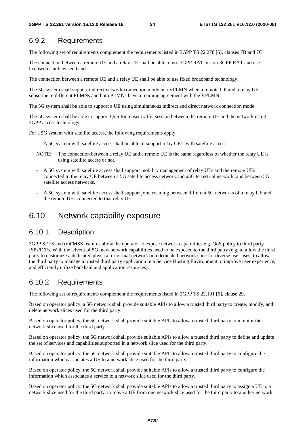### 6.9.2 Requirements

The following set of requirements complement the requirements listed in 3GPP TS 22.278 [5], clauses 7B and 7C.

The connection between a remote UE and a relay UE shall be able to use 3GPP RAT or non-3GPP RAT and use licensed or unlicensed band.

The connection between a remote UE and a relay UE shall be able to use fixed broadband technology.

The 5G system shall support indirect network connection mode in a VPLMN when a remote UE and a relay UE subscribe to different PLMNs and both PLMNs have a roaming agreement with the VPLMN.

The 5G system shall be able to support a UE using simultaneous indirect and direct network connection mode.

The 5G system shall be able to support QoS for a user traffic session between the remote UE and the network using 3GPP access technology.

For a 5G system with satellite access, the following requirements apply:

- A 5G system with satellite access shall be able to support relay UE's with satellite access.
- NOTE: The connection between a relay UE and a remote UE is the same regardless of whether the relay UE is using satellite access or not.
- A 5G system with satellite access shall support mobility management of relay UEs and the remote UEs connected to the relay UE between a 5G satellite access network and a5G terrestrial network, and between 5G satellite access networks.
- A 5G system with satellite access shall support joint roaming between different 5G networks of a relay UE and the remote UEs connected to that relay UE.

### 6.10 Network capability exposure

#### 6.10.1 Description

3GPP SEES and (e)FMSS features allow the operator to expose network capabilities e.g. QoS policy to third party ISPs/ICPs. With the advent of 5G, new network capabilities need to be exposed to the third party (e.g. to allow the third party to customize a dedicated physical or virtual network or a dedicated network slice for diverse use cases; to allow the third party to manage a trusted third party application in a Service Hosting Environment to improve user experience, and efficiently utilize backhaul and application resources).

### 6.10.2 Requirements

The following set of requirements complement the requirements listed in 3GPP TS 22.101 [6], clause 29.

Based on operator policy, a 5G network shall provide suitable APIs to allow a trusted third party to create, modify, and delete network slices used for the third party.

Based on operator policy, the 5G network shall provide suitable APIs to allow a trusted third party to monitor the network slice used for the third party.

Based on operator policy, the 5G network shall provide suitable APIs to allow a trusted third party to define and update the set of services and capabilities supported in a network slice used for the third party.

Based on operator policy, the 5G network shall provide suitable APIs to allow a trusted third party to configure the information which associates a UE to a network slice used for the third party.

Based on operator policy, the 5G network shall provide suitable APIs to allow a trusted third party to configure the information which associates a service to a network slice used for the third party.

Based on operator policy, the 5G network shall provide suitable APIs to allow a trusted third party to assign a UE to a network slice used for the third party, to move a UE from one network slice used for the third party to another network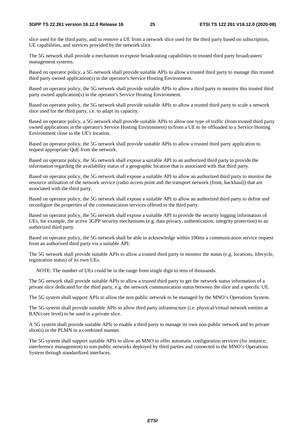slice used for the third party, and to remove a UE from a network slice used for the third party based on subscription, UE capabilities, and services provided by the network slice.

The 5G network shall provide a mechanism to expose broadcasting capabilities to trusted third party broadcasters' management systems.

Based on operator policy, a 5G network shall provide suitable APIs to allow a trusted third party to manage this trusted third party owned application(s) in the operator's Service Hosting Environment.

Based on operator policy, the 5G network shall provide suitable APIs to allow a third party to monitor this trusted third party owned application(s) in the operator's Service Hosting Environment.

Based on operator policy, the 5G network shall provide suitable APIs to allow a trusted third party to scale a network slice used for the third party, i.e. to adapt its capacity.

Based on operator policy, a 5G network shall provide suitable APIs to allow one type of traffic (from trusted third party owned applications in the operator's Service Hosting Environment) to/from a UE to be offloaded to a Service Hosting Environment close to the UE's location.

Based on operator policy, the 5G network shall provide suitable APIs to allow a trusted third party application to request appropriate QoE from the network.

Based on operator policy, the 5G network shall expose a suitable API to an authorized third party to provide the information regarding the availability status of a geographic location that is associated with that third party.

Based on operator policy, the 5G network shall expose a suitable API to allow an authorized third party to monitor the resource utilisation of the network service (radio access point and the transport network (front, backhaul)) that are associated with the third party.

Based on operator policy, the 5G network shall expose a suitable API to allow an authorized third party to define and reconfigure the properties of the communication services offered to the third party.

Based on operator policy, the 5G network shall expose a suitable API to provide the security logging information of UEs, for example, the active 3GPP security mechanisms (e.g. data privacy, authentication, integrity protection) to an authorized third party.

Based on operator policy, the 5G network shall be able to acknowledge within 100ms a communication service request from an authorized third party via a suitable API.

The 5G network shall provide suitable APIs to allow a trusted third party to monitor the status (e.g. locations, lifecycle, registration status) of its own UEs.

NOTE: The number of UEs could be in the range from single digit to tens of thousands.

The 5G network shall provide suitable APIs to allow a trusted third party to get the network status information of a private slice dedicated for the third party, e.g. the network communication status between the slice and a specific UE.

The 5G system shall support APIs to allow the non-public network to be managed by the MNO's Operations System.

The 5G system shall provide suitable APIs to allow third party infrastructure (i.e. physical/virtual network entities at RAN/core level) to be used in a private slice.

A 5G system shall provide suitable APIs to enable a third party to manage its own non-public network and its private slice(s) in the PLMN in a combined manner.

The 5G system shall support suitable APIs to allow an MNO to offer automatic configuration services (for instance, interference management) to non-public networks deployed by third parties and connected to the MNO's Operations System through standardized interfaces.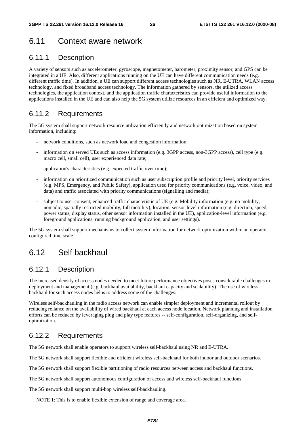# 6.11 Context aware network

### 6.11.1 Description

A variety of sensors such as accelerometer, gyroscope, magnetometer, barometer, proximity sensor, and GPS can be integrated in a UE. Also, different applications running on the UE can have different communication needs (e.g. different traffic time). In addition, a UE can support different access technologies such as NR, E-UTRA, WLAN access technology, and fixed broadband access technology. The information gathered by sensors, the utilized access technologies, the application context, and the application traffic characteristics can provide useful information to the applications installed in the UE and can also help the 5G system utilize resources in an efficient and optimized way.

### 6.11.2 Requirements

The 5G system shall support network resource utilization efficiently and network optimization based on system information, including:

- network conditions, such as network load and congestion information;
- information on served UEs such as access information (e.g. 3GPP access, non-3GPP access), cell type (e.g. macro cell, small cell), user experienced data rate;
- application's characteristics (e.g. expected traffic over time);
- information on prioritized communication such as user subscription profile and priority level, priority services (e.g. MPS, Emergency, and Public Safety), application used for priority communications (e.g. voice, video, and data) and traffic associated with priority communications (signalling and media);
- subject to user consent, enhanced traffic characteristic of UE (e.g. Mobility information (e.g. no mobility, nomadic, spatially restricted mobility, full mobility), location, sensor-level information (e.g. direction, speed, power status, display status, other sensor information installed in the UE), application-level information (e.g. foreground applications, running background application, and user settings).

The 5G system shall support mechanisms to collect system information for network optimization within an operator configured time scale.

### 6.12 Self backhaul

#### 6.12.1 Description

The increased density of access nodes needed to meet future performance objectives poses considerable challenges in deployment and management (e.g. backhaul availability, backhaul capacity and scalability). The use of wireless backhaul for such access nodes helps to address some of the challenges.

Wireless self-backhauling in the radio access network can enable simpler deployment and incremental rollout by reducing reliance on the availability of wired backhaul at each access node location. Network planning and installation efforts can be reduced by leveraging plug and play type features -- self-configuration, self-organizing, and selfoptimization.

### 6.12.2 Requirements

The 5G network shall enable operators to support wireless self-backhaul using NR and E-UTRA.

The 5G network shall support flexible and efficient wireless self-backhaul for both indoor and outdoor scenarios.

The 5G network shall support flexible partitioning of radio resources between access and backhaul functions.

The 5G network shall support autonomous configuration of access and wireless self-backhaul functions.

The 5G network shall support multi-hop wireless self-backhauling.

NOTE 1: This is to enable flexible extension of range and coverage area.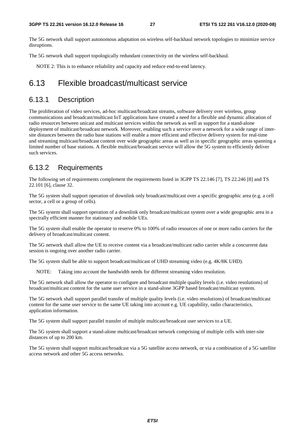The 5G network shall support autonomous adaptation on wireless self-backhaul network topologies to minimize service disruptions.

The 5G network shall support topologically redundant connectivity on the wireless self-backhaul.

NOTE 2: This is to enhance reliability and capacity and reduce end-to-end latency.

### 6.13 Flexible broadcast/multicast service

#### 6.13.1 Description

The proliferation of video services, ad-hoc multicast/broadcast streams, software delivery over wireless, group communications and broadcast/multicast IoT applications have created a need for a flexible and dynamic allocation of radio resources between unicast and multicast services within the network as well as support for a stand-alone deployment of multicast/broadcast network. Moreover, enabling such a service over a network for a wide range of intersite distances between the radio base stations will enable a more efficient and effective delivery system for real-time and streaming multicast/broadcast content over wide geographic areas as well as in specific geographic areas spanning a limited number of base stations. A flexible multicast/broadcast service will allow the 5G system to efficiently deliver such services.

#### 6.13.2 Requirements

The following set of requirements complement the requirements listed in 3GPP TS 22.146 [7], TS 22.246 [8] and TS 22.101 [6], clause 32.

The 5G system shall support operation of downlink only broadcast/multicast over a specific geographic area (e.g. a cell sector, a cell or a group of cells).

The 5G system shall support operation of a downlink only broadcast/multicast system over a wide geographic area in a spectrally efficient manner for stationary and mobile UEs.

The 5G system shall enable the operator to reserve 0% to 100% of radio resources of one or more radio carriers for the delivery of broadcast/multicast content.

The 5G network shall allow the UE to receive content via a broadcast/multicast radio carrier while a concurrent data session is ongoing over another radio carrier.

The 5G system shall be able to support broadcast/multicast of UHD streaming video (e.g. 4K/8K UHD).

NOTE: Taking into account the bandwidth needs for different streaming video resolution.

The 5G network shall allow the operator to configure and broadcast multiple quality levels (i.e. video resolutions) of broadcast/multicast content for the same user service in a stand-alone 3GPP based broadcast/multicast system.

The 5G network shall support parallel transfer of multiple quality levels (i.e. video resolutions) of broadcast/multicast content for the same user service to the same UE taking into account e.g. UE capability, radio characteristics, application information.

The 5G system shall support parallel transfer of multiple multicast/broadcast user services to a UE.

The 5G system shall support a stand-alone multicast/broadcast network comprising of multiple cells with inter-site distances of up to 200 km.

The 5G system shall support multicast/broadcast via a 5G satellite access network, or via a combination of a 5G satellite access network and other 5G access networks.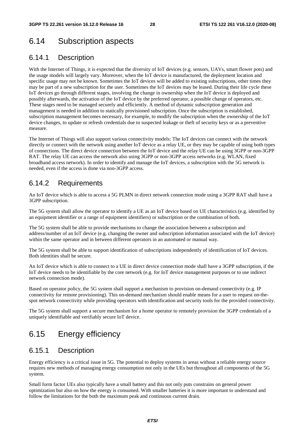# 6.14 Subscription aspects

### 6.14.1 Description

With the Internet of Things, it is expected that the diversity of IoT devices (e.g. sensors, UAVs, smart flower pots) and the usage models will largely vary. Moreover, when the IoT device is manufactured, the deployment location and specific usage may not be known. Sometimes the IoT devices will be added to existing subscriptions, other times they may be part of a new subscription for the user. Sometimes the IoT devices may be leased. During their life cycle these IoT devices go through different stages, involving the change in ownership when the IoT device is deployed and possibly afterwards, the activation of the IoT device by the preferred operator, a possible change of operators, etc. These stages need to be managed securely and efficiently. A method of dynamic subscription generation and management is needed in addition to statically provisioned subscription. Once the subscription is established, subscription management becomes necessary, for example, to modify the subscription when the ownership of the IoT device changes, to update or refresh credentials due to suspected leakage or theft of security keys or as a preventive measure.

The Internet of Things will also support various connectivity models: The IoT devices can connect with the network directly or connect with the network using another IoT device as a relay UE, or they may be capable of using both types of connections. The direct device connection between the IoT device and the relay UE can be using 3GPP or non-3GPP RAT. The relay UE can access the network also using 3GPP or non-3GPP access networks (e.g. WLAN, fixed broadband access network). In order to identify and manage the IoT devices, a subscription with the 5G network is needed, even if the access is done via non-3GPP access.

### 6.14.2 Requirements

An IoT device which is able to access a 5G PLMN in direct network connection mode using a 3GPP RAT shall have a 3GPP subscription.

The 5G system shall allow the operator to identify a UE as an IoT device based on UE characteristics (e.g. identified by an equipment identifier or a range of equipment identifiers) or subscription or the combination of both.

The 5G system shall be able to provide mechanisms to change the association between a subscription and address/number of an IoT device (e.g. changing the owner and subscription information associated with the IoT device) within the same operator and in between different operators in an automated or manual way.

The 5G system shall be able to support identification of subscriptions independently of identification of IoT devices. Both identities shall be secure.

An IoT device which is able to connect to a UE in direct device connection mode shall have a 3GPP subscription, if the IoT device needs to be identifiable by the core network (e.g. for IoT device management purposes or to use indirect network connection mode).

Based on operator policy, the 5G system shall support a mechanism to provision on-demand connectivity (e.g. IP connectivity for remote provisioning). This on-demand mechanism should enable means for a user to request on-thespot network connectivity while providing operators with identification and security tools for the provided connectivity.

The 5G system shall support a secure mechanism for a home operator to remotely provision the 3GPP credentials of a uniquely identifiable and verifiably secure IoT device.

# 6.15 Energy efficiency

#### 6.15.1 Description

Energy efficiency is a critical issue in 5G. The potential to deploy systems in areas without a reliable energy source requires new methods of managing energy consumption not only in the UEs but throughout all components of the 5G system.

Small form factor UEs also typically have a small battery and this not only puts constrains on general power optimization but also on how the energy is consumed. With smaller batteries it is more important to understand and follow the limitations for the both the maximum peak and continuous current drain.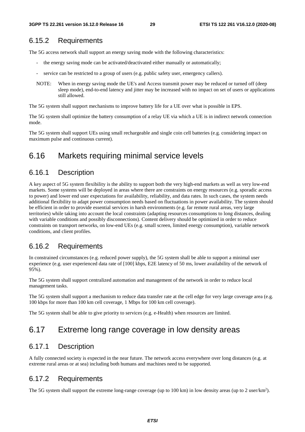### 6.15.2 Requirements

The 5G access network shall support an energy saving mode with the following characteristics:

- the energy saving mode can be activated/deactivated either manually or automatically;
- service can be restricted to a group of users (e.g. public safety user, emergency callers).
- NOTE: When in energy saving mode the UE's and Access transmit power may be reduced or turned off (deep sleep mode), end-to-end latency and jitter may be increased with no impact on set of users or applications still allowed.

The 5G system shall support mechanisms to improve battery life for a UE over what is possible in EPS.

The 5G system shall optimize the battery consumption of a relay UE via which a UE is in indirect network connection mode.

The 5G system shall support UEs using small rechargeable and single coin cell batteries (e.g. considering impact on maximum pulse and continuous current).

### 6.16 Markets requiring minimal service levels

#### 6.16.1 Description

A key aspect of 5G system flexibility is the ability to support both the very high-end markets as well as very low-end markets. Some systems will be deployed in areas where there are constraints on energy resources (e.g. sporadic access to power) and lower end user expectations for availability, reliability, and data rates. In such cases, the system needs additional flexibility to adapt power consumption needs based on fluctuations in power availability. The system should be efficient in order to provide essential services in harsh environments (e.g. far remote rural areas, very large territories) while taking into account the local constraints (adapting resources consumptions to long distances, dealing with variable conditions and possibly disconnections). Content delivery should be optimized in order to reduce constraints on transport networks, on low-end UEs (e.g. small screen, limited energy consumption), variable network conditions, and client profiles.

### 6.16.2 Requirements

In constrained circumstances (e.g. reduced power supply), the 5G system shall be able to support a minimal user experience (e.g. user experienced data rate of [100] kbps, E2E latency of 50 ms, lower availability of the network of 95%).

The 5G system shall support centralized automation and management of the network in order to reduce local management tasks.

The 5G system shall support a mechanism to reduce data transfer rate at the cell edge for very large coverage area (e.g. 100 kbps for more than 100 km cell coverage, 1 Mbps for 100 km cell coverage).

The 5G system shall be able to give priority to services (e.g. e-Health) when resources are limited.

# 6.17 Extreme long range coverage in low density areas

#### 6.17.1 Description

A fully connected society is expected in the near future. The network access everywhere over long distances (e.g. at extreme rural areas or at sea) including both humans and machines need to be supported.

#### 6.17.2 Requirements

The 5G system shall support the extreme long-range coverage (up to 100 km) in low density areas (up to 2 user/km<sup>2</sup>).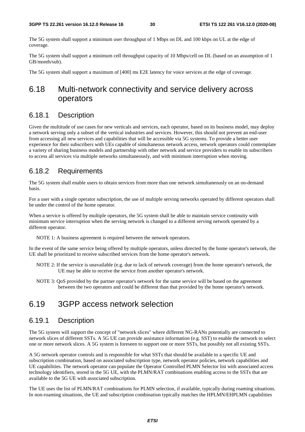The 5G system shall support a minimum user throughput of 1 Mbps on DL and 100 kbps on UL at the edge of coverage.

The 5G system shall support a minimum cell throughput capacity of 10 Mbps/cell on DL (based on an assumption of 1 GB/month/sub).

The 5G system shall support a maximum of [400] ms E2E latency for voice services at the edge of coverage.

# 6.18 Multi-network connectivity and service delivery across operators

### 6.18.1 Description

Given the multitude of use cases for new verticals and services, each operator, based on its business model, may deploy a network serving only a subset of the vertical industries and services. However, this should not prevent an end-user from accessing all new services and capabilities that will be accessible via 5G systems. To provide a better user experience for their subscribers with UEs capable of simultaneous network access, network operators could contemplate a variety of sharing business models and partnership with other network and service providers to enable its subscribers to access all services via multiple networks simultaneously, and with minimum interruption when moving.

#### 6.18.2 Requirements

The 5G system shall enable users to obtain services from more than one network simultaneously on an on-demand basis.

For a user with a single operator subscription, the use of multiple serving networks operated by different operators shall be under the control of the home operator.

When a service is offered by multiple operators, the 5G system shall be able to maintain service continuity with minimum service interruption when the serving network is changed to a different serving network operated by a different operator.

NOTE 1: A business agreement is required between the network operators.

In the event of the same service being offered by multiple operators, unless directed by the home operator's network, the UE shall be prioritized to receive subscribed services from the home operator's network.

- NOTE 2: If the service is unavailable (e.g. due to lack of network coverage) from the home operator's network, the UE may be able to receive the service from another operator's network.
- NOTE 3: QoS provided by the partner operator's network for the same service will be based on the agreement between the two operators and could be different than that provided by the home operator's network.

# 6.19 3GPP access network selection

#### 6.19.1 Description

The 5G system will support the concept of "network slices" where different NG-RANs potentially are connected to network slices of different SSTs. A 5G UE can provide assistance information (e.g. SST) to enable the network to select one or more network slices. A 5G system is foreseen to support one or more SSTs, but possibly not all existing SSTs.

A 5G network operator controls and is responsible for what SSTs that should be available to a specific UE and subscription combination, based on associated subscription type, network operator policies, network capabilities and UE capabilities. The network operator can populate the Operator Controlled PLMN Selector list with associated access technology identifiers, stored in the 5G UE, with the PLMN/RAT combinations enabling access to the SSTs that are available to the 5G UE with associated subscription.

The UE uses the list of PLMN/RAT combinations for PLMN selection, if available, typically during roaming situations. In non-roaming situations, the UE and subscription combination typically matches the HPLMN/EHPLMN capabilities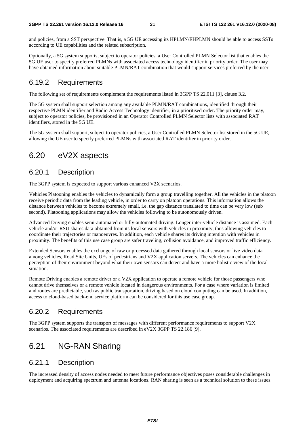and policies, from a SST perspective. That is, a 5G UE accessing its HPLMN/EHPLMN should be able to access SSTs according to UE capabilities and the related subscription.

Optionally, a 5G system supports, subject to operator policies, a User Controlled PLMN Selector list that enables the 5G UE user to specify preferred PLMNs with associated access technology identifier in priority order. The user may have obtained information about suitable PLMN/RAT combination that would support services preferred by the user.

### 6.19.2 Requirements

The following set of requirements complement the requirements listed in 3GPP TS 22.011 [3], clause 3.2.

The 5G system shall support selection among any available PLMN/RAT combinations, identified through their respective PLMN identifier and Radio Access Technology identifier, in a prioritised order. The priority order may, subject to operator policies, be provisioned in an Operator Controlled PLMN Selector lists with associated RAT identifiers, stored in the 5G UE.

The 5G system shall support, subject to operator policies, a User Controlled PLMN Selector list stored in the 5G UE, allowing the UE user to specify preferred PLMNs with associated RAT identifier in priority order.

# 6.20 eV2X aspects

### 6.20.1 Description

The 3GPP system is expected to support various enhanced V2X scenarios.

Vehicles Platooning enables the vehicles to dynamically form a group travelling together. All the vehicles in the platoon receive periodic data from the leading vehicle, in order to carry on platoon operations. This information allows the distance between vehicles to become extremely small, i.e. the gap distance translated to time can be very low (sub second). Platooning applications may allow the vehicles following to be autonomously driven.

Advanced Driving enables semi-automated or fully-automated driving. Longer inter-vehicle distance is assumed. Each vehicle and/or RSU shares data obtained from its local sensors with vehicles in proximity, thus allowing vehicles to coordinate their trajectories or manoeuvres. In addition, each vehicle shares its driving intention with vehicles in proximity. The benefits of this use case group are safer traveling, collision avoidance, and improved traffic efficiency.

Extended Sensors enables the exchange of raw or processed data gathered through local sensors or live video data among vehicles, Road Site Units, UEs of pedestrians and V2X application servers. The vehicles can enhance the perception of their environment beyond what their own sensors can detect and have a more holistic view of the local situation.

Remote Driving enables a remote driver or a V2X application to operate a remote vehicle for those passengers who cannot drive themselves or a remote vehicle located in dangerous environments. For a case where variation is limited and routes are predictable, such as public transportation, driving based on cloud computing can be used. In addition, access to cloud-based back-end service platform can be considered for this use case group.

### 6.20.2 Requirements

The 3GPP system supports the transport of messages with different performance requirements to support V2X scenarios. The associated requirements are described in eV2X 3GPP TS 22.186 [9].

# 6.21 NG-RAN Sharing

### 6.21.1 Description

The increased density of access nodes needed to meet future performance objectives poses considerable challenges in deployment and acquiring spectrum and antenna locations. RAN sharing is seen as a technical solution to these issues.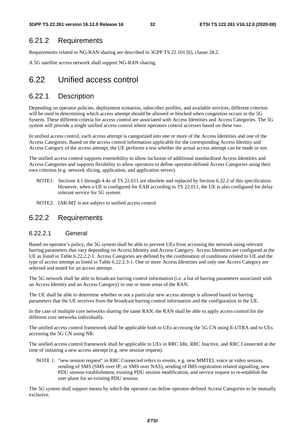#### 6.21.2 Requirements

Requirements related to NG-RAN sharing are described in 3GPP TS 22.101 [6], clause 28.2.

A 5G satellite access network shall support NG-RAN sharing.

# 6.22 Unified access control

#### 6.22.1 Description

Depending on operator policies, deployment scenarios, subscriber profiles, and available services, different criterion will be used in determining which access attempt should be allowed or blocked when congestion occurs in the 5G System. These different criteria for access control are associated with Access Identities and Access Categories. The 5G system will provide a single unified access control where operators control accesses based on these two.

In unified access control, each access attempt is categorized into one or more of the Access Identities and one of the Access Categories. Based on the access control information applicable for the corresponding Access Identity and Access Category of the access attempt, the UE performs a test whether the actual access attempt can be made or not.

The unified access control supports extensibility to allow inclusion of additional standardized Access Identities and Access Categories and supports flexibility to allow operators to define operator-defined Access Categories using their own criterion (e.g. network slicing, application, and application server).

- NOTE1: Sections 4.1 through 4.4a of TS 22.011 are obsolete and replaced by Section 6.22.2 of this specification. However, when a UE is configured for EAB according to TS 22.011, the UE is also configured for delay tolerant service for 5G system.
- NOTE2: IAB-MT is not subject to unified access control

### 6.22.2 Requirements

#### 6.22.2.1 General

Based on operator's policy, the 5G system shall be able to prevent UEs from accessing the network using relevant barring parameters that vary depending on Access Identity and Access Category. Access Identities are configured at the UE as listed in Table 6.22.2.2-1. Access Categories are defined by the combination of conditions related to UE and the type of access attempt as listed in Table 6.22.2.3-1. One or more Access Identities and only one Access Category are selected and tested for an access attempt.

The 5G network shall be able to broadcast barring control information (i.e. a list of barring parameters associated with an Access Identity and an Access Category) in one or more areas of the RAN.

The UE shall be able to determine whether or not a particular new access attempt is allowed based on barring parameters that the UE receives from the broadcast barring control information and the configuration in the UE.

In the case of multiple core networks sharing the same RAN, the RAN shall be able to apply access control for the different core networks individually.

The unified access control framework shall be applicable both to UEs accessing the 5G CN using E-UTRA and to UEs accessing the 5G CN using NR.

The unified access control framework shall be applicable to UEs in RRC Idle, RRC Inactive, and RRC Connected at the time of initiating a new access attempt (e.g. new session request).

NOTE 1: "new session request" in RRC Connected refers to events, e.g. new MMTEL voice or video session, sending of SMS (SMS over IP, or SMS over NAS), sending of IMS registration related signalling, new PDU session establishment, existing PDU session modification, and service request to re-establish the user plane for an existing PDU session.

The 5G system shall support means by which the operator can define operator-defined Access Categories to be mutually exclusive.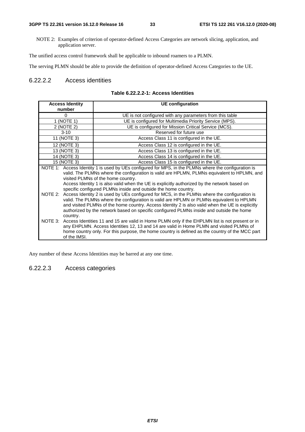NOTE 2: Examples of criterion of operator-defined Access Categories are network slicing, application, and application server.

The unified access control framework shall be applicable to inbound roamers to a PLMN.

The serving PLMN should be able to provide the definition of operator-defined Access Categories to the UE.

#### 6.22.2.2 Access identities

|  | Table 6.22.2.2-1: Access Identities |  |  |
|--|-------------------------------------|--|--|
|--|-------------------------------------|--|--|

| <b>Access Identity</b>                                                                                                                                                                                                                                                                                                                                                                                                        | <b>UE</b> configuration                                                                                                                                                                                                                                                                                                                                                                                                                                                                                      |  |
|-------------------------------------------------------------------------------------------------------------------------------------------------------------------------------------------------------------------------------------------------------------------------------------------------------------------------------------------------------------------------------------------------------------------------------|--------------------------------------------------------------------------------------------------------------------------------------------------------------------------------------------------------------------------------------------------------------------------------------------------------------------------------------------------------------------------------------------------------------------------------------------------------------------------------------------------------------|--|
| number                                                                                                                                                                                                                                                                                                                                                                                                                        |                                                                                                                                                                                                                                                                                                                                                                                                                                                                                                              |  |
| $\Omega$                                                                                                                                                                                                                                                                                                                                                                                                                      | UE is not configured with any parameters from this table                                                                                                                                                                                                                                                                                                                                                                                                                                                     |  |
| 1 (NOTE 1)                                                                                                                                                                                                                                                                                                                                                                                                                    | UE is configured for Multimedia Priority Service (MPS).                                                                                                                                                                                                                                                                                                                                                                                                                                                      |  |
| 2 (NOTE 2)                                                                                                                                                                                                                                                                                                                                                                                                                    | UE is configured for Mission Critical Service (MCS).                                                                                                                                                                                                                                                                                                                                                                                                                                                         |  |
| $3 - 10$                                                                                                                                                                                                                                                                                                                                                                                                                      | Reserved for future use                                                                                                                                                                                                                                                                                                                                                                                                                                                                                      |  |
| 11 (NOTE 3)                                                                                                                                                                                                                                                                                                                                                                                                                   | Access Class 11 is configured in the UE.                                                                                                                                                                                                                                                                                                                                                                                                                                                                     |  |
| 12 (NOTE 3)                                                                                                                                                                                                                                                                                                                                                                                                                   | Access Class 12 is configured in the UE.                                                                                                                                                                                                                                                                                                                                                                                                                                                                     |  |
| 13 (NOTE 3)                                                                                                                                                                                                                                                                                                                                                                                                                   | Access Class 13 is configured in the UE.                                                                                                                                                                                                                                                                                                                                                                                                                                                                     |  |
| 14 (NOTE 3)                                                                                                                                                                                                                                                                                                                                                                                                                   | Access Class 14 is configured in the UE.                                                                                                                                                                                                                                                                                                                                                                                                                                                                     |  |
| 15 (NOTE 3)                                                                                                                                                                                                                                                                                                                                                                                                                   | Access Class 15 is configured in the UE.                                                                                                                                                                                                                                                                                                                                                                                                                                                                     |  |
|                                                                                                                                                                                                                                                                                                                                                                                                                               | NOTE 1: Access Identity 1 is used by UEs configured for MPS, in the PLMNs where the configuration is<br>valid. The PLMNs where the configuration is valid are HPLMN, PLMNs equivalent to HPLMN, and                                                                                                                                                                                                                                                                                                          |  |
|                                                                                                                                                                                                                                                                                                                                                                                                                               | visited PLMNs of the home country.<br>Access Identity 1 is also valid when the UE is explicitly authorized by the network based on<br>specific configured PLMNs inside and outside the home country.<br>NOTE 2: Access Identity 2 is used by UEs configured for MCS, in the PLMNs where the configuration is<br>valid. The PLMNs where the configuration is valid are HPLMN or PLMNs equivalent to HPLMN<br>and visited PLMNs of the home country. Access Identity 2 is also valid when the UE is explicitly |  |
| authorized by the network based on specific configured PLMNs inside and outside the home<br>country.<br>NOTE 3: Access Identities 11 and 15 are valid in Home PLMN only if the EHPLMN list is not present or in<br>any EHPLMN. Access Identities 12, 13 and 14 are valid in Home PLMN and visited PLMNs of<br>home country only. For this purpose, the home country is defined as the country of the MCC part<br>of the IMSI. |                                                                                                                                                                                                                                                                                                                                                                                                                                                                                                              |  |

Any number of these Access Identities may be barred at any one time.

#### 6.22.2.3 Access categories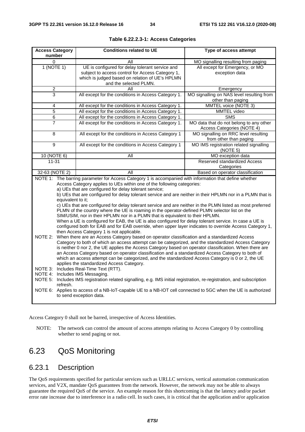| <b>Conditions related to UE</b>                                                                                                                                                                                                                                                                                                                                                                                                                                                                                                                                                                                                                                                                                                                                                                                                                                                                                                                                                                                                                                                                                                                                                                                                                                                                                                                                                                                                                                                                                                                                                                                                                                                                                                                           | Type of access attempt                                                                                                                                                                                                                                                                                                                                                                      |  |
|-----------------------------------------------------------------------------------------------------------------------------------------------------------------------------------------------------------------------------------------------------------------------------------------------------------------------------------------------------------------------------------------------------------------------------------------------------------------------------------------------------------------------------------------------------------------------------------------------------------------------------------------------------------------------------------------------------------------------------------------------------------------------------------------------------------------------------------------------------------------------------------------------------------------------------------------------------------------------------------------------------------------------------------------------------------------------------------------------------------------------------------------------------------------------------------------------------------------------------------------------------------------------------------------------------------------------------------------------------------------------------------------------------------------------------------------------------------------------------------------------------------------------------------------------------------------------------------------------------------------------------------------------------------------------------------------------------------------------------------------------------------|---------------------------------------------------------------------------------------------------------------------------------------------------------------------------------------------------------------------------------------------------------------------------------------------------------------------------------------------------------------------------------------------|--|
| All                                                                                                                                                                                                                                                                                                                                                                                                                                                                                                                                                                                                                                                                                                                                                                                                                                                                                                                                                                                                                                                                                                                                                                                                                                                                                                                                                                                                                                                                                                                                                                                                                                                                                                                                                       | MO signalling resulting from paging                                                                                                                                                                                                                                                                                                                                                         |  |
| UE is configured for delay tolerant service and<br>subject to access control for Access Category 1,<br>which is judged based on relation of UE's HPLMN                                                                                                                                                                                                                                                                                                                                                                                                                                                                                                                                                                                                                                                                                                                                                                                                                                                                                                                                                                                                                                                                                                                                                                                                                                                                                                                                                                                                                                                                                                                                                                                                    | All except for Emergency, or MO<br>exception data                                                                                                                                                                                                                                                                                                                                           |  |
| All                                                                                                                                                                                                                                                                                                                                                                                                                                                                                                                                                                                                                                                                                                                                                                                                                                                                                                                                                                                                                                                                                                                                                                                                                                                                                                                                                                                                                                                                                                                                                                                                                                                                                                                                                       | Emergency                                                                                                                                                                                                                                                                                                                                                                                   |  |
| All except for the conditions in Access Category 1.                                                                                                                                                                                                                                                                                                                                                                                                                                                                                                                                                                                                                                                                                                                                                                                                                                                                                                                                                                                                                                                                                                                                                                                                                                                                                                                                                                                                                                                                                                                                                                                                                                                                                                       | MO signalling on NAS level resulting from<br>other than paging                                                                                                                                                                                                                                                                                                                              |  |
| All except for the conditions in Access Category 1.                                                                                                                                                                                                                                                                                                                                                                                                                                                                                                                                                                                                                                                                                                                                                                                                                                                                                                                                                                                                                                                                                                                                                                                                                                                                                                                                                                                                                                                                                                                                                                                                                                                                                                       | MMTEL voice (NOTE 3)                                                                                                                                                                                                                                                                                                                                                                        |  |
| All except for the conditions in Access Category 1.                                                                                                                                                                                                                                                                                                                                                                                                                                                                                                                                                                                                                                                                                                                                                                                                                                                                                                                                                                                                                                                                                                                                                                                                                                                                                                                                                                                                                                                                                                                                                                                                                                                                                                       | MMTEL video                                                                                                                                                                                                                                                                                                                                                                                 |  |
|                                                                                                                                                                                                                                                                                                                                                                                                                                                                                                                                                                                                                                                                                                                                                                                                                                                                                                                                                                                                                                                                                                                                                                                                                                                                                                                                                                                                                                                                                                                                                                                                                                                                                                                                                           | <b>SMS</b>                                                                                                                                                                                                                                                                                                                                                                                  |  |
|                                                                                                                                                                                                                                                                                                                                                                                                                                                                                                                                                                                                                                                                                                                                                                                                                                                                                                                                                                                                                                                                                                                                                                                                                                                                                                                                                                                                                                                                                                                                                                                                                                                                                                                                                           | MO data that do not belong to any other<br>Access Categories (NOTE 4)                                                                                                                                                                                                                                                                                                                       |  |
|                                                                                                                                                                                                                                                                                                                                                                                                                                                                                                                                                                                                                                                                                                                                                                                                                                                                                                                                                                                                                                                                                                                                                                                                                                                                                                                                                                                                                                                                                                                                                                                                                                                                                                                                                           | MO signalling on RRC level resulting<br>from other than paging                                                                                                                                                                                                                                                                                                                              |  |
|                                                                                                                                                                                                                                                                                                                                                                                                                                                                                                                                                                                                                                                                                                                                                                                                                                                                                                                                                                                                                                                                                                                                                                                                                                                                                                                                                                                                                                                                                                                                                                                                                                                                                                                                                           | MO IMS registration related signalling<br>(NOTE 5)                                                                                                                                                                                                                                                                                                                                          |  |
| All                                                                                                                                                                                                                                                                                                                                                                                                                                                                                                                                                                                                                                                                                                                                                                                                                                                                                                                                                                                                                                                                                                                                                                                                                                                                                                                                                                                                                                                                                                                                                                                                                                                                                                                                                       | MO exception data                                                                                                                                                                                                                                                                                                                                                                           |  |
|                                                                                                                                                                                                                                                                                                                                                                                                                                                                                                                                                                                                                                                                                                                                                                                                                                                                                                                                                                                                                                                                                                                                                                                                                                                                                                                                                                                                                                                                                                                                                                                                                                                                                                                                                           | Reserved standardized Access<br>Categories                                                                                                                                                                                                                                                                                                                                                  |  |
| All                                                                                                                                                                                                                                                                                                                                                                                                                                                                                                                                                                                                                                                                                                                                                                                                                                                                                                                                                                                                                                                                                                                                                                                                                                                                                                                                                                                                                                                                                                                                                                                                                                                                                                                                                       | Based on operator classification                                                                                                                                                                                                                                                                                                                                                            |  |
| NOTE 1: The barring parameter for Access Category 1 is accompanied with information that define whether<br>Access Category applies to UEs within one of the following categories:<br>a) UEs that are configured for delay tolerant service;<br>b) UEs that are configured for delay tolerant service and are neither in their HPLMN nor in a PLMN that is<br>equivalent to it:<br>c) UEs that are configured for delay tolerant service and are neither in the PLMN listed as most preferred<br>PLMN of the country where the UE is roaming in the operator-defined PLMN selector list on the<br>SIM/USIM, nor in their HPLMN nor in a PLMN that is equivalent to their HPLMN.<br>When a UE is configured for EAB, the UE is also configured for delay tolerant service. In case a UE is<br>configured both for EAB and for EAB override, when upper layer indicates to override Access Category 1,<br>then Access Category 1 is not applicable.<br>When there are an Access Category based on operator classification and a standardized Access<br>NOTE 2:<br>Category to both of which an access attempt can be categorized, and the standardized Access Category<br>is neither 0 nor 2, the UE applies the Access Category based on operator classification. When there are<br>an Access Category based on operator classification and a standardized Access Category to both of<br>which an access attempt can be categorized, and the standardized Access Category is 0 or 2, the UE<br>applies the standardized Access Category.<br>NOTE 3: Includes Real-Time Text (RTT).<br>NOTE 4: Includes IMS Messaging.<br>NOTE 5: Includes IMS registration related signalling, e.g. IMS initial registration, re-registration, and subscription<br>refresh. |                                                                                                                                                                                                                                                                                                                                                                                             |  |
|                                                                                                                                                                                                                                                                                                                                                                                                                                                                                                                                                                                                                                                                                                                                                                                                                                                                                                                                                                                                                                                                                                                                                                                                                                                                                                                                                                                                                                                                                                                                                                                                                                                                                                                                                           | and the selected PLMN.<br>All except for the conditions in Access Category 1.<br>All except for the conditions in Access Category 1.<br>All except for the conditions in Access Category 1<br>All except for the conditions in Access Category 1<br>NOTE 6: Applies to access of a NB-IoT-capable UE to a NB-IOT cell connected to 5GC when the UE is authorized<br>to send exception data. |  |

|  |  |  | Table 6.22.2.3-1: Access Categories |
|--|--|--|-------------------------------------|
|--|--|--|-------------------------------------|

Access Category 0 shall not be barred, irrespective of Access Identities.

NOTE: The network can control the amount of access attempts relating to Access Category 0 by controlling whether to send paging or not.

### 6.23 QoS Monitoring

#### 6.23.1 Description

The QoS requirements specified for particular services such as URLLC services, vertical automation communication services, and V2X, mandate QoS guarantees from the network. However, the network may not be able to always guarantee the required QoS of the service. An example reason for this shortcoming is that the latency and/or packet error rate increase due to interference in a radio cell. In such cases, it is critical that the application and/or application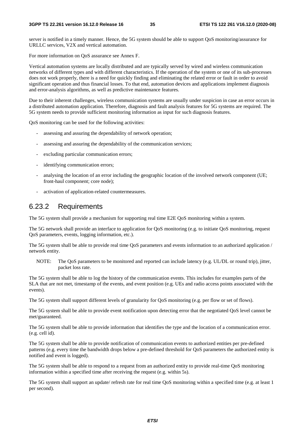server is notified in a timely manner. Hence, the 5G system should be able to support QoS monitoring/assurance for URLLC services, V2X and vertical automation.

For more information on QoS assurance see Annex F.

Vertical automation systems are locally distributed and are typically served by wired and wireless communication networks of different types and with different characteristics. If the operation of the system or one of its sub-processes does not work properly, there is a need for quickly finding and eliminating the related error or fault in order to avoid significant operation and thus financial losses. To that end, automation devices and applications implement diagnosis and error-analysis algorithms, as well as predictive maintenance features.

Due to their inherent challenges, wireless communication systems are usually under suspicion in case an error occurs in a distributed automation application. Therefore, diagnosis and fault analysis features for 5G systems are required. The 5G system needs to provide sufficient monitoring information as input for such diagnosis features.

QoS monitoring can be used for the following activities:

- assessing and assuring the dependability of network operation;
- assessing and assuring the dependability of the communication services;
- excluding particular communication errors;
- identifying communication errors;
- analysing the location of an error including the geographic location of the involved network component (UE; front-haul component; core node);
- activation of application-related countermeasures.

#### 6.23.2 Requirements

The 5G system shall provide a mechanism for supporting real time E2E QoS monitoring within a system.

The 5G network shall provide an interface to application for QoS monitoring (e.g. to initiate QoS monitoring, request QoS parameters, events, logging information, etc.).

The 5G system shall be able to provide real time QoS parameters and events information to an authorized application / network entity.

NOTE: The QoS parameters to be monitored and reported can include latency (e.g. UL/DL or round trip), jitter, packet loss rate.

The 5G system shall be able to log the history of the communication events. This includes for examples parts of the SLA that are not met, timestamp of the events, and event position (e.g. UEs and radio access points associated with the events).

The 5G system shall support different levels of granularity for QoS monitoring (e.g. per flow or set of flows).

The 5G system shall be able to provide event notification upon detecting error that the negotiated QoS level cannot be met/guaranteed.

The 5G system shall be able to provide information that identifies the type and the location of a communication error. (e.g. cell id).

The 5G system shall be able to provide notification of communication events to authorized entities per pre-defined patterns (e.g. every time the bandwidth drops below a pre-defined threshold for QoS parameters the authorized entity is notified and event is logged).

The 5G system shall be able to respond to a request from an authorized entity to provide real-time QoS monitoring information within a specified time after receiving the request (e.g. within 5s).

The 5G system shall support an update/ refresh rate for real time QoS monitoring within a specified time (e.g. at least 1 per second).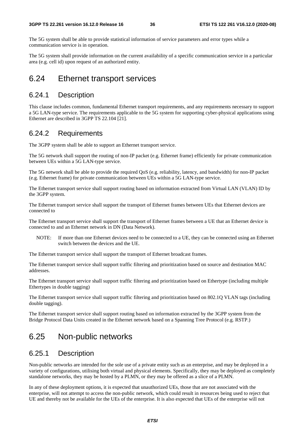The 5G system shall be able to provide statistical information of service parameters and error types while a communication service is in operation.

The 5G system shall provide information on the current availability of a specific communication service in a particular area (e.g. cell id) upon request of an authorized entity.

### 6.24 Ethernet transport services

### 6.24.1 Description

This clause includes common, fundamental Ethernet transport requirements, and any requirements necessary to support a 5G LAN-type service. The requirements applicable to the 5G system for supporting cyber-physical applications using Ethernet are described in 3GPP TS 22.104 [21].

#### 6.24.2 Requirements

The 3GPP system shall be able to support an Ethernet transport service.

The 5G network shall support the routing of non-IP packet (e.g. Ethernet frame) efficiently for private communication between UEs within a 5G LAN-type service.

The 5G network shall be able to provide the required QoS (e.g. reliability, latency, and bandwidth) for non-IP packet (e.g. Ethernet frame) for private communication between UEs within a 5G LAN-type service.

The Ethernet transport service shall support routing based on information extracted from Virtual LAN (VLAN) ID by the 3GPP system.

The Ethernet transport service shall support the transport of Ethernet frames between UEs that Ethernet devices are connected to

The Ethernet transport service shall support the transport of Ethernet frames between a UE that an Ethernet device is connected to and an Ethernet network in DN (Data Network).

NOTE: If more than one Ethernet devices need to be connected to a UE, they can be connected using an Ethernet switch between the devices and the UE.

The Ethernet transport service shall support the transport of Ethernet broadcast frames.

The Ethernet transport service shall support traffic filtering and prioritization based on source and destination MAC addresses.

The Ethernet transport service shall support traffic filtering and prioritization based on Ethertype (including multiple Ethertypes in double tagging)

The Ethernet transport service shall support traffic filtering and prioritization based on 802.1Q VLAN tags (including double tagging).

The Ethernet transport service shall support routing based on information extracted by the 3GPP system from the Bridge Protocol Data Units created in the Ethernet network based on a Spanning Tree Protocol (e.g. RSTP.)

### 6.25 Non-public networks

#### 6.25.1 Description

Non-public networks are intended for the sole use of a private entity such as an enterprise, and may be deployed in a variety of configurations, utilising both virtual and physical elements. Specifically, they may be deployed as completely standalone networks, they may be hosted by a PLMN, or they may be offered as a slice of a PLMN.

In any of these deployment options, it is expected that unauthorized UEs, those that are not associated with the enterprise, will not attempt to access the non-public network, which could result in resources being used to reject that UE and thereby not be available for the UEs of the enterprise. It is also expected that UEs of the enterprise will not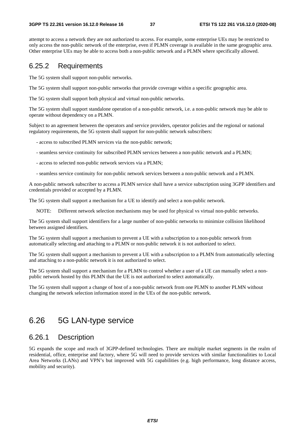attempt to access a network they are not authorized to access. For example, some enterprise UEs may be restricted to only access the non-public network of the enterprise, even if PLMN coverage is available in the same geographic area. Other enterprise UEs may be able to access both a non-public network and a PLMN where specifically allowed.

#### 6.25.2 Requirements

The 5G system shall support non-public networks.

The 5G system shall support non-public networks that provide coverage within a specific geographic area.

The 5G system shall support both physical and virtual non-public networks.

The 5G system shall support standalone operation of a non-public network, i.e. a non-public network may be able to operate without dependency on a PLMN.

Subject to an agreement between the operators and service providers, operator policies and the regional or national regulatory requirements, the 5G system shall support for non-public network subscribers:

- access to subscribed PLMN services via the non-public network;

- seamless service continuity for subscribed PLMN services between a non-public network and a PLMN;
- access to selected non-public network services via a PLMN;
- seamless service continuity for non-public network services between a non-public network and a PLMN.

A non-public network subscriber to access a PLMN service shall have a service subscription using 3GPP identifiers and credentials provided or accepted by a PLMN.

The 5G system shall support a mechanism for a UE to identify and select a non-public network.

NOTE: Different network selection mechanisms may be used for physical vs virtual non-public networks.

The 5G system shall support identifiers for a large number of non-public networks to minimize collision likelihood between assigned identifiers.

The 5G system shall support a mechanism to prevent a UE with a subscription to a non-public network from automatically selecting and attaching to a PLMN or non-public network it is not authorized to select.

The 5G system shall support a mechanism to prevent a UE with a subscription to a PLMN from automatically selecting and attaching to a non-public network it is not authorized to select.

The 5G system shall support a mechanism for a PLMN to control whether a user of a UE can manually select a nonpublic network hosted by this PLMN that the UE is not authorized to select automatically.

The 5G system shall support a change of host of a non-public network from one PLMN to another PLMN without changing the network selection information stored in the UEs of the non-public network.

### 6.26 5G LAN-type service

### 6.26.1 Description

5G expands the scope and reach of 3GPP-defined technologies. There are multiple market segments in the realm of residential, office, enterprise and factory, where 5G will need to provide services with similar functionalities to Local Area Networks (LANs) and VPN's but improved with 5G capabilities (e.g. high performance, long distance access, mobility and security).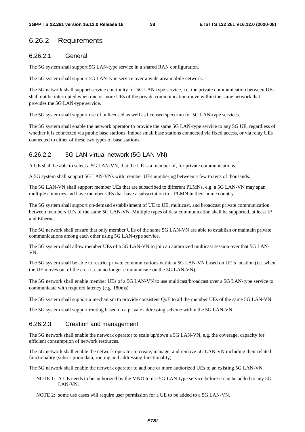#### 6.26.2 Requirements

#### 6.26.2.1 General

The 5G system shall support 5G LAN-type service in a shared RAN configuration.

The 5G system shall support 5G LAN-type service over a wide area mobile network.

The 5G network shall support service continuity for 5G LAN-type service, i.e. the private communication between UEs shall not be interrupted when one or more UEs of the private communication move within the same network that provides the 5G LAN-type service.

The 5G system shall support use of unlicensed as well as licensed spectrum for 5G LAN-type services.

The 5G system shall enable the network operator to provide the same 5G LAN-type service to any 5G UE, regardless of whether it is connected via public base stations, indoor small base stations connected via fixed access, or via relay UEs connected to either of these two types of base stations.

#### 6.26.2.2 5G LAN-virtual network (5G LAN-VN)

A UE shall be able to select a 5G LAN-VN, that the UE is a member of, for private communications.

A 5G system shall support 5G LAN-VNs with member UEs numbering between a few to tens of thousands.

The 5G LAN-VN shall support member UEs that are subscribed to different PLMNs, e.g. a 5G LAN-VN may span multiple countries and have member UEs that have a subscription to a PLMN in their home country.

The 5G system shall support on-demand establishment of UE to UE, multicast, and broadcast private communication between members UEs of the same 5G LAN-VN. Multiple types of data communication shall be supported, at least IP and Ethernet.

The 5G network shall ensure that only member UEs of the same 5G LAN-VN are able to establish or maintain private communications among each other using 5G LAN-type service.

The 5G system shall allow member UEs of a 5G LAN-VN to join an authorized multicast session over that 5G LAN-VN.

The 5G system shall be able to restrict private communications within a 5G LAN-VN based on UE's location (i.e. when the UE moves out of the area it can no longer communicate on the 5G LAN-VN).

The 5G network shall enable member UEs of a 5G LAN-VN to use multicast/broadcast over a 5G LAN-type service to communicate with required latency (e.g. 180ms).

The 5G system shall support a mechanism to provide consistent QoE to all the member UEs of the same 5G LAN-VN.

The 5G system shall support routing based on a private addressing scheme within the 5G LAN-VN.

#### 6.26.2.3 Creation and management

The 5G network shall enable the network operator to scale up/down a 5G LAN-VN, e.g. the coverage, capacity for efficient consumption of network resources.

The 5G network shall enable the network operator to create, manage, and remove 5G LAN-VN including their related functionality (subscription data, routing and addressing functionality).

The 5G network shall enable the network operator to add one or more authorized UEs to an existing 5G LAN-VN.

NOTE 1: A UE needs to be authorized by the MNO to use 5G LAN-type service before it can be added to any 5G LAN-VN.

NOTE 2: some use cases will require user permission for a UE to be added to a 5G LAN-VN.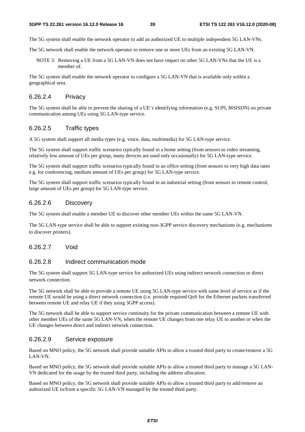The 5G system shall enable the network operator to add an authorized UE to multiple independent 5G LAN-VNs.

The 5G network shall enable the network operator to remove one or more UEs from an existing 5G LAN-VN.

NOTE 3: Removing a UE from a 5G LAN-VN does not have impact on other 5G LAN-VNs that the UE is a member of.

The 5G system shall enable the network operator to configure a 5G LAN-VN that is available only within a geographical area.

#### 6.26.2.4 Privacy

The 5G system shall be able to prevent the sharing of a UE's identifying information (e.g. SUPI, MSISDN) on private communication among UEs using 5G LAN-type service.

#### 6.26.2.5 Traffic types

A 5G system shall support all media types (e.g. voice, data, multimedia) for 5G LAN-type service.

The 5G system shall support traffic scenarios typically found in a home setting (from sensors to video streaming, relatively low amount of UEs per group, many devices are used only occasionally) for 5G LAN-type service.

The 5G system shall support traffic scenarios typically found in an office setting (from sensors to very high data rates e.g. for conferencing, medium amount of UEs per group) for 5G LAN-type service.

The 5G system shall support traffic scenarios typically found in an industrial setting (from sensors to remote control, large amount of UEs per group) for 5G LAN-type service.

#### 6.26.2.6 Discovery

The 5G system shall enable a member UE to discover other member UEs within the same 5G LAN-VN.

The 5G LAN-type service shall be able to support existing non-3GPP service discovery mechanisms (e.g. mechanisms to discover printers).

#### 6.26.2.7 Void

#### 6.26.2.8 Indirect communication mode

The 5G system shall support 5G LAN-type service for authorized UEs using indirect network connection or direct network connection.

The 5G network shall be able to provide a remote UE using 5G LAN-type service with same level of service as if the remote UE would be using a direct network connection (i.e. provide required QoS for the Ethernet packets transferred between remote UE and relay UE if they using 3GPP access).

The 5G network shall be able to support service continuity for the private communication between a remote UE with other member UEs of the same 5G LAN-VN, when the remote UE changes from one relay UE to another or when the UE changes between direct and indirect network connection.

#### 6.26.2.9 Service exposure

Based on MNO policy, the 5G network shall provide suitable APIs to allow a trusted third party to create/remove a 5G LAN-VN.

Based on MNO policy, the 5G network shall provide suitable APIs to allow a trusted third party to manage a 5G LAN-VN dedicated for the usage by the trusted third party, including the address allocation.

Based on MNO policy, the 5G network shall provide suitable APIs to allow a trusted third party to add/remove an authorized UE to/from a specific 5G LAN-VN managed by the trusted third party.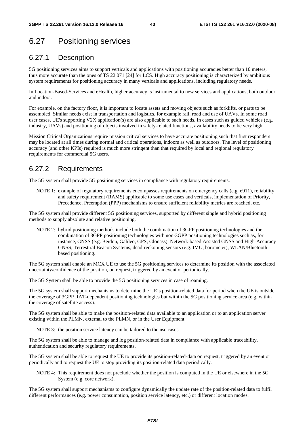# 6.27 Positioning services

### 6.27.1 Description

5G positioning services aims to support verticals and applications with positioning accuracies better than 10 meters, thus more accurate than the ones of TS 22.071 [24] for LCS. High accuracy positioning is characterized by ambitious system requirements for positioning accuracy in many verticals and applications, including regulatory needs.

In Location-Based-Services and eHealth, higher accuracy is instrumental to new services and applications, both outdoor and indoor.

For example, on the factory floor, it is important to locate assets and moving objects such as forklifts, or parts to be assembled. Similar needs exist in transportation and logistics, for example rail, road and use of UAVs. In some road user cases, UE's supporting V2X application(s) are also applicable to such needs. In cases such as guided vehicles (e.g. industry, UAVs) and positioning of objects involved in safety-related functions, availability needs to be very high.

Mission Critical Organizations require mission critical services to have accurate positioning such that first responders may be located at all times during normal and critical operations, indoors as well as outdoors. The level of positioning accuracy (and other KPIs) required is much more stringent than that required by local and regional regulatory requirements for commercial 5G users.

### 6.27.2 Requirements

The 5G system shall provide 5G positioning services in compliance with regulatory requirements.

NOTE 1: example of regulatory requirements encompasses requirements on emergency calls (e.g. e911), reliability and safety requirement (RAMS) applicable to some use cases and verticals, implementation of Priority, Precedence, Preemption (PPP) mechanisms to ensure sufficient reliability metrics are reached, etc.

The 5G system shall provide different 5G positioning services, supported by different single and hybrid positioning methods to supply absolute and relative positioning.

NOTE 2: hybrid positioning methods include both the combination of 3GPP positioning technologies and the combination of 3GPP positioning technologies with non-3GPP positioning technologies such as, for instance, GNSS (e.g. Beidou, Galileo, GPS, Glonass), Network-based Assisted GNSS and High-Accuracy GNSS, Terrestrial Beacon Systems, dead-reckoning sensors (e.g. IMU, barometer), WLAN/Bluetoothbased positioning.

The 5G system shall enable an MCX UE to use the 5G positioning services to determine its position with the associated uncertainty/confidence of the position, on request, triggered by an event or periodically.

The 5G System shall be able to provide the 5G positioning services in case of roaming.

The 5G system shall support mechanisms to determine the UE's position-related data for period when the UE is outside the coverage of 3GPP RAT-dependent positioning technologies but within the 5G positioning service area (e.g. within the coverage of satellite access).

The 5G system shall be able to make the position-related data available to an application or to an application server existing within the PLMN, external to the PLMN, or in the User Equipment.

NOTE 3: the position service latency can be tailored to the use cases.

The 5G system shall be able to manage and log position-related data in compliance with applicable traceability, authentication and security regulatory requirements.

The 5G system shall be able to request the UE to provide its position-related-data on request, triggered by an event or periodically and to request the UE to stop providing its position-related data periodically.

NOTE 4: This requirement does not preclude whether the position is computed in the UE or elsewhere in the 5G System (e.g. core network).

The 5G system shall support mechanisms to configure dynamically the update rate of the position-related data to fulfil different performances (e.g. power consumption, position service latency, etc.) or different location modes.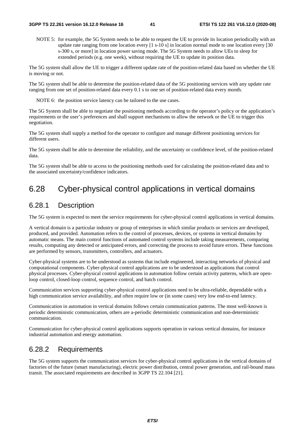NOTE 5: for example, the 5G System needs to be able to request the UE to provide its location periodically with an update rate ranging from one location every [1 s-10 s] in location normal mode to one location every [30 s-300 s, or more] in location power saving mode. The 5G System needs to allow UEs to sleep for extended periods (e.g. one week), without requiring the UE to update its position data.

The 5G system shall allow the UE to trigger a different update rate of the position-related data based on whether the UE is moving or not.

The 5G system shall be able to determine the position-related data of the 5G positioning services with any update rate ranging from one set of position-related data every 0.1 s to one set of position-related data every month.

NOTE 6: the position service latency can be tailored to the use cases.

The 5G System shall be able to negotiate the positioning methods according to the operator's policy or the application's requirements or the user's preferences and shall support mechanisms to allow the network or the UE to trigger this negotiation.

The 5G system shall supply a method for the operator to configure and manage different positioning services for different users.

The 5G system shall be able to determine the reliability, and the uncertainty or confidence level, of the position-related data.

The 5G system shall be able to access to the positioning methods used for calculating the position-related data and to the associated uncertainty/confidence indicators.

### 6.28 Cyber-physical control applications in vertical domains

#### 6.28.1 Description

The 5G system is expected to meet the service requirements for cyber-physical control applications in vertical domains.

A vertical domain is a particular industry or group of enterprises in which similar products or services are developed, produced, and provided. Automation refers to the control of processes, devices, or systems in vertical domains by automatic means. The main control functions of automated control systems include taking measurements, comparing results, computing any detected or anticipated errors, and correcting the process to avoid future errors. These functions are performed by sensors, transmitters, controllers, and actuators.

Cyber-physical systems are to be understood as systems that include engineered, interacting networks of physical and computational components. Cyber-physical control applications are to be understood as applications that control physical processes. Cyber-physical control applications in automation follow certain activity patterns, which are openloop control, closed-loop control, sequence control, and batch control.

Communication services supporting cyber-physical control applications need to be ultra-reliable, dependable with a high communication service availability, and often require low or (in some cases) very low end-to-end latency.

Communication in automation in vertical domains follows certain communication patterns. The most well-known is periodic deterministic communication, others are a-periodic deterministic communication and non-deterministic communication.

Communication for cyber-physical control applications supports operation in various vertical domains, for instance industrial automation and energy automation.

#### 6.28.2 Requirements

The 5G system supports the communication services for cyber-physical control applications in the vertical domains of factories of the future (smart manufacturing), electric power distribution, central power generation, and rail-bound mass transit. The associated requirements are described in 3GPP TS 22.104 [21].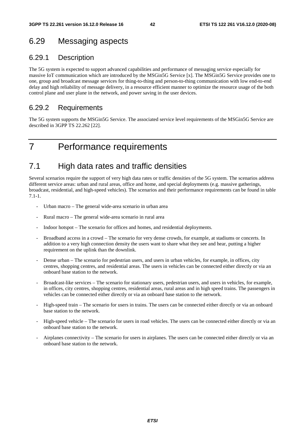### 6.29 Messaging aspects

### 6.29.1 Description

The 5G system is expected to support advanced capabilities and performance of messaging service especially for massive IoT communication which are introduced by the MSGin5G Service [x]. The MSGin5G Service provides one to one, group and broadcast message services for thing-to-thing and person-to-thing communication with low end-to-end delay and high reliability of message delivery, in a resource efficient manner to optimize the resource usage of the both control plane and user plane in the network, and power saving in the user devices.

#### 6.29.2 Requirements

The 5G system supports the MSGin5G Service. The associated service level requirements of the MSGin5G Service are described in 3GPP TS 22.262 [22].

# 7 Performance requirements

### 7.1 High data rates and traffic densities

Several scenarios require the support of very high data rates or traffic densities of the 5G system. The scenarios address different service areas: urban and rural areas, office and home, and special deployments (e.g. massive gatherings, broadcast, residential, and high-speed vehicles). The scenarios and their performance requirements can be found in table 7.1-1.

- Urban macro The general wide-area scenario in urban area
- Rural macro The general wide-area scenario in rural area
- Indoor hotspot The scenario for offices and homes, and residential deployments.
- Broadband access in a crowd The scenario for very dense crowds, for example, at stadiums or concerts. In addition to a very high connection density the users want to share what they see and hear, putting a higher requirement on the uplink than the downlink.
- Dense urban The scenario for pedestrian users, and users in urban vehicles, for example, in offices, city centres, shopping centres, and residential areas. The users in vehicles can be connected either directly or via an onboard base station to the network.
- Broadcast-like services The scenario for stationary users, pedestrian users, and users in vehicles, for example, in offices, city centres, shopping centres, residential areas, rural areas and in high speed trains. The passengers in vehicles can be connected either directly or via an onboard base station to the network.
- High-speed train The scenario for users in trains. The users can be connected either directly or via an onboard base station to the network.
- High-speed vehicle The scenario for users in road vehicles. The users can be connected either directly or via an onboard base station to the network.
- Airplanes connectivity The scenario for users in airplanes. The users can be connected either directly or via an onboard base station to the network.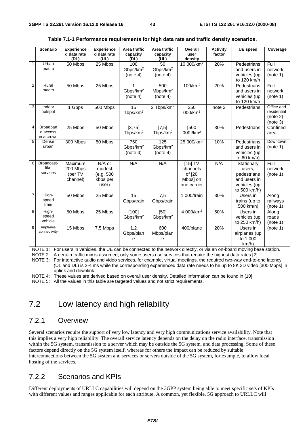|                | <b>Scenario</b>                                                                       | <b>Experience</b>    | <b>Experience</b> | Area traffic                     | Area traffic                     | Overall                                                                                                         | <b>Activity</b> | <b>UE</b> speed                                                                                                         | Coverage             |
|----------------|---------------------------------------------------------------------------------------|----------------------|-------------------|----------------------------------|----------------------------------|-----------------------------------------------------------------------------------------------------------------|-----------------|-------------------------------------------------------------------------------------------------------------------------|----------------------|
|                |                                                                                       | d data rate          | d data rate       | capacity                         | capacity                         | user                                                                                                            | factor          |                                                                                                                         |                      |
|                |                                                                                       | (DL)                 | (UL)              | (DL)                             | (UL)                             | density                                                                                                         |                 |                                                                                                                         |                      |
| $\mathbf{1}$   | Urban<br>macro                                                                        | 50 Mbps              | 25 Mbps           | 100                              | 50                               | 10 000/km <sup>2</sup>                                                                                          | 20%             | Pedestrians                                                                                                             | Full                 |
|                |                                                                                       |                      |                   | Gbps/km <sup>2</sup>             | Gbps/km <sup>2</sup>             |                                                                                                                 |                 | and users in                                                                                                            | network              |
|                |                                                                                       |                      |                   | (note 4)                         | (note 4)                         |                                                                                                                 |                 | vehicles (up                                                                                                            | (note 1)             |
| $\overline{2}$ | Rural                                                                                 |                      |                   |                                  |                                  | $100$ /km <sup>2</sup>                                                                                          |                 | to 120 km/h                                                                                                             |                      |
|                | macro                                                                                 | 50 Mbps              | 25 Mbps           |                                  | 500                              |                                                                                                                 | 20%             | Pedestrians                                                                                                             | Full                 |
|                |                                                                                       |                      |                   | Gbps/km <sup>2</sup><br>(note 4) | Mbps/km <sup>2</sup><br>(note 4) |                                                                                                                 |                 | and users in<br>vehicles (up                                                                                            | network<br>(note 1)  |
|                |                                                                                       |                      |                   |                                  |                                  |                                                                                                                 |                 | to 120 km/h                                                                                                             |                      |
| 3              | Indoor                                                                                | 1 Gbps               | 500 Mbps          | 15                               | 2 Tbps/km <sup>2</sup>           | 250                                                                                                             | note 2          | Pedestrians                                                                                                             | Office and           |
|                | hotspot                                                                               |                      |                   | Tbps/km <sup>2</sup>             |                                  | 000/km <sup>2</sup>                                                                                             |                 |                                                                                                                         | residential          |
|                |                                                                                       |                      |                   |                                  |                                  |                                                                                                                 |                 |                                                                                                                         | (note 2)             |
|                |                                                                                       |                      |                   |                                  |                                  |                                                                                                                 |                 |                                                                                                                         | (note 3)             |
| 4              | Broadban                                                                              | 25 Mbps              | 50 Mbps           | [3, 75]                          | [7,5]                            | [500                                                                                                            | 30%             | Pedestrians                                                                                                             | Confined             |
|                | d access                                                                              |                      |                   | Tbps/km <sup>2</sup>             | Tbps/km <sup>2</sup>             | 000]/km <sup>2</sup>                                                                                            |                 |                                                                                                                         | area                 |
|                | in a crowd                                                                            |                      |                   |                                  |                                  |                                                                                                                 |                 |                                                                                                                         |                      |
| 5              | Dense<br>urban                                                                        | 300 Mbps             | 50 Mbps           | 750                              | 125                              | 25 000/km <sup>2</sup>                                                                                          | 10%             | Pedestrians                                                                                                             | Downtown<br>(note 1) |
|                |                                                                                       |                      |                   | Gbps/km <sup>2</sup>             | Gbps/km <sup>2</sup>             |                                                                                                                 |                 | and users in                                                                                                            |                      |
|                |                                                                                       |                      |                   | (note 4)                         | (note 4)                         |                                                                                                                 |                 | vehicles (up<br>to 60 km/h)                                                                                             |                      |
| 6              | Broadcast-                                                                            | Maximum              | N/A or            | N/A                              | N/A                              | $[15]$ TV                                                                                                       | N/A             | Stationary                                                                                                              | Full                 |
|                | like                                                                                  | 200 Mbps             | modest            |                                  |                                  | channels                                                                                                        |                 | users,                                                                                                                  | network              |
|                | services                                                                              | (per TV              | (e.g. 500         |                                  |                                  | of [20                                                                                                          |                 | pedestrians                                                                                                             | (note 1)             |
|                |                                                                                       | channel)             | kbps per          |                                  |                                  | Mbps] on                                                                                                        |                 | and users in                                                                                                            |                      |
|                |                                                                                       |                      | user)             |                                  |                                  | one carrier                                                                                                     |                 | vehicles (up                                                                                                            |                      |
|                |                                                                                       |                      |                   |                                  |                                  |                                                                                                                 |                 | to 500 km/h)                                                                                                            |                      |
| 7              | High-                                                                                 | 50 Mbps              | 25 Mbps           | 15                               | 7,5                              | 1 000/train                                                                                                     | 30%             | Users in                                                                                                                | Along                |
|                | speed                                                                                 |                      |                   | Gbps/train                       | Gbps/train                       |                                                                                                                 |                 | trains (up to                                                                                                           | railways             |
|                | train                                                                                 |                      |                   |                                  |                                  |                                                                                                                 |                 | 500 km/h)                                                                                                               | (note 1)             |
| 8              | High-                                                                                 | 50 Mbps              | 25 Mbps           | [100]                            | [50]                             | 4 000/km <sup>2</sup>                                                                                           | 50%             | Users in                                                                                                                | Along                |
|                | speed                                                                                 |                      |                   | Gbps/km <sup>2</sup>             | Gbps/km <sup>2</sup>             |                                                                                                                 |                 | vehicles (up                                                                                                            | roads                |
|                | vehicle                                                                               |                      |                   |                                  |                                  |                                                                                                                 |                 | to 250 km/h)                                                                                                            | (note 1)             |
| 9              | Airplanes                                                                             | 15 Mbps              | 7,5 Mbps          | 1,2                              | 600                              | 400/plane                                                                                                       | 20%             | Users in                                                                                                                | (note 1)             |
|                | connectivity                                                                          |                      |                   | Gbps/plan                        | Mbps/plan                        |                                                                                                                 |                 | airplanes (up                                                                                                           |                      |
|                |                                                                                       |                      |                   | e                                | e                                |                                                                                                                 |                 | to 1 000                                                                                                                |                      |
|                |                                                                                       |                      |                   |                                  |                                  |                                                                                                                 |                 | km/h)                                                                                                                   |                      |
|                |                                                                                       |                      |                   |                                  |                                  |                                                                                                                 |                 | NOTE 1: For users in vehicles, the UE can be connected to the network directly, or via an on-board moving base station. |                      |
|                |                                                                                       |                      |                   |                                  |                                  | NOTE 2: A certain traffic mix is assumed; only some users use services that require the highest data rates [2]. |                 |                                                                                                                         |                      |
|                | NOTE 3:                                                                               |                      |                   |                                  |                                  |                                                                                                                 |                 | For interactive audio and video services, for example, virtual meetings, the required two-way end-to-end latency        |                      |
|                |                                                                                       |                      |                   |                                  |                                  |                                                                                                                 |                 | (UL and DL) is 2-4 ms while the corresponding experienced data rate needs to be up to 8K 3D video [300 Mbps] in         |                      |
|                |                                                                                       | uplink and downlink. |                   |                                  |                                  |                                                                                                                 |                 |                                                                                                                         |                      |
|                |                                                                                       |                      |                   |                                  |                                  | NOTE 4: These values are derived based on overall user density. Detailed information can be found in [10].      |                 |                                                                                                                         |                      |
|                | NOTE 5: All the values in this table are targeted values and not strict requirements. |                      |                   |                                  |                                  |                                                                                                                 |                 |                                                                                                                         |                      |

#### **Table 7.1-1 Performance requirements for high data rate and traffic density scenarios.**

7.2 Low latency and high reliability

### 7.2.1 Overview

Several scenarios require the support of very low latency and very high communications service availability. Note that this implies a very high reliability. The overall service latency depends on the delay on the radio interface, transmission within the 5G system, transmission to a server which may be outside the 5G system, and data processing. Some of these factors depend directly on the 5G system itself, whereas for others the impact can be reduced by suitable interconnections between the 5G system and services or servers outside of the 5G system, for example, to allow local hosting of the services.

### 7.2.2 Scenarios and KPIs

Different deployments of URLLC capabilities will depend on the 3GPP system being able to meet specific sets of KPIs with different values and ranges applicable for each attribute. A common, yet flexible, 5G approach to URLLC will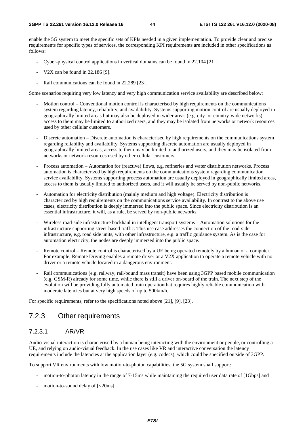enable the 5G system to meet the specific sets of KPIs needed in a given implementation. To provide clear and precise requirements for specific types of services, the corresponding KPI requirements are included in other specifications as follows:

- Cyber-physical control applications in vertical domains can be found in 22.104 [21].
- V2X can be found in 22.186 [9].
- Rail communications can be found in 22.289 [23].

Some scenarios requiring very low latency and very high communication service availability are described below:

- Motion control Conventional motion control is characterised by high requirements on the communications system regarding latency, reliability, and availability. Systems supporting motion control are usually deployed in geographically limited areas but may also be deployed in wider areas (e.g. city- or country-wide networks), access to them may be limited to authorized users, and they may be isolated from networks or network resources used by other cellular customers.
- Discrete automation Discrete automation is characterised by high requirements on the communications system regarding reliability and availability. Systems supporting discrete automation are usually deployed in geographically limited areas, access to them may be limited to authorized users, and they may be isolated from networks or network resources used by other cellular customers.
- Process automation Automation for (reactive) flows, e.g. refineries and water distribution networks. Process automation is characterized by high requirements on the communications system regarding communication service availability. Systems supporting process automation are usually deployed in geographically limited areas, access to them is usually limited to authorized users, and it will usually be served by non-public networks.
- Automation for electricity distribution (mainly medium and high voltage). Electricity distribution is characterized by high requirements on the communications service availability. In contrast to the above use cases, electricity distribution is deeply immersed into the public space. Since electricity distribution is an essential infrastructure, it will, as a rule, be served by non-public networks.
- Wireless road-side infrastructure backhaul in intelligent transport systems Automation solutions for the infrastructure supporting street-based traffic. This use case addresses the connection of the road-side infrastructure, e.g. road side units, with other infrastructure, e.g. a traffic guidance system. As is the case for automation electricity, the nodes are deeply immersed into the public space.
- Remote control Remote control is characterised by a UE being operated remotely by a human or a computer. For example, Remote Driving enables a remote driver or a V2X application to operate a remote vehicle with no driver or a remote vehicle located in a dangerous environment.
- Rail communications (e.g. railway, rail-bound mass transit) have been using 3GPP based mobile communication (e.g. GSM-R) already for some time, while there is still a driver on-board of the train. The next step of the evolution will be providing fully automated train operationthat requires highly reliable communication with moderate latencies but at very high speeds of up to 500km/h.

For specific requirements, refer to the specifications noted above [21], [9], [23].

#### 7.2.3 Other requirements

#### 7.2.3.1 AR/VR

Audio-visual interaction is characterised by a human being interacting with the environment or people, or controlling a UE, and relying on audio-visual feedback. In the use cases like VR and interactive conversation the latency requirements include the latencies at the application layer (e.g. codecs), which could be specified outside of 3GPP.

To support VR environments with low motion-to-photon capabilities, the 5G system shall support:

- motion-to-photon latency in the range of 7-15ms while maintaining the required user data rate of [1Gbps] and
- motion-to-sound delay of  $\left[ < 20 \text{ms} \right]$ .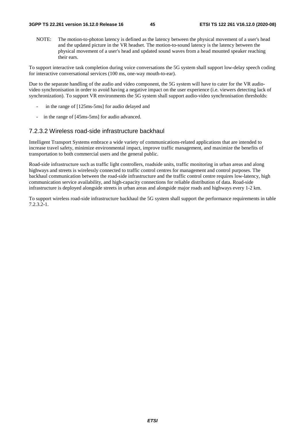NOTE: The motion-to-photon latency is defined as the latency between the physical movement of a user's head and the updated picture in the VR headset. The motion-to-sound latency is the latency between the physical movement of a user's head and updated sound waves from a head mounted speaker reaching their ears.

To support interactive task completion during voice conversations the 5G system shall support low-delay speech coding for interactive conversational services (100 ms, one-way mouth-to-ear).

Due to the separate handling of the audio and video component, the 5G system will have to cater for the VR audiovideo synchronisation in order to avoid having a negative impact on the user experience (i.e. viewers detecting lack of synchronization). To support VR environments the 5G system shall support audio-video synchronisation thresholds:

- in the range of [125ms-5ms] for audio delayed and
- in the range of [45ms-5ms] for audio advanced.

#### 7.2.3.2 Wireless road-side infrastructure backhaul

Intelligent Transport Systems embrace a wide variety of communications-related applications that are intended to increase travel safety, minimize environmental impact, improve traffic management, and maximize the benefits of transportation to both commercial users and the general public.

Road-side infrastructure such as traffic light controllers, roadside units, traffic monitoring in urban areas and along highways and streets is wirelessly connected to traffic control centres for management and control purposes. The backhaul communication between the road-side infrastructure and the traffic control centre requires low-latency, high communication service availability, and high-capacity connections for reliable distribution of data. Road-side infrastructure is deployed alongside streets in urban areas and alongside major roads and highways every 1-2 km.

To support wireless road-side infrastructure backhaul the 5G system shall support the performance requirements in table 7.2.3.2-1.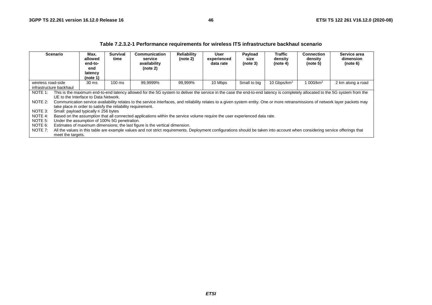|                                                                                                              |                                                                                                                                                                                                                                                                                                                                                                                                                                                                                                                                                                                                                                                   |                                                          |                                              | 1 apro 1.2.0.2 T T on ormanoc Togan chionto ToF Milology ITO Inhabit ablance babitman goonario                                                                                                                                                             |                                |                                  |                             |                                |                                   |                                       |
|--------------------------------------------------------------------------------------------------------------|---------------------------------------------------------------------------------------------------------------------------------------------------------------------------------------------------------------------------------------------------------------------------------------------------------------------------------------------------------------------------------------------------------------------------------------------------------------------------------------------------------------------------------------------------------------------------------------------------------------------------------------------------|----------------------------------------------------------|----------------------------------------------|------------------------------------------------------------------------------------------------------------------------------------------------------------------------------------------------------------------------------------------------------------|--------------------------------|----------------------------------|-----------------------------|--------------------------------|-----------------------------------|---------------------------------------|
| <b>Scenario</b>                                                                                              |                                                                                                                                                                                                                                                                                                                                                                                                                                                                                                                                                                                                                                                   | Max.<br>allowed<br>end-to-<br>end<br>latency<br>(note 1) | <b>Survival</b><br>time                      | Communication<br>service<br>availability<br>(note 2)                                                                                                                                                                                                       | <b>Reliability</b><br>(note 2) | User<br>experienced<br>data rate | Payload<br>size<br>(note 3) | Traffic<br>density<br>(note 4) | Connection<br>density<br>(note 5) | Service area<br>dimension<br>(note 6) |
| 99,9999%<br>10 Mbps<br>$100 \text{ ms}$<br>99,999%<br>wireless road-side<br>30 ms<br>infrastructure backhaul |                                                                                                                                                                                                                                                                                                                                                                                                                                                                                                                                                                                                                                                   |                                                          |                                              |                                                                                                                                                                                                                                                            |                                |                                  | Small to big                | 10 Gbps/km <sup>2</sup>        | 1 000/km <sup>2</sup>             | 2 km along a road                     |
| NOTE 1:<br>NOTE 2:<br>NOTE 3:<br>NOTE 4:                                                                     | This is the maximum end-to-end latency allowed for the 5G system to deliver the service in the case the end-to-end latency is completely allocated to the 5G system from the<br>UE to the Interface to Data Network.<br>Communication service availability relates to the service interfaces, and reliability relates to a given system entity. One or more retransmissions of network layer packets may<br>take place in order to satisfy the reliability requirement.<br>Small: payload typically $\leq$ 256 bytes<br>Based on the assumption that all connected applications within the service volume require the user experienced data rate. |                                                          |                                              |                                                                                                                                                                                                                                                            |                                |                                  |                             |                                |                                   |                                       |
| NOTE 5:<br>NOTE 6:<br>NOTE 7:                                                                                | meet the targets.                                                                                                                                                                                                                                                                                                                                                                                                                                                                                                                                                                                                                                 |                                                          | Under the assumption of 100% 5G penetration. | Estimates of maximum dimensions; the last figure is the vertical dimension.<br>All the values in this table are example values and not strict requirements. Deployment configurations should be taken into account when considering service offerings that |                                |                                  |                             |                                |                                   |                                       |

#### **Table 7.2.3.2-1 Performance requirements for wireless ITS infrastructure backhaul scenario**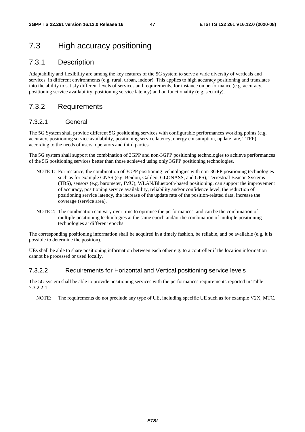### 7.3 High accuracy positioning

#### 7.3.1 Description

Adaptability and flexibility are among the key features of the 5G system to serve a wide diversity of verticals and services, in different environments (e.g. rural, urban, indoor). This applies to high accuracy positioning and translates into the ability to satisfy different levels of services and requirements, for instance on performance (e.g. accuracy, positioning service availability, positioning service latency) and on functionality (e.g. security).

### 7.3.2 Requirements

#### 7.3.2.1 General

The 5G System shall provide different 5G positioning services with configurable performances working points (e.g. accuracy, positioning service availability, positioning service latency, energy consumption, update rate, TTFF) according to the needs of users, operators and third parties.

The 5G system shall support the combination of 3GPP and non-3GPP positioning technologies to achieve performances of the 5G positioning services better than those achieved using only 3GPP positioning technologies.

- NOTE 1: For instance, the combination of 3GPP positioning technologies with non-3GPP positioning technologies such as for example GNSS (e.g. Beidou, Galileo, GLONASS, and GPS), Terrestrial Beacon Systems (TBS), sensors (e.g. barometer, IMU), WLAN/Bluetooth-based positioning, can support the improvement of accuracy, positioning service availability, reliability and/or confidence level, the reduction of positioning service latency, the increase of the update rate of the position-related data, increase the coverage (service area).
- NOTE 2: The combination can vary over time to optimise the performances, and can be the combination of multiple positioning technologies at the same epoch and/or the combination of multiple positioning technologies at different epochs.

The corresponding positioning information shall be acquired in a timely fashion, be reliable, and be available (e.g. it is possible to determine the position).

UEs shall be able to share positioning information between each other e.g. to a controller if the location information cannot be processed or used locally.

#### 7.3.2.2 Requirements for Horizontal and Vertical positioning service levels

The 5G system shall be able to provide positioning services with the performances requirements reported in Table 7.3.2.2-1.

NOTE: The requirements do not preclude any type of UE, including specific UE such as for example V2X, MTC.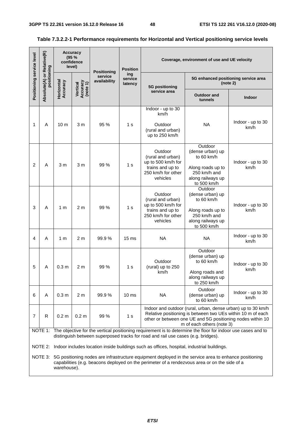L,

| Positioning service level | Relative(R)                        |                        | <b>Accuracy</b><br>(95%<br>confidence<br>level) | <b>Positioning</b>      | <b>Position</b>           |                                                                                                          | Coverage, environment of use and UE velocity                                                                                                                                                                           |                           |  |
|---------------------------|------------------------------------|------------------------|-------------------------------------------------|-------------------------|---------------------------|----------------------------------------------------------------------------------------------------------|------------------------------------------------------------------------------------------------------------------------------------------------------------------------------------------------------------------------|---------------------------|--|
|                           | Absolute(A) or Rela<br>positioning | Horizontal<br>Accuracy |                                                 | service<br>availability | ing<br>service<br>latency | 5G positioning                                                                                           | 5G enhanced positioning service area<br>(note 2)                                                                                                                                                                       |                           |  |
|                           |                                    |                        | Vertical<br>Accuracy<br>(note 1)                |                         |                           | service area                                                                                             | <b>Outdoor and</b><br>tunnels                                                                                                                                                                                          | <b>Indoor</b>             |  |
|                           |                                    |                        |                                                 |                         |                           | Indoor - up to 30<br>km/h                                                                                |                                                                                                                                                                                                                        |                           |  |
| 1                         | A                                  | 10 <sub>m</sub>        | 3 <sub>m</sub>                                  | 95 %                    | 1 s                       | Outdoor<br>(rural and urban)<br>up to 250 km/h                                                           | <b>NA</b>                                                                                                                                                                                                              | Indoor - up to 30<br>km/h |  |
|                           |                                    |                        |                                                 |                         |                           | Outdoor<br>(rural and urban)                                                                             | Outdoor<br>(dense urban) up<br>to 60 km/h                                                                                                                                                                              |                           |  |
| $\overline{2}$            | A                                  | 3 m                    | 3 <sub>m</sub>                                  | 99 %                    | 1 <sub>s</sub>            | up to 500 km/h for<br>trains and up to<br>250 km/h for other<br>vehicles                                 | Along roads up to<br>250 km/h and<br>along railways up<br>to 500 km/h                                                                                                                                                  | Indoor - up to 30<br>km/h |  |
| 3                         | A                                  | 1 <sub>m</sub>         | 2 <sub>m</sub>                                  | 99 %                    | 1 <sub>s</sub>            | Outdoor<br>(rural and urban)<br>up to 500 km/h for<br>trains and up to<br>250 km/h for other<br>vehicles | Outdoor<br>(dense urban) up<br>to 60 km/h<br>Along roads up to<br>250 km/h and<br>along railways up                                                                                                                    | Indoor - up to 30<br>km/h |  |
|                           |                                    |                        |                                                 |                         |                           |                                                                                                          | to 500 km/h                                                                                                                                                                                                            | Indoor - up to 30         |  |
| 4                         | A                                  | 1 m                    | 2 <sub>m</sub>                                  | 99.9%                   | 15 <sub>ms</sub>          | <b>NA</b>                                                                                                | <b>NA</b>                                                                                                                                                                                                              | km/h                      |  |
| 5                         | А                                  | 0.3 <sub>m</sub>       | 2 m                                             | 99 %                    | 1 s                       | Outdoor<br>(rural) up to 250                                                                             | Outdoor<br>(dense urban) up<br>to 60 km/h                                                                                                                                                                              | Indoor - up to 30<br>km/h |  |
|                           |                                    |                        |                                                 |                         |                           | km/h                                                                                                     | Along roads and<br>along railways up<br>to 250 km/h                                                                                                                                                                    |                           |  |
| 6                         | A                                  | 0.3 <sub>m</sub>       | 2 <sub>m</sub>                                  | 99.9%                   | 10 <sub>ms</sub>          | <b>NA</b>                                                                                                | Outdoor<br>(dense urban) up<br>to 60 km/h                                                                                                                                                                              | Indoor - up to 30<br>km/h |  |
| $\overline{7}$            | R                                  | 0.2 <sub>m</sub>       | 0.2 <sub>m</sub>                                | 99 %                    | 1 <sub>s</sub>            |                                                                                                          | Indoor and outdoor (rural, urban, dense urban) up to 30 km/h<br>Relative positioning is between two UEs within 10 m of each<br>other or between one UE and 5G positioning nodes within 10<br>m of each others (note 3) |                           |  |
|                           |                                    |                        |                                                 |                         |                           | distinguish between superposed tracks for road and rail use cases (e.g. bridges).                        | NOTE 1: The objective for the vertical positioning requirement is to determine the floor for indoor use cases and to                                                                                                   |                           |  |
|                           |                                    |                        |                                                 |                         |                           | NOTE 2: Indoor includes location inside buildings such as offices, hospital, industrial buildings.       |                                                                                                                                                                                                                        |                           |  |
|                           |                                    | warehouse).            |                                                 |                         |                           |                                                                                                          | NOTE 3: 5G positioning nodes are infrastructure equipment deployed in the service area to enhance positioning<br>capabilities (e.g. beacons deployed on the perimeter of a rendezvous area or on the side of a         |                           |  |

#### **Table 7.3.2.2-1 Performance requirements for Horizontal and Vertical positioning service levels**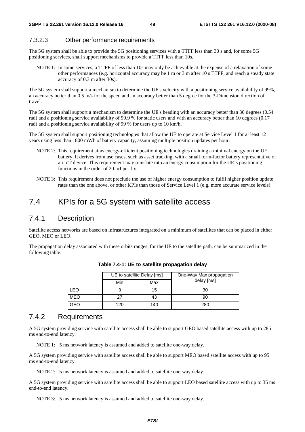#### 7.3.2.3 Other performance requirements

The 5G system shall be able to provide the 5G positioning services with a TTFF less than 30 s and, for some 5G positioning services, shall support mechanisms to provide a TTFF less than 10s.

NOTE 1: In some services, a TTFF of less than 10s may only be achievable at the expense of a relaxation of some other performances (e.g. horizontal accuracy may be 1 m or 3 m after 10 s TTFF, and reach a steady state accuracy of 0.3 m after 30s).

The 5G system shall support a mechanism to determine the UE's velocity with a positioning service availability of 99%, an accuracy better than 0.5 m/s for the speed and an accuracy better than 5 degree for the 3-Dimension direction of travel.

The 5G system shall support a mechanism to determine the UE's heading with an accuracy better than 30 degrees (0.54 rad) and a positioning service availability of 99.9 % for static users and with an accuracy better than 10 degrees (0.17 rad) and a positioning service availability of 99 % for users up to 10 km/h.

The 5G system shall support positioning technologies that allow the UE to operate at Service Level 1 for at least 12 years using less than 1800 mWh of battery capacity, assuming multiple position updates per hour.

- NOTE 2: This requirement aims energy-efficient positioning technologies draining a minimal energy on the UE battery. It derives from use cases, such as asset tracking, with a small form-factor battery representative of an IoT device. This requirement may translate into an energy consumption for the UE's positioning functions in the order of 20 mJ per fix.
- NOTE 3: This requirement does not preclude the use of higher energy consumption to fulfil higher position update rates than the one above, or other KPIs than those of Service Level 1 (e.g. more accurate service levels).

### 7.4 KPIs for a 5G system with satellite access

### 7.4.1 Description

Satellite access networks are based on infrastructures integrated on a minimum of satellites that can be placed in either GEO, MEO or LEO.

The propagation delay associated with these orbits ranges, for the UE to the satellite path, can be summarized in the following table:

|     | UE to satellite Delay [ms] |     | One-Way Max propagation |
|-----|----------------------------|-----|-------------------------|
|     | Min                        | Max | delay [ms]              |
| LEO |                            | 15  | 30                      |
| MEO | 27                         |     | 90                      |
| GEO | 120                        | 140 | 280                     |

**Table 7.4-1: UE to satellite propagation delay** 

#### 7.4.2 Requirements

A 5G system providing service with satellite access shall be able to support GEO based satellite access with up to 285 ms end-to-end latency.

NOTE 1: 5 ms network latency is assumed and added to satellite one-way delay.

A 5G system providing service with satellite access shall be able to support MEO based satellite access with up to 95 ms end-to-end latency.

NOTE 2: 5 ms network latency is assumed and added to satellite one-way delay.

A 5G system providing service with satellite access shall be able to support LEO based satellite access with up to 35 ms end-to-end latency.

NOTE 3: 5 ms network latency is assumed and added to satellite one-way delay.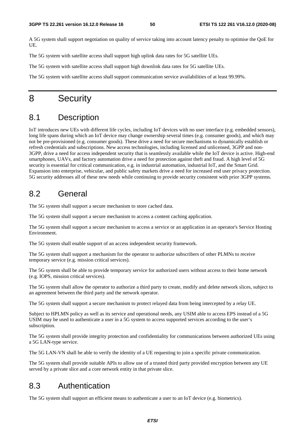A 5G system shall support negotiation on quality of service taking into account latency penalty to optimise the QoE for UE.

The 5G system with satellite access shall support high uplink data rates for 5G satellite UEs.

The 5G system with satellite access shall support high downlink data rates for 5G satellite UEs.

The 5G system with satellite access shall support communication service availabilities of at least 99.99%.

### 8 Security

### 8.1 Description

IoT introduces new UEs with different life cycles, including IoT devices with no user interface (e.g. embedded sensors), long life spans during which an IoT device may change ownership several times (e.g. consumer goods), and which may not be pre-provisioned (e.g. consumer goods). These drive a need for secure mechanisms to dynamically establish or refresh credentials and subscriptions. New access technologies, including licensed and unlicensed, 3GPP and non-3GPP, drive a need for access independent security that is seamlessly available while the IoT device is active. High-end smartphones, UAVs, and factory automation drive a need for protection against theft and fraud. A high level of 5G security is essential for critical communication, e.g. in industrial automation, industrial IoT, and the Smart Grid. Expansion into enterprise, vehicular, and public safety markets drive a need for increased end user privacy protection. 5G security addresses all of these new needs while continuing to provide security consistent with prior 3GPP systems.

### 8.2 General

The 5G system shall support a secure mechanism to store cached data.

The 5G system shall support a secure mechanism to access a content caching application.

The 5G system shall support a secure mechanism to access a service or an application in an operator's Service Hosting Environment.

The 5G system shall enable support of an access independent security framework.

The 5G system shall support a mechanism for the operator to authorize subscribers of other PLMNs to receive temporary service (e.g. mission critical services).

The 5G system shall be able to provide temporary service for authorized users without access to their home network (e.g. IOPS, mission critical services).

The 5G system shall allow the operator to authorize a third party to create, modify and delete network slices, subject to an agreement between the third party and the network operator.

The 5G system shall support a secure mechanism to protect relayed data from being intercepted by a relay UE.

Subject to HPLMN policy as well as its service and operational needs, any USIM able to access EPS instead of a 5G USIM may be used to authenticate a user in a 5G system to access supported services according to the user's subscription.

The 5G system shall provide integrity protection and confidentiality for communications between authorized UEs using a 5G LAN-type service.

The 5G LAN-VN shall be able to verify the identity of a UE requesting to join a specific private communication.

The 5G system shall provide suitable APIs to allow use of a trusted third party provided encryption between any UE served by a private slice and a core network entity in that private slice.

### 8.3 Authentication

The 5G system shall support an efficient means to authenticate a user to an IoT device (e.g. biometrics).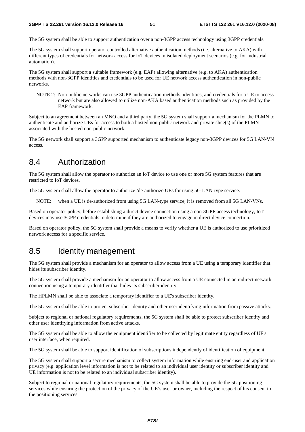The 5G system shall be able to support authentication over a non-3GPP access technology using 3GPP credentials.

The 5G system shall support operator controlled alternative authentication methods (i.e. alternative to AKA) with different types of credentials for network access for IoT devices in isolated deployment scenarios (e.g. for industrial automation).

The 5G system shall support a suitable framework (e.g. EAP) allowing alternative (e.g. to AKA) authentication methods with non-3GPP identities and credentials to be used for UE network access authentication in non-public networks.

NOTE 2: Non-public networks can use 3GPP authentication methods, identities, and credentials for a UE to access network but are also allowed to utilize non-AKA based authentication methods such as provided by the EAP framework.

Subject to an agreement between an MNO and a third party, the 5G system shall support a mechanism for the PLMN to authenticate and authorize UEs for access to both a hosted non-public network and private slice(s) of the PLMN associated with the hosted non-public network.

The 5G network shall support a 3GPP supported mechanism to authenticate legacy non-3GPP devices for 5G LAN-VN access.

### 8.4 Authorization

The 5G system shall allow the operator to authorize an IoT device to use one or more 5G system features that are restricted to IoT devices.

The 5G system shall allow the operator to authorize /de-authorize UEs for using 5G LAN-type service.

NOTE: when a UE is de-authorized from using 5G LAN-type service, it is removed from all 5G LAN-VNs.

Based on operator policy, before establishing a direct device connection using a non-3GPP access technology, IoT devices may use 3GPP credentials to determine if they are authorized to engage in direct device connection.

Based on operator policy, the 5G system shall provide a means to verify whether a UE is authorized to use prioritized network access for a specific service.

### 8.5 Identity management

The 5G system shall provide a mechanism for an operator to allow access from a UE using a temporary identifier that hides its subscriber identity.

The 5G system shall provide a mechanism for an operator to allow access from a UE connected in an indirect network connection using a temporary identifier that hides its subscriber identity.

The HPLMN shall be able to associate a temporary identifier to a UE's subscriber identity.

The 5G system shall be able to protect subscriber identity and other user identifying information from passive attacks.

Subject to regional or national regulatory requirements, the 5G system shall be able to protect subscriber identity and other user identifying information from active attacks.

The 5G system shall be able to allow the equipment identifier to be collected by legitimate entity regardless of UE's user interface, when required.

The 5G system shall be able to support identification of subscriptions independently of identification of equipment.

The 5G system shall support a secure mechanism to collect system information while ensuring end-user and application privacy (e.g. application level information is not to be related to an individual user identity or subscriber identity and UE information is not to be related to an individual subscriber identity).

Subject to regional or national regulatory requirements, the 5G system shall be able to provide the 5G positioning services while ensuring the protection of the privacy of the UE's user or owner, including the respect of his consent to the positioning services.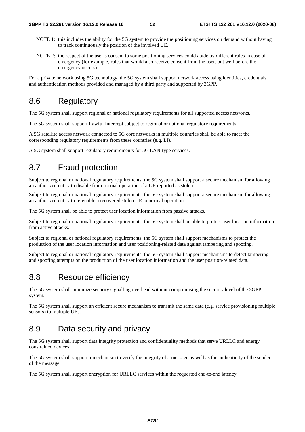- NOTE 1: this includes the ability for the 5G system to provide the positioning services on demand without having to track continuously the position of the involved UE.
- NOTE 2: the respect of the user's consent to some positioning services could abide by different rules in case of emergency (for example, rules that would also receive consent from the user, but well before the emergency occurs).

For a private network using 5G technology, the 5G system shall support network access using identities, credentials, and authentication methods provided and managed by a third party and supported by 3GPP.

### 8.6 Regulatory

The 5G system shall support regional or national regulatory requirements for all supported access networks.

The 5G system shall support Lawful Intercept subject to regional or national regulatory requirements.

A 5G satellite access network connected to 5G core networks in multiple countries shall be able to meet the corresponding regulatory requirements from these countries (e.g. LI).

A 5G system shall support regulatory requirements for 5G LAN-type services.

### 8.7 Fraud protection

Subject to regional or national regulatory requirements, the 5G system shall support a secure mechanism for allowing an authorized entity to disable from normal operation of a UE reported as stolen.

Subject to regional or national regulatory requirements, the 5G system shall support a secure mechanism for allowing an authorized entity to re-enable a recovered stolen UE to normal operation.

The 5G system shall be able to protect user location information from passive attacks.

Subject to regional or national regulatory requirements, the 5G system shall be able to protect user location information from active attacks.

Subject to regional or national regulatory requirements, the 5G system shall support mechanisms to protect the production of the user location information and user positioning-related data against tampering and spoofing.

Subject to regional or national regulatory requirements, the 5G system shall support mechanisms to detect tampering and spoofing attempts on the production of the user location information and the user position-related data.

### 8.8 Resource efficiency

The 5G system shall minimize security signalling overhead without compromising the security level of the 3GPP system.

The 5G system shall support an efficient secure mechanism to transmit the same data (e.g. service provisioning multiple sensors) to multiple UEs.

## 8.9 Data security and privacy

The 5G system shall support data integrity protection and confidentiality methods that serve URLLC and energy constrained devices.

The 5G system shall support a mechanism to verify the integrity of a message as well as the authenticity of the sender of the message.

The 5G system shall support encryption for URLLC services within the requested end-to-end latency.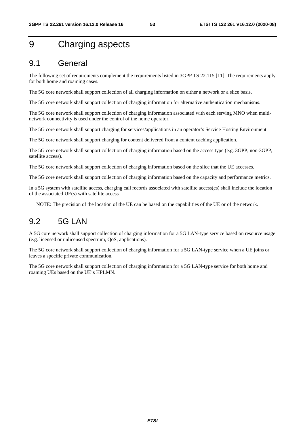# 9 Charging aspects

### 9.1 General

The following set of requirements complement the requirements listed in 3GPP TS 22.115 [11]. The requirements apply for both home and roaming cases.

The 5G core network shall support collection of all charging information on either a network or a slice basis.

The 5G core network shall support collection of charging information for alternative authentication mechanisms.

The 5G core network shall support collection of charging information associated with each serving MNO when multinetwork connectivity is used under the control of the home operator.

The 5G core network shall support charging for services/applications in an operator's Service Hosting Environment.

The 5G core network shall support charging for content delivered from a content caching application.

The 5G core network shall support collection of charging information based on the access type (e.g. 3GPP, non-3GPP, satellite access).

The 5G core network shall support collection of charging information based on the slice that the UE accesses.

The 5G core network shall support collection of charging information based on the capacity and performance metrics.

In a 5G system with satellite access, charging call records associated with satellite access(es) shall include the location of the associated UE(s) with satellite access

NOTE: The precision of the location of the UE can be based on the capabilities of the UE or of the network.

### 9.2 5G LAN

A 5G core network shall support collection of charging information for a 5G LAN-type service based on resource usage (e.g. licensed or unlicensed spectrum, QoS, applications).

The 5G core network shall support collection of charging information for a 5G LAN-type service when a UE joins or leaves a specific private communication.

The 5G core network shall support collection of charging information for a 5G LAN-type service for both home and roaming UEs based on the UE's HPLMN.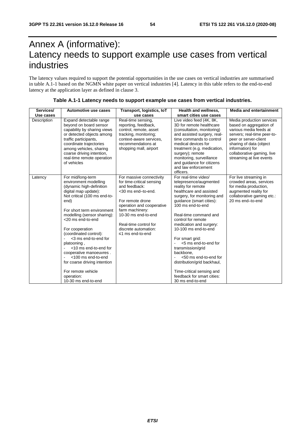# Annex A (informative): Latency needs to support example use cases from vertical industries

The latency values required to support the potential opportunities in the use cases on vertical industries are summarised in table A.1-1 based on the NGMN white paper on vertical industries [4]. Latency in this table refers to the end-to-end latency at the application layer as defined in clause 3.

| Services/   | Automotive use cases                                                                                                                                                                                                                                                                                                                                                                                                                                                              | Transport, logistics, IoT                                                                                                                                                                                                                                    | Health and wellness,                                                                                                                                                                                                                                                                                                                                                                                                                                                                                  | <b>Media and entertainment</b>                                                                                                                                                                                                                  |
|-------------|-----------------------------------------------------------------------------------------------------------------------------------------------------------------------------------------------------------------------------------------------------------------------------------------------------------------------------------------------------------------------------------------------------------------------------------------------------------------------------------|--------------------------------------------------------------------------------------------------------------------------------------------------------------------------------------------------------------------------------------------------------------|-------------------------------------------------------------------------------------------------------------------------------------------------------------------------------------------------------------------------------------------------------------------------------------------------------------------------------------------------------------------------------------------------------------------------------------------------------------------------------------------------------|-------------------------------------------------------------------------------------------------------------------------------------------------------------------------------------------------------------------------------------------------|
| Use cases   |                                                                                                                                                                                                                                                                                                                                                                                                                                                                                   | use cases                                                                                                                                                                                                                                                    | smart cities use cases                                                                                                                                                                                                                                                                                                                                                                                                                                                                                |                                                                                                                                                                                                                                                 |
| Description | Expand detectable range<br>beyond on board sensor<br>capability by sharing views<br>or detected objects among<br>traffic participants,<br>coordinate trajectories<br>among vehicles, sharing<br>coarse driving intention,<br>real-time remote operation<br>of vehicles                                                                                                                                                                                                            | Real-time sensing,<br>reporting, feedback,<br>control, remote, asset<br>tracking, monitoring;<br>context-aware services,<br>recommendations at<br>shopping mall, airport                                                                                     | Live video feed (4K, 8K,<br>3D for remote healthcare<br>(consultation, monitoring)<br>and assisted surgery, real-<br>time commands to control<br>medical devices for<br>treatment (e.g. medication,<br>surgery); remote<br>monitoring, surveillance<br>and guidance for citizens<br>and law enforcement<br>officers.                                                                                                                                                                                  | Media production services<br>based on aggregation of<br>various media feeds at<br>servers; real-time peer-to-<br>peer or server-client<br>sharing of data (object<br>information) for<br>collaborative gaming, live<br>streaming at live events |
| Latency     | For mid/long-term<br>environment modelling<br>(dynamic high-definition<br>digital map update):<br>Not critical (100 ms end-to-<br>end)<br>For short term environment<br>modelling (sensor sharing):<br><20 ms end-to-end<br>For cooperation<br>(coordinated control):<br><3 ms end-to-end for<br>platooning,<br><10 ms end-to-end for<br>cooperative manoeuvres.<br><100 ms end-to-end<br>for coarse driving intention<br>For remote vehicle<br>operation:<br>10-30 ms end-to-end | For massive connectivity<br>for time-critical sensing<br>and feedback:<br><30 ms end-to-end.<br>For remote drone<br>operation and cooperative<br>farm machinery:<br>10-30 ms end-to-end<br>Real-time control for<br>discrete automation:<br>≤1 ms end-to-end | For real-time video/<br>telepresence/augmented<br>reality for remote<br>healthcare and assisted<br>surgery, for monitoring and<br>guidance (smart cities):<br>100 ms end-to-end<br>Real-time command and<br>control for remote<br>medication and surgery:<br>10-100 ms end-to-end<br>For smart grid:<br><5 ms end-to-end for<br>transmission/grid<br>backbone.<br><50 ms end-to-end for<br>distribution/grid backhaul,<br>Time-critical sensing and<br>feedback for smart cities:<br>30 ms end-to-end | For live streaming in<br>crowded areas, services<br>for media production,<br>augmented reality for<br>collaborative gaming etc.:<br>20 ms end-to-end                                                                                            |

#### **Table A.1-1 Latency needs to support example use cases from vertical industries.**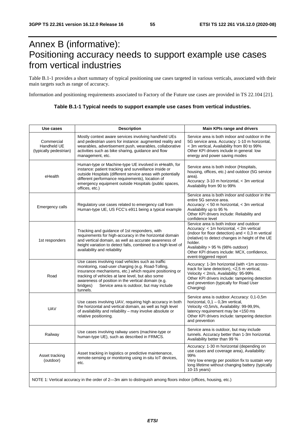# Annex B (informative): Positioning accuracy needs to support example use cases from vertical industries

Table B.1-1 provides a short summary of typical positioning use cases targeted in various verticals, associated with their main targets such as range of accuracy.

Information and positioning requirements associated to Factory of the Future use cases are provided in TS 22.104 [21].

| Table B.1-1 Typical needs to support example use cases from vertical industries. |  |
|----------------------------------------------------------------------------------|--|
|                                                                                  |  |

| Use cases                                           | <b>Description</b>                                                                                                                                                                                                                                                                                                                                 | Main KPIs range and drivers                                                                                                                                                                                                                                                                                             |
|-----------------------------------------------------|----------------------------------------------------------------------------------------------------------------------------------------------------------------------------------------------------------------------------------------------------------------------------------------------------------------------------------------------------|-------------------------------------------------------------------------------------------------------------------------------------------------------------------------------------------------------------------------------------------------------------------------------------------------------------------------|
| Commercial<br>Handheld UE<br>(typically pedestrian) | Mostly context aware services involving handheld UEs<br>and pedestrian users for instance: augmented reality and<br>wearables, advertisement push, wearables, collaborative<br>activities such as bike sharing, guidance and flow<br>management, etc.                                                                                              | Service area is both indoor and outdoor in the<br>5G service area. Accuracy: 1-10 m horizontal,<br>< 3m vertical, Availability from 80 to 99%<br>Other KPI drivers include in general: low<br>energy and power saving modes                                                                                             |
| eHealth                                             | Human-type or Machine-type UE involved in eHealth, for<br>instance: patient tracking and surveillance inside or<br>outside Hospitals (different service areas with potentially<br>different performance requirements), location of<br>emergency equipment outside Hospitals (public spaces,<br>offices, etc.)                                      | Service area is both indoor (Hospitals,<br>housing, offices, etc.) and outdoor (5G service<br>area).<br>Accuracy: 3-10 m horizontal, < 3m vertical<br>Availability from 90 to 99%                                                                                                                                       |
| Emergency calls                                     | Regulatory use cases related to emergency call from<br>Human-type UE, US FCC's e911 being a typical example                                                                                                                                                                                                                                        | Service area is both indoor and outdoor in the<br>entire 5G service area.<br>Accuracy: < 50 m horizontal, < 3m vertical<br>Availability up to 95 %<br>Other KPI drivers include: Reliability and<br>confidence level                                                                                                    |
| 1st responders                                      | Tracking and guidance of 1st responders, with<br>requirements for high-accuracy in the horizontal domain<br>and vertical domain, as well as accurate awareness of<br>height variation to detect falls, combined to a high level of<br>availability and reliability                                                                                 | Service area is both indoor and outdoor<br>Accuracy: < 1m horizontal, < 2m vertical<br>(indoor for floor detection) and $< 0.3$ m vertical<br>(relative) to detect changes in height of the UE<br>holder.<br>Availability > 95 % (98% outdoor)<br>Other KPI drivers include: MCX, confidence,<br>event-triggered report |
| Road                                                | Use cases involving road vehicles such as traffic<br>monitoring, road-user charging (e.g. Road-Tolling,<br>insurance mechanisms, etc.) which require positioning or<br>tracking of vehicles at lane level, but also some<br>awareness of position in the vertical domain (e.g.<br>bridges)<br>Service area is outdoor, but may include<br>tunnels. | Accuracy: 1-3m horizontal (with <1m across-<br>track for lane detection), <2,5 m vertical,<br>Velocity < 2m/s, Availability: 95-99%<br>Other KPI drivers include: tampering detection<br>and prevention (typically for Road User<br>Charging)                                                                           |
| <b>UAV</b>                                          | Use cases involving UAV, requiring high accuracy in both<br>the horizontal and vertical domain, as well as high level<br>of availability and reliability - may involve absolute or<br>relative positioning.                                                                                                                                        | Service area is outdoor. Accuracy: 0,1-0,5m<br>horizontal, $0,1 - 0,3m$ vertical,<br>Velocity <0,5m/s, Availability: 99-99,9%,<br>latency requirement may be <150 ms<br>Other KPI drivers include: tampering detection<br>and prevention                                                                                |
| Railway                                             | Use cases involving railway users (machine-type or<br>human-type UE), such as described in FRMCS.                                                                                                                                                                                                                                                  | Service area is outdoor, but may include<br>tunnels. Accuracy better than 1-3m horizontal.<br>Availability better than 99 %                                                                                                                                                                                             |
| Asset tracking<br>(outdoor)                         | Asset tracking in logistics or predictive maintenance,<br>remote-sensing or monitoring using in-situ IoT devices,<br>etc.                                                                                                                                                                                                                          | Accuracy: 1-30 m horizontal (depending on<br>use cases and coverage area), Availability:<br>99%<br>Very low energy per position fix to sustain very<br>long lifetime without changing battery (typically<br>10-15 years)                                                                                                |
|                                                     | NOTE 1: Vertical accuracy in the order of 2—3m aim to distinguish among floors indoor (offices, housing, etc.)                                                                                                                                                                                                                                     |                                                                                                                                                                                                                                                                                                                         |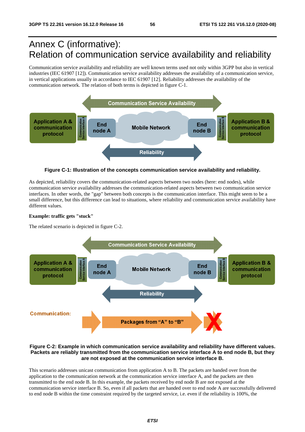# Annex C (informative): Relation of communication service availability and reliability

Communication service availability and reliability are well known terms used not only within 3GPP but also in vertical industries (IEC 61907 [12]). Communication service availability addresses the availability of a communication service, in vertical applications usually in accordance to IEC 61907 [12]. Reliability addresses the availability of the communication network. The relation of both terms is depicted in figure C-1.



**Figure C-1: Illustration of the concepts communication service availability and reliability.** 

As depicted, reliability covers the communication-related aspects between two nodes (here: end nodes), while communication service availability addresses the communication-related aspects between two communication service interfaces. In other words, the "gap" between both concepts is the communication interface. This might seem to be a small difference, but this difference can lead to situations, where reliability and communication service availability have different values.

#### **Example: traffic gets "stuck"**

The related scenario is depicted in figure C-2.



#### **Figure C-2: Example in which communication service availability and reliability have different values. Packets are reliably transmitted from the communication service interface A to end node B, but they are not exposed at the communication service interface B.**

This scenario addresses unicast communication from application A to B. The packets are handed over from the application to the communication network at the communication service interface A, and the packets are then transmitted to the end node B. In this example, the packets received by end node B are not exposed at the communication service interface B. So, even if all packets that are handed over to end node A are successfully delivered to end node B within the time constraint required by the targeted service, i.e. even if the reliability is 100%, the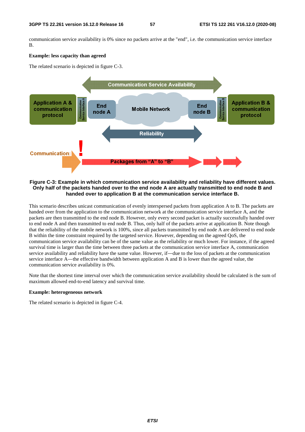communication service availability is 0% since no packets arrive at the "end", i.e. the communication service interface B.

#### **Example: less capacity than agreed**

The related scenario is depicted in figure C-3.



#### **Figure C-3: Example in which communication service availability and reliability have different values. Only half of the packets handed over to the end node A are actually transmitted to end node B and handed over to application B at the communication service interface B.**

This scenario describes unicast communication of evenly interspersed packets from application A to B. The packets are handed over from the application to the communication network at the communication service interface A, and the packets are then transmitted to the end node B. However, only every second packet is actually successfully handed over to end node A and then transmitted to end node B. Thus, only half of the packets arrive at application B. Note though that the reliability of the mobile network is 100%, since all packets transmitted by end node A are delivered to end node B within the time constraint required by the targeted service. However, depending on the agreed QoS, the communication service availability can be of the same value as the reliability or much lower. For instance, if the agreed survival time is larger than the time between three packets at the communication service interface A, communication service availability and reliability have the same value. However, if―due to the loss of packets at the communication service interface A—the effective bandwidth between application A and B is lower than the agreed value, the communication service availability is 0%.

Note that the shortest time interval over which the communication service availability should be calculated is the sum of maximum allowed end-to-end latency and survival time.

#### **Example: heterogeneous network**

The related scenario is depicted in figure C-4.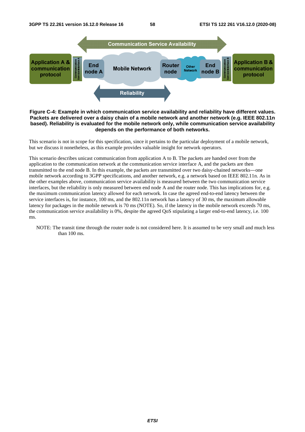

#### **Figure C-4: Example in which communication service availability and reliability have different values. Packets are delivered over a daisy chain of a mobile network and another network (e.g. IEEE 802.11n based). Reliability is evaluated for the mobile network only, while communication service availability depends on the performance of both networks.**

This scenario is not in scope for this specification, since it pertains to the particular deployment of a mobile network, but we discuss it nonetheless, as this example provides valuable insight for network operators.

This scenario describes unicast communication from application A to B. The packets are handed over from the application to the communication network at the communication service interface A, and the packets are then transmitted to the end node B. In this example, the packets are transmitted over two daisy-chained networks―one mobile network according to 3GPP specifications, and another network, e.g. a network based on IEEE 802.11n. As in the other examples above, communication service availability is measured between the two communication service interfaces, but the reliability is only measured between end node A and the router node. This has implications for, e.g. the maximum communication latency allowed for each network. In case the agreed end-to-end latency between the service interfaces is, for instance, 100 ms, and the 802.11n network has a latency of 30 ms, the maximum allowable latency for packages in the mobile network is 70 ms (NOTE). So, if the latency in the mobile network exceeds 70 ms, the communication service availability is 0%, despite the agreed QoS stipulating a larger end-to-end latency, i.e. 100 ms.

NOTE: The transit time through the router node is not considered here. It is assumed to be very small and much less than 100 ms.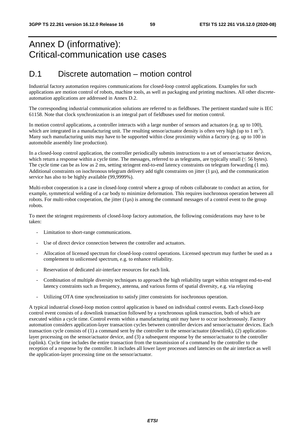# Annex D (informative): Critical-communication use cases

### D.1 Discrete automation – motion control

Industrial factory automation requires communications for closed-loop control applications. Examples for such applications are motion control of robots, machine tools, as well as packaging and printing machines. All other discreteautomation applications are addressed in Annex D.2.

The corresponding industrial communication solutions are referred to as fieldbuses. The pertinent standard suite is IEC 61158. Note that clock synchronization is an integral part of fieldbuses used for motion control.

In motion control applications, a controller interacts with a large number of sensors and actuators (e.g. up to 100), which are integrated in a manufacturing unit. The resulting sensor/actuator density is often very high (up to 1 m<sup>-3</sup>). Many such manufacturing units may have to be supported within close proximity within a factory (e.g. up to 100 in automobile assembly line production).

In a closed-loop control application, the controller periodically submits instructions to a set of sensor/actuator devices, which return a response within a cycle time. The messages, referred to as telegrams, are typically small  $(\leq 56$  bytes). The cycle time can be as low as 2 ms, setting stringent end-to-end latency constraints on telegram forwarding (1 ms). Additional constraints on isochronous telegram delivery add tight constraints on jitter  $(1 \mu s)$ , and the communication service has also to be highly available (99,9999%).

Multi-robot cooperation is a case in closed-loop control where a group of robots collaborate to conduct an action, for example, symmetrical welding of a car body to minimize deformation. This requires isochronous operation between all robots. For multi-robot cooperation, the jitter  $(1\mu s)$  is among the command messages of a control event to the group robots.

To meet the stringent requirements of closed-loop factory automation, the following considerations may have to be taken:

- Limitation to short-range communications.
- Use of direct device connection between the controller and actuators.
- Allocation of licensed spectrum for closed-loop control operations. Licensed spectrum may further be used as a complement to unlicensed spectrum, e.g. to enhance reliability.
- Reservation of dedicated air-interface resources for each link.
- Combination of multiple diversity techniques to approach the high reliability target within stringent end-to-end latency constraints such as frequency, antenna, and various forms of spatial diversity, e.g. via relaying
- Utilizing OTA time synchronization to satisfy jitter constraints for isochronous operation.

A typical industrial closed-loop motion control application is based on individual control events. Each closed-loop control event consists of a downlink transaction followed by a synchronous uplink transaction, both of which are executed within a cycle time. Control events within a manufacturing unit may have to occur isochronously. Factory automation considers application-layer transaction cycles between controller devices and sensor/actuator devices. Each transaction cycle consists of (1) a command sent by the controller to the sensor/actuator (downlink), (2) applicationlayer processing on the sensor/actuator device, and (3) a subsequent response by the sensor/actuator to the controller (uplink). Cycle time includes the entire transaction from the transmission of a command by the controller to the reception of a response by the controller. It includes all lower layer processes and latencies on the air interface as well the application-layer processing time on the sensor/actuator.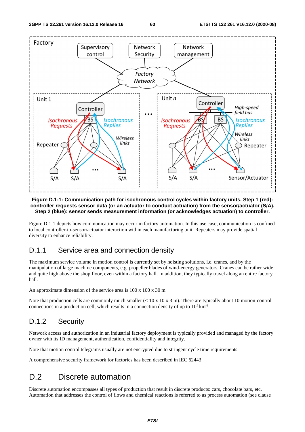

#### **Figure D.1-1: Communication path for isochronous control cycles within factory units. Step 1 (red): controller requests sensor data (or an actuator to conduct actuation) from the sensor/actuator (S/A). Step 2 (blue): sensor sends measurement information (or acknowledges actuation) to controller.**

Figure D.1-1 depicts how communication may occur in factory automation. In this use case, communication is confined to local controller-to-sensor/actuator interaction within each manufacturing unit. Repeaters may provide spatial diversity to enhance reliability.

### D.1.1 Service area and connection density

The maximum service volume in motion control is currently set by hoisting solutions, i.e. cranes, and by the manipulation of large machine components, e.g. propeller blades of wind-energy generators. Cranes can be rather wide and quite high above the shop floor, even within a factory hall. In addition, they typically travel along an entire factory hall.

An approximate dimension of the service area is 100 x 100 x 30 m.

Note that production cells are commonly much smaller  $(< 10 \times 10 \times 3 \text{ m})$ . There are typically about 10 motion-control connections in a production cell, which results in a connection density of up to  $10^5 \text{ km}^2$ .

### D.1.2 Security

Network access and authorization in an industrial factory deployment is typically provided and managed by the factory owner with its ID management, authentication, confidentiality and integrity.

Note that motion control telegrams usually are not encrypted due to stringent cycle time requirements.

A comprehensive security framework for factories has been described in IEC 62443.

## D.2 Discrete automation

Discrete automation encompasses all types of production that result in discrete products: cars, chocolate bars, etc. Automation that addresses the control of flows and chemical reactions is referred to as process automation (see clause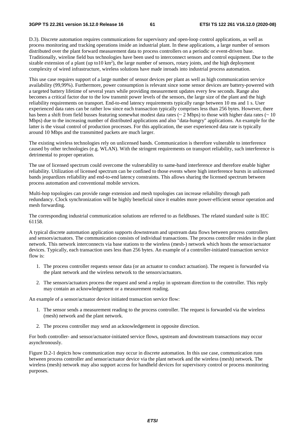D.3). Discrete automation requires communications for supervisory and open-loop control applications, as well as process monitoring and tracking operations inside an industrial plant. In these applications, a large number of sensors distributed over the plant forward measurement data to process controllers on a periodic or event-driven base. Traditionally, wireline field bus technologies have been used to interconnect sensors and control equipment. Due to the sizable extension of a plant (up to10  $km<sup>2</sup>$ ), the large number of sensors, rotary joints, and the high deployment complexity of wired infrastructure, wireless solutions have made inroads into industrial process automation.

This use case requires support of a large number of sensor devices per plant as well as high communication service availability (99,99%). Furthermore, power consumption is relevant since some sensor devices are battery-powered with a targeted battery lifetime of several years while providing measurement updates every few seconds. Range also becomes a critical factor due to the low transmit power levels of the sensors, the large size of the plant and the high reliability requirements on transport. End-to-end latency requirements typically range between 10 ms and 1 s. User experienced data rates can be rather low since each transaction typically comprises less than 256 bytes. However, there has been a shift from field busses featuring somewhat modest data rates ( $\sim 2$  Mbps) to those with higher data rates ( $\sim 10$ Mbps) due to the increasing number of distributed applications and also "data-hungry" applications. An example for the latter is the visual control of production processes. For this application, the user experienced data rate is typically around 10 Mbps and the transmitted packets are much larger.

The existing wireless technologies rely on unlicensed bands. Communication is therefore vulnerable to interference caused by other technologies (e.g. WLAN). With the stringent requirements on transport reliability, such interference is detrimental to proper operation.

The use of licensed spectrum could overcome the vulnerability to same-band interference and therefore enable higher reliability. Utilization of licensed spectrum can be confined to those events where high interference bursts in unlicensed bands jeopardizes reliability and end-to-end latency constraints. This allows sharing the licensed spectrum between process automation and conventional mobile services.

Multi-hop topologies can provide range extension and mesh topologies can increase reliability through path redundancy. Clock synchronization will be highly beneficial since it enables more power-efficient sensor operation and mesh forwarding.

The corresponding industrial communication solutions are referred to as fieldbuses. The related standard suite is IEC 61158.

A typical discrete automation application supports downstream and upstream data flows between process controllers and sensors/actuators. The communication consists of individual transactions. The process controller resides in the plant network. This network interconnects via base stations to the wireless (mesh-) network which hosts the sensor/actuator devices. Typically, each transaction uses less than 256 bytes. An example of a controller-initiated transaction service flow is:

- 1. The process controller requests sensor data (or an actuator to conduct actuation). The request is forwarded via the plant network and the wireless network to the sensors/actuators.
- 2. The sensors/actuators process the request and send a replay in upstream direction to the controller. This reply may contain an acknowledgement or a measurement reading.

An example of a sensor/actuator device initiated transaction service flow:

- 1. The sensor sends a measurement reading to the process controller. The request is forwarded via the wireless (mesh) network and the plant network.
- 2. The process controller may send an acknowledgement in opposite direction.

For both controller- and sensor/actuator-initiated service flows, upstream and downstream transactions may occur asynchronously.

Figure D.2-1 depicts how communication may occur in discrete automation. In this use case, communication runs between process controller and sensor/actuator device via the plant network and the wireless (mesh) network. The wireless (mesh) network may also support access for handheld devices for supervisory control or process monitoring purposes.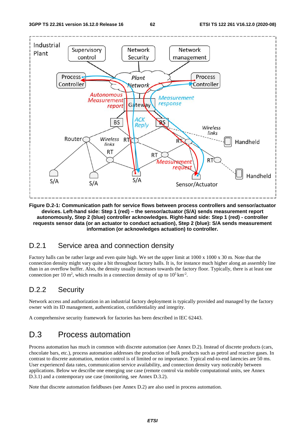

**Figure D.2-1: Communication path for service flows between process controllers and sensor/actuator devices. Left-hand side: Step 1 (red) – the sensor/actuator (S/A) sends measurement report autonomously, Step 2 (blue) controller acknowledges. Right-hand side: Step 1 (red) - controller requests sensor data (or an actuator to conduct actuation), Step 2 (blue): S/A sends measurement information (or acknowledges actuation) to controller.** 

### D.2.1 Service area and connection density

Factory halls can be rather large and even quite high. We set the upper limit at 1000 x 1000 x 30 m. Note that the connection density might vary quite a bit throughout factory halls. It is, for instance much higher along an assembly line than in an overflow buffer. Also, the density usually increases towards the factory floor. Typically, there is at least one connection per 10 m<sup>2</sup>, which results in a connection density of up to  $10^5 \text{ km}^2$ .

### D.2.2 Security

Network access and authorization in an industrial factory deployment is typically provided and managed by the factory owner with its ID management, authentication, confidentiality and integrity.

A comprehensive security framework for factories has been described in IEC 62443.

### D.3 Process automation

Process automation has much in common with discrete automation (see Annex D.2). Instead of discrete products (cars, chocolate bars, etc.), process automation addresses the production of bulk products such as petrol and reactive gases. In contrast to discrete automation, motion control is of limited or no importance. Typical end-to-end latencies are 50 ms. User experienced data rates, communication service availability, and connection density vary noticeably between applications. Below we describe one emerging use case (remote control via mobile computational units, see Annex D.3.1) and a contemporary use case (monitoring, see Annex D.3.2).

Note that discrete automation fieldbuses (see Annex D.2) are also used in process automation.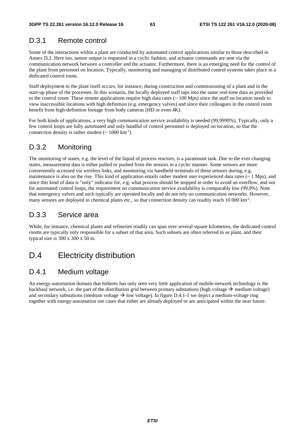### D.3.1 Remote control

Some of the interactions within a plant are conducted by automated control applications similar to those described in Annex D.2. Here too, sensor output is requested in a cyclic fashion, and actuator commands are sent via the communication network between a controller and the actuator. Furthermore, there is an emerging need for the control of the plant from personnel on location. Typically, monitoring and managing of distributed control systems takes place in a dedicated control room.

Staff deployment to the plant itself occurs, for instance, during construction and commissioning of a plant and in the start-up phase of the processes. In this scenario, the locally deployed staff taps into the same real-time data as provided to the control room. These remote applications require high data rates (~ 100 Mps) since the staff on location needs to view inaccessible locations with high definition (e.g. emergency valves) and since their colleagues in the control room benefit from high-definition footage from body cameras (HD or even 4K).

For both kinds of applications, a very high communication service availability is needed (99,9999%). Typically, only a few control loops are fully automated and only handful of control personnel is deployed on location, so that the connection density is rather modest  $({\sim 1000 \text{ km}^{-2}})$ .

### D.3.2 Monitoring

The monitoring of states, e.g. the level of the liquid of process reactors, is a paramount task. Due to the ever changing states, measurement data is either pulled or pushed from the sensors in a cyclic manner. Some sensors are more conveniently accessed via wireless links, and monitoring via handheld terminals of these sensors during, e.g. maintenance is also on the rise. This kind of application entails rather modest user experienced data rates  $(~ 1 \text{ Mps})$ , and since this kind of data is "only" indicator for, e.g. what process should be stopped in order to avoid an overflow, and not for automated control loops, the requirement on communication service availability is comparably low (99,9%). Note that emergency valves and such typically are operated locally and do not rely on communication networks. However, many sensors are deployed in chemical plants etc., so that connection density can readily reach 10 000 km<sup>-2</sup>.

### D.3.3 Service area

While, for instance, chemical plants and refineries readily can span over several square kilometres, the dedicated control rooms are typically only responsible for a subset of that area. Such subsets are often referred to as plant, and their typical size is 300 x 300 x 50 m.

## D.4 Electricity distribution

### D.4.1 Medium voltage

An energy-automation domain that hitherto has only seen very little application of mobile-network technology is the backhaul network, i.e. the part of the distribution grid between primary substations (high voltage  $\rightarrow$  medium voltage) and secondary substations (medium voltage  $\rightarrow$  low voltage). In figure D.4.1-1 we depict a medium-voltage ring together with energy-automation use cases that either are already deployed or are anticipated within the near future.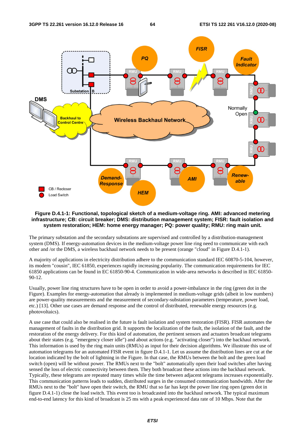

#### **Figure D.4.1-1: Functional, topological sketch of a medium-voltage ring. AMI: advanced metering infrastructure; CB: circuit breaker; DMS: distribution management system; FISR: fault isolation and system restoration; HEM: home energy manager; PQ: power quality; RMU: ring main unit.**

The primary substation and the secondary substations are supervised and controlled by a distribution-management system (DMS). If energy-automation devices in the medium-voltage power line ring need to communicate with each other and /or the DMS, a wireless backhaul network needs to be present (orange "cloud" in Figure D.4.1-1).

A majority of applications in electricity distribution adhere to the communication standard IEC 60870-5-104, however, its modern "cousin", IEC 61850, experiences rapidly increasing popularity. The communication requirements for IEC 61850 applications can be found in EC 61850-90-4. Communication in wide-area networks is described in IEC 61850- 90-12.

Usually, power line ring structures have to be open in order to avoid a power-imbalance in the ring (green dot in the Figure). Examples for energy-automation that already is implemented in medium-voltage grids (albeit in low numbers) are power-quality measurements and the measurement of secondary-substation parameters (temperature, power load, etc.) [13]. Other use cases are demand response and the control of distributed, renewable energy resources (e.g. photovoltaics).

A use case that could also be realised in the future is fault isolation and system restoration (FISR). FISR automates the management of faults in the distribution grid. It supports the localization of the fault, the isolation of the fault, and the restoration of the energy delivery. For this kind of automation, the pertinent sensors and actuators broadcast telegrams about their states (e.g. "emergency closer idle") and about actions (e.g. "activating closer") into the backhaul network. This information is used by the ring main units (RMUs) as input for their decision algorithms. We illustrate this use of automation telegrams for an automated FISR event in figure D.4.1-1. Let us assume the distribution lines are cut at the location indicated by the bolt of lightning in the Figure. In that case, the RMUs between the bolt and the green load switch (open) will be without power. The RMUs next to the "bolt" automatically open their load switches after having sensed the loss of electric connectivity between them. They both broadcast these actions into the backhaul network. Typically, these telegrams are repeated many times while the time between adjacent telegrams increases exponentially. This communication patterns leads to sudden, distributed surges in the consumed communication bandwidth. After the RMUs next to the "bolt" have open their switch, the RMU that so far has kept the power line ring open (green dot in figure D.4.1-1) close the load switch. This event too is broadcasted into the backhaul network. The typical maximum end-to-end latency for this kind of broadcast is 25 ms with a peak experienced data rate of 10 Mbps. Note that the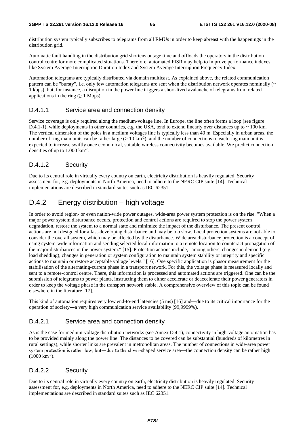distribution system typically subscribes to telegrams from all RMUs in order to keep abreast with the happenings in the distribution grid.

Automatic fault handling in the distribution grid shortens outage time and offloads the operators in the distribution control centre for more complicated situations. Therefore, automated FISR may help to improve performance indexes like System Average Interruption Duration Index and System Average Interruption Frequency Index.

Automation telegrams are typically distributed via domain multicast. As explained above, the related communication pattern can be "bursty", i.e. only few automation telegrams are sent when the distribution network operates nominally  $(\sim$ 1 kbps), but, for instance, a disruption in the power line triggers a short-lived avalanche of telegrams from related applications in the ring ( $\geq 1$  Mbps).

#### D.4.1.1 Service area and connection density

Service coverage is only required along the medium-voltage line. In Europe, the line often forms a loop (see figure D.4.1-1), while deployments in other countries, e.g. the USA, tend to extend linearly over distances up to  $\sim$  100 km. The vertical dimension of the poles in a medium voltages line is typically less than 40 m. Especially in urban areas, the number of ring main units can be rather large  $(> 10 \text{ km}^{-2})$ , and the number of connections to each ring main unit is expected to increase swiftly once economical, suitable wireless connectivity becomes available. We predict connection densities of up to  $1.000 \mathrm{km}^2$ .

#### D.4.1.2 Security

Due to its central role in virtually every country on earth, electricity distribution is heavily regulated. Security assessment for, e.g. deployments in North America, need to adhere to the NERC CIP suite [14]. Technical implementations are described in standard suites such as IEC 62351.

### D.4.2 Energy distribution – high voltage

In order to avoid region- or even nation-wide power outages, wide-area power system protection is on the rise. "When a major power system disturbance occurs, protection and control actions are required to stop the power system degradation, restore the system to a normal state and minimize the impact of the disturbance. The present control actions are not designed for a fast-developing disturbance and may be too slow. Local protection systems are not able to consider the overall system, which may be affected by the disturbance. Wide area disturbance protection is a concept of using system-wide information and sending selected local information to a remote location to counteract propagation of the major disturbances in the power system." [15]. Protection actions include, "among others, changes in demand (e.g. load shedding), changes in generation or system configuration to maintain system stability or integrity and specific actions to maintain or restore acceptable voltage levels." [16]. One specific application is phasor measurement for the stabilisation of the alternating-current phase in a transport network. For this, the voltage phase is measured locally and sent to a remote-control centre. There, this information is processed and automated actions are triggered. One can be the submission of telegrams to power plants, instructing them to either accelerate or deaccelerate their power generators in order to keep the voltage phase in the transport network stable. A comprehensive overview of this topic can be found elsewhere in the literature [17].

This kind of automation requires very low end-to-end latencies (5 ms) [16] and—due to its critical importance for the operation of society―a very high communication service availability (99,9999%).

#### D.4.2.1 Service area and connection density

As is the case for medium-voltage distribution networks (see Annex D.4.1), connectivity in high-voltage automation has to be provided mainly along the power line. The distances to be covered can be substantial (hundreds of kilometres in rural settings), while shorter links are prevalent in metropolitan areas. The number of connections in wide-area power system protection is rather low; but—due to the sliver-shaped service area—the connection density can be rather high (1000 km<sup>-2</sup>).<br>(1000 km<sup>-2</sup>).<br>D.4.2.2 Security  $(1000 \text{ km}^{-2})$ .

#### D.4.2.2 Security

Due to its central role in virtually every country on earth, electricity distribution is heavily regulated. Security assessment for, e.g. deployments in North America, need to adhere to the NERC CIP suite [14]. Technical implementations are described in standard suites such as IEC 62351.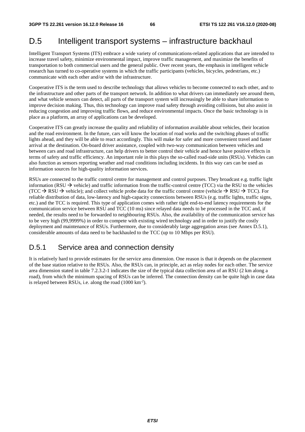### D.5 Intelligent transport systems – infrastructure backhaul

Intelligent Transport Systems (ITS) embrace a wide variety of communications-related applications that are intended to increase travel safety, minimize environmental impact, improve traffic management, and maximize the benefits of transportation to both commercial users and the general public. Over recent years, the emphasis in intelligent vehicle research has turned to co-operative systems in which the traffic participants (vehicles, bicycles, pedestrians, etc.) communicate with each other and/or with the infrastructure.

Cooperative ITS is the term used to describe technology that allows vehicles to become connected to each other, and to the infrastructure and other parts of the transport network. In addition to what drivers can immediately see around them, and what vehicle sensors can detect, all parts of the transport system will increasingly be able to share information to improve decision making. Thus, this technology can improve road safety through avoiding collisions, but also assist in reducing congestion and improving traffic flows, and reduce environmental impacts. Once the basic technology is in place as a platform, an array of applications can be developed.

Cooperative ITS can greatly increase the quality and reliability of information available about vehicles, their location and the road environment. In the future, cars will know the location of road works and the switching phases of traffic lights ahead, and they will be able to react accordingly. This will make for safer and more convenient travel and faster arrival at the destination. On-board driver assistance, coupled with two-way communication between vehicles and between cars and road infrastructure, can help drivers to better control their vehicle and hence have positive effects in terms of safety and traffic efficiency. An important role in this plays the so-called road-side units (RSUs). Vehicles can also function as sensors reporting weather and road conditions including incidents. In this way cars can be used as information sources for high-quality information services.

RSUs are connected to the traffic control centre for management and control purposes. They broadcast e.g. traffic light information (RSU  $\rightarrow$  vehicle) and traffic information from the traffic-control centre (TCC) via the RSU to the vehicles (TCC  $\rightarrow$  RSU  $\rightarrow$  vehicle); and collect vehicle probe data for the traffic control centre (vehicle  $\rightarrow$  RSU  $\rightarrow$  TCC). For reliable distribution of data, low-latency and high-capacity connections between RSUs (e.g. traffic lights, traffic signs, etc.) and the TCC is required. This type of application comes with rather tight end-to-end latency requirements for the communication service between RSU and TCC (10 ms) since relayed data needs to be processed in the TCC and, if needed, the results need to be forwarded to neighbouring RSUs. Also, the availability of the communication service has to be very high (99,9999%) in order to compete with existing wired technology and in order to justify the costly deployment and maintenance of RSUs. Furthermore, due to considerably large aggregation areas (see Annex D.5.1), considerable amounts of data need to be backhauled to the TCC (up to 10 Mbps per RSU).

### D.5.1 Service area and connection density

It is relatively hard to provide estimates for the service area dimension. One reason is that it depends on the placement of the base station relative to the RSUs. Also, the RSUs can, in principle, act as relay nodes for each other. The service area dimension stated in table 7.2.3.2-1 indicates the size of the typical data collection area of an RSU (2 km along a road), from which the minimum spacing of RSUs can be inferred. The connection density can be quite high in case data is relayed between RSUs, i.e. along the road (1000 km-2).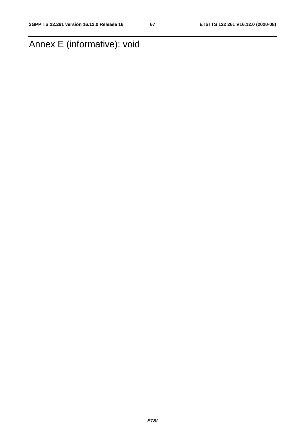# Annex E (informative): void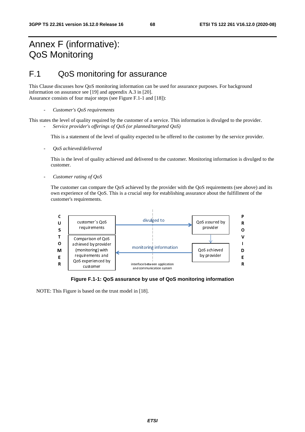# Annex F (informative): QoS Monitoring

# F.1 QoS monitoring for assurance

This Clause discusses how QoS monitoring information can be used for assurance purposes. For background information on assurance see [19] and appendix A.3 in [20]. Assurance consists of four major steps (see Figure F.1-1 and [18]):

This states the level of quality required by the customer of a service. This information is divulged to the provider. - *Service provider's offerings of QoS (or planned/targeted QoS)* 

This is a statement of the level of quality expected to be offered to the customer by the service provider.

- *QoS achieved/delivered* 

This is the level of quality achieved and delivered to the customer. Monitoring information is divulged to the customer.

- *Customer rating of QoS* 

The customer can compare the QoS achieved by the provider with the QoS requirements (see above) and its own experience of the QoS. This is a crucial step for establishing assurance about the fulfillment of the customer's requirements.



**Figure F.1-1: QoS assurance by use of QoS monitoring information** 

NOTE: This Figure is based on the trust model in [18].

<sup>-</sup> *Customer's QoS requirements*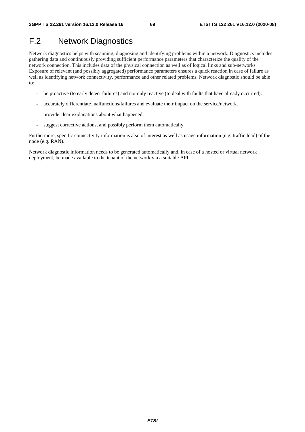# F.2 Network Diagnostics

Network diagnostics helps with scanning, diagnosing and identifying problems within a network. Diagnostics includes gathering data and continuously providing sufficient performance parameters that characterize the quality of the network connection. This includes data of the physical connection as well as of logical links and sub-networks. Exposure of relevant (and possibly aggregated) performance parameters ensures a quick reaction in case of failure as well as identifying network connectivity, performance and other related problems. Network diagnostic should be able to:

- be proactive (to early detect failures) and not only reactive (to deal with faults that have already occurred).
- accurately differentiate malfunctions/failures and evaluate their impact on the service/network.
- provide clear explanations about what happened.
- suggest corrective actions, and possibly perform them automatically.

Furthermore, specific connectivity information is also of interest as well as usage information (e.g. traffic load) of the node (e.g. RAN).

Network diagnostic information needs to be generated automatically and, in case of a hosted or virtual network deployment, be made available to the tenant of the network via a suitable API.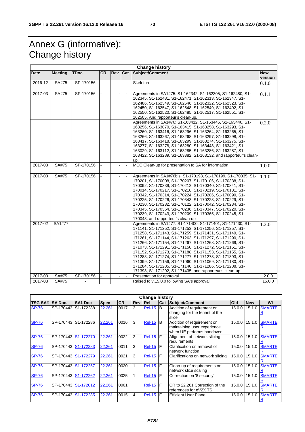# Annex G (informative): Change history

|             | <b>Change history</b> |             |           |     |                |                                                                                                                                                                                                                                                                                                                                                                                                                                                                                                                                                                                                                                                                           |                       |  |
|-------------|-----------------------|-------------|-----------|-----|----------------|---------------------------------------------------------------------------------------------------------------------------------------------------------------------------------------------------------------------------------------------------------------------------------------------------------------------------------------------------------------------------------------------------------------------------------------------------------------------------------------------------------------------------------------------------------------------------------------------------------------------------------------------------------------------------|-----------------------|--|
| Date        | <b>Meeting</b>        | <b>TDoc</b> | <b>CR</b> | Rev | Cat            | Subject/Comment                                                                                                                                                                                                                                                                                                                                                                                                                                                                                                                                                                                                                                                           | <b>New</b><br>version |  |
| 2016-12     | SA#75                 | SP-170156   |           |     | $\blacksquare$ | Skeleton                                                                                                                                                                                                                                                                                                                                                                                                                                                                                                                                                                                                                                                                  | 0.1.0                 |  |
| 2017-03     | <b>SA#75</b>          | SP-170156   |           |     | $\blacksquare$ | Agreements in SA1#75: S1-162342, S1-162305, S1-162480, S1-<br>162345, S1-162481, S1-162471, S1-162313, S1-162347, S1-<br>162486, S1-162349, S1-162546, S1-162322, S1-162323, S1-<br>162450, S1-162547, S1-162548, S1-162549, S1-162492, S1-<br>162550, S1-162520, S1-162485, S1-162517, S1-162551, S1-<br>162505. And rapporteur's clean-up.                                                                                                                                                                                                                                                                                                                              | 0.1.1                 |  |
|             |                       |             |           |     |                | Agreements in SA1#76: S1-163412, S1-163445, S1-163446, S1-<br>163256, S1-163070, S1-163415, S1-163258, S1-163293, S1-<br>163260, S1-163416, S1-163296, S1-163264, S1-163265, S1-<br>163266, S1-163267, S1-163268, S1-163297, S1-163298, S1-<br>163417, S1-163418, S1-163299, S1-163274, S1-163275, S1-<br>163277, S1-163278, S1-163280, S1-163448, S1-163421, S1-<br>163029, S1-163112, S1-163285, S1-163286, S1-163287, S1-<br>163422, S1-163289, S1-163382, S1-163132, and rapporteur's clean-<br>up.                                                                                                                                                                   | 0.2.0                 |  |
| 2017-03     | SA#75                 | SP-170156   |           |     | $\blacksquare$ | MCC Clean-up for presentation to SA for information                                                                                                                                                                                                                                                                                                                                                                                                                                                                                                                                                                                                                       | 1.0.0                 |  |
| 2017-03     | <b>SA#75</b>          | SP-170156   |           |     |                | Agreements in SA1#76bis: S1-170198, S1-170199, S1-170335, S1-<br>170201, S1-170008, S1-170207, S1-170106, S1-170338, S1-<br>170092, S1-170339, S1-170212, S1-170340, S1-170341, S1-<br>170014, S1-170217, S1-170218, S1-170219, S1-170131, S1-<br>170342, S1-170314, S1-170224, S1-170206, S1-170090, S1-<br>170225, S1-170226, S1-170343, S1-170228, S1-170229, S1-<br>170230, S1-170232, S1-170122, S1-170042, S1-170234, S1-<br>170345, S1-170364, S1-170236, S1-170347, S1-170220, S1-<br>170239, S1-170243, S1-170209, S1-170365, S1-170245, S1-<br>170048, and rapporteur's clean-up.                                                                               | 1.1.0                 |  |
| 2017-02     | SA1#77                |             |           |     |                | Agreements in SA1#77: S1-171400, S1-171401, S1-171430, S1-<br>171141, S1-171252, S1-171253, S1-171256, S1-171257, S1-<br>171258, S1-171143, S1-171259, S1-171431, S1-171149, S1-<br>171261, S1-171144, S1-171263, S1-171297, S1-171290, S1-<br>171266, S1-171154, S1-171267, S1-171268, S1-171269, S1-<br>171073, S1-171291, S1-171150, S1-171272, S1-171151, S1-<br>171152, S1-171273, S1-171188, S1-171153, S1-171155, S1-<br>171283, S1-171274, S1-171277, S1-171278, S1-171393, S1-<br>171399, S1-171156, S1-171060, S1-171069, S1-171180, S1-<br>171284, S1-171285, S1-171140, S1-171286, S1-171288, S1-<br>171398, S1-171292, S1-171435, and rapporteur's clean-up. | 1.2.0                 |  |
| $2017 - 03$ | SA#75                 | SP-170156   |           |     | $\blacksquare$ | Presentation for approval                                                                                                                                                                                                                                                                                                                                                                                                                                                                                                                                                                                                                                                 | 2.0.0                 |  |
| 2017-03     | SA#75                 |             |           |     |                | Raised to v.15.0.0 following SA's approval                                                                                                                                                                                                                                                                                                                                                                                                                                                                                                                                                                                                                                | 15.0.0                |  |

|                |                     |                     |             |           |                | <b>Change history</b> |            |                                                                                        |        |            |               |
|----------------|---------------------|---------------------|-------------|-----------|----------------|-----------------------|------------|----------------------------------------------------------------------------------------|--------|------------|---------------|
| <b>TSG SA#</b> | <b>SA Doc.</b>      | SA <sub>1</sub> Doc | <b>Spec</b> | <b>CR</b> | <b>Rev Rel</b> |                       | <b>Cat</b> | Subject/Comment                                                                        | Old    | <b>New</b> | WI            |
| <b>SP-76</b>   | SP-170443 S1-172288 |                     | 22.261      | 0017      | 3              | <b>Rel-15</b>         | B          | Addition of requirement on<br>charging for the tenant of the<br>slice                  | 15.0.0 | 15.1.0     | <b>SMARTE</b> |
| <b>SP-76</b>   | SP-170443 S1-172286 |                     | 22.261      | 0016      | 3              | <b>Rel-15</b>         | l B        | Addition of requirement on<br>maintaining user experience<br>when UE performs handover | 15.0.0 | 15.1.0     | <b>SMARTE</b> |
| <b>SP-76</b>   | SP-170443 S1-172270 |                     | 22.261      | 0022      | 2              | <b>Rel-15 F</b>       |            | Alignment of network slicing<br>requirements                                           | 15.0.0 | 15.1.0     | <b>SMARTE</b> |
| <b>SP-76</b>   | SP-170443           | S1-172283           | 22.261      | 0011      | 3              | <b>Rel-15</b>         | F          | Clarification on removal of<br>network function                                        | 15.0.0 | 15.1.0     | <b>SMARTE</b> |
| <b>SP-76</b>   | SP-170443 S1-172279 |                     | 22.261      | 0021      | 3              | <b>Rel-15 F</b>       |            | Clarifications on network slicing                                                      | 15.0.0 | 15.1.0     | <b>SMARTE</b> |
| <b>SP-76</b>   | SP-170443           | S1-172257           | 22.261      | 0020      |                | <b>Rel-15 F</b>       |            | Clean-up of requirements on<br>network slice scaling                                   | 15.0.0 | 15.1.0     | <b>SMARTE</b> |
| <b>SP-76</b>   | SP-170443           | S1-172262           | 22.261      | 0025      |                | <b>Rel-15</b>         | F          | Correction on '8 securtiy'                                                             | 15.0.0 | 15.1.0     | <b>SMARTE</b> |
| <b>SP-76</b>   | SP-170443 S1-172012 |                     | 22.261      | 0001      |                | $Rel-15$              | F          | CR to 22.261 Correction of the<br>references for eV2X TS                               | 15.0.0 | 15.1.0     | <b>SMARTE</b> |
| <b>SP-76</b>   | SP-170443           | S1-172285           | 22.261      | 0015      | 4              | $Rel-15$ $F$          |            | <b>Efficient User Plane</b>                                                            | 15.0.0 | 15.1.0     | <b>SMARTE</b> |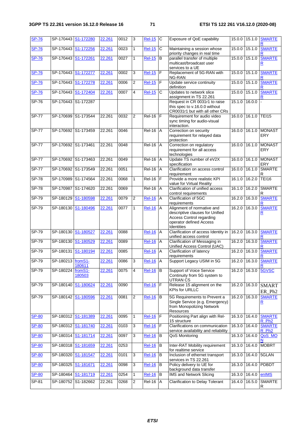| <b>SP-76</b> | SP-170443           | S1-172280           | 22.261 | 0012 | 3              | <b>Rel-15</b>   | С              | Exposure of QoE capability                                                                                                                | 15.0.0 | 15.1.0          | <b>SMARTE</b>                      |
|--------------|---------------------|---------------------|--------|------|----------------|-----------------|----------------|-------------------------------------------------------------------------------------------------------------------------------------------|--------|-----------------|------------------------------------|
| <b>SP-76</b> | SP-170443           | S1-172256           | 22.261 | 0023 | $\mathbf{1}$   | <b>Rel-15</b>   | C              | Maintaining a session whose<br>priority changes in real time                                                                              | 15.0.0 | 15.1.0          | <b>SMARTE</b>                      |
| <b>SP-76</b> | SP-170443           | S1-172261           | 22.261 | 0027 | $\mathbf{1}$   | <b>Rel-15</b>   | B              | parallel transfer of multiple<br>multicast/broadcast user<br>services to a UE                                                             |        | 15.0.0 15.1.0   | <b>SMARTE</b><br>R                 |
| <b>SP-76</b> | SP-170443           | S1-172277           | 22.261 | 0002 | 3              | <b>Rel-15</b>   | F              | Replacement of 5G-RAN with<br>NG-RAN                                                                                                      | 15.0.0 | 15.1.0          | <b>SMARTE</b>                      |
| <b>SP-76</b> | SP-170443           | S1-172278           | 22.261 | 0006 | $\overline{2}$ | <b>Rel-15</b>   | F              | Update service continuity<br>definition                                                                                                   | 15.0.0 | 15.1.0          | <b>SMARTE</b>                      |
| <b>SP-76</b> | SP-170443           | S1-172404           | 22.261 | 0007 | 4              | <b>Rel-15</b>   | C              | Updates to network slice<br>assignment in TS 22.261                                                                                       | 15.0.0 | 15.1.0          | <b>SMARTE</b>                      |
| $SP-76$      | SP-170443 S1-172287 |                     |        |      |                |                 |                | Request in CR 0031r1 to raise<br>this spec to v.16.0.0 without<br>CR0031r1 but with all other CRs                                         | 15.1.0 | 16.0.0          |                                    |
| $SP-77$      | SP-170699           | S1-173544           | 22.261 | 0032 | $\overline{2}$ | <b>Rel-16</b>   | F              | Requirement for audio video<br>sync timing for audio-visual<br>interaction.                                                               | 16.0.0 | 16.1.0          | <b>TEI15</b>                       |
| <b>SP-77</b> |                     | SP-170692 S1-173459 | 22.261 | 0046 |                | <b>Rel-16 A</b> |                | Correction on security<br>requirement for relayed data<br>protection                                                                      |        | 16.0.0 16.1.0   | <b>MONAST</b><br><b>ERY</b>        |
| <b>SP-77</b> | SP-170692 S1-173461 |                     | 22.261 | 0048 |                | $ReI-16$ $A$    |                | Correction on regulatory<br>requirement for all access<br>technologies                                                                    | 16.0.0 | 16.1.0          | <b>MONAST</b><br><b>ERY</b>        |
| <b>SP-77</b> | SP-170692 S1-173463 |                     | 22.261 | 0049 |                | <b>Rel-16</b>   | $\overline{A}$ | Update TS number of eV2X<br>specification                                                                                                 | 16.0.0 | 16.1.0          | <b>MONAST</b><br>ERY               |
| <b>SP-77</b> | SP-170692 S1-173549 |                     | 22.261 | 0051 |                | <b>Rel-16 A</b> |                | Clarification on access control<br>requirement                                                                                            | 16.0.0 | 16.1.0          | <b>SMARTE</b><br>R                 |
| <b>SP-78</b> | SP-170989           | S1-174564           | 22.261 | 0068 | $\mathbf{1}$   | Rel-16          | F              | Provide a more realistic KPI<br>value for Virtual Reality                                                                                 | 16.1.0 | 16.2.0          | <b>TEI16</b>                       |
| $SP-78$      | SP-170987 S1-174620 |                     | 22.261 | 0069 |                | <b>Rel-16</b>   | A              | Clarification of unified access<br>control requirements                                                                                   | 16.1.0 | 16.2.0          | <b>SMARTE</b><br>R                 |
| $SP-79$      | SP-180129           | S1-180598           | 22.261 | 0079 | 2              | <b>Rel-16</b>   | Α              | Clarification of 5GC<br>requirements                                                                                                      | 16.2.0 | 16.3.0          | <b>SMARTE</b>                      |
| $SP-79$      | SP-180130           | S1-180496           | 22.261 | 0077 | 1              | <b>Rel-16</b>   | Α              | Alignment of normative and<br>descriptive clauses for Unified<br><b>Access Control regarding</b><br>operator defined Access<br>Identities | 16.2.0 | 16.3.0          | <b>SMARTE</b><br>R                 |
| $SP-79$      | SP-180130           | S1-180527           | 22.261 | 0088 |                | <b>Rel-16</b>   | A              | Clarification of access Identity in<br>unified access control                                                                             | 16.2.0 | 16.3.0          | <b>SMARTE</b>                      |
| SP-79        | SP-180130           | S1-180529           | 22.261 | 0089 |                | <b>Rel-16</b>   | Α              | Clarification of Messaging in<br>Unified Access Control (UAC)                                                                             | 16.2.0 | 16.3.0          | <b>SMARTE</b>                      |
| SP-79        | SP-180131           | S1-180194           | 22.261 | 0085 |                | <b>Rel-16</b>   | A              | Clarification of latency<br>requirements                                                                                                  | 16.2.0 | 16.3.0          | <b>SMARTE</b>                      |
| $SP-79$      | SP-180213 fromS1-   | 180611              | 22.261 | 0086 | 3              | <b>Rel-16</b>   | Α              | Support Legacy USIM in 5G                                                                                                                 | 16.2.0 | 16.3.0          | <b>SMARTE</b>                      |
| SP-79        | SP-180224           | fromS1-<br>180503   | 22.261 | 0075 | 4              | <b>Rel-16</b>   | l B            | Support of Voice Service<br>Continuity from 5G system to<br><b>UTRAN CS</b>                                                               |        | $16.2.0$ 16.3.0 | 5GVSC                              |
| SP-79        | SP-180140           | S1-180624           | 22.261 | 0090 |                | <b>Rel-16</b>   | F              | Release 15 alignment on the<br><b>KPIs for URLLC</b>                                                                                      | 16.2.0 | 16.3.0          | <b>SMART</b><br>ER_Ph <sub>2</sub> |
| $SP-79$      | SP-180142           | S1-180596           | 22.261 | 0081 | $\overline{2}$ | <b>Rel-16</b>   | B              | 5G Requirements to Prevent a<br>Single Service (e.g. Emergency)<br>from Monopolizing Network<br><b>Resources</b>                          |        | 16.2.0 16.3.0   | <b>SMARTE</b><br><u>R</u>          |
| <b>SP-80</b> |                     | SP-180312 S1-181389 | 22.261 | 0095 | 1              | <b>Rel-16</b>   | $\mathsf F$    | Positioning Part align with Rel-<br>15 structure                                                                                          | 16.3.0 | 16.4.0          | <b>SMARTE</b><br>R_Ph <sub>2</sub> |
| <b>SP-80</b> |                     | SP-180312 S1-181740 | 22.261 | 0103 | 3              | <b>Rel-16</b>   | F              | Clarifications on communication<br>service availability and reliability                                                                   |        | 16.3.0 16.4.0   | <b>SMARTE</b><br>R Ph <sub>2</sub> |
| <b>SP-80</b> | SP-180314           | S1-181714           | 22.261 | 0097 | 3              | <b>Rel-16</b>   | B              | QoS Monitoring                                                                                                                            | 16.3.0 | 16.4.0          | QoS_MO<br>N                        |
| <b>SP-80</b> |                     | SP-180318 S1-181659 | 22.261 | 0253 |                | <b>Rel-16</b>   | B              | Inter-RAT Mobility requirement<br>for realtime service                                                                                    | 16.3.0 | 16.4.0          | <b>MOBRT</b>                       |
| <b>SP-80</b> | SP-180320           | S1-181547           | 22.261 | 0101 | 3              | <b>Rel-16</b>   | B              | Inclusion of ethernet transport<br>services in TS 22.261                                                                                  | 16.3.0 | 16.4.0          | 5GLAN                              |
| <b>SP-80</b> |                     | SP-180325 S1-181671 | 22.261 | 0098 | 3              | <b>Rel-16</b>   | B              | Policy delivery to UE for<br>background data transfer                                                                                     |        | 16.3.0 16.4.0   | PDBDT                              |
| <b>SP-80</b> |                     | SP-180464 S1-181719 | 22.261 | 0254 | 1              | <b>Rel-16</b>   | В              | <b>IMS and Network Slicing</b>                                                                                                            | 16.3.0 | 16.4.0          | enIMS                              |
| $SP-81$      |                     | SP-180752 S1-182662 | 22.261 | 0268 | $\overline{2}$ | $Rel-16$ $A$    |                | Clarification to Delay Tolerant                                                                                                           | 16.4.0 | 16.5.0          | <b>SMARTE</b><br>R                 |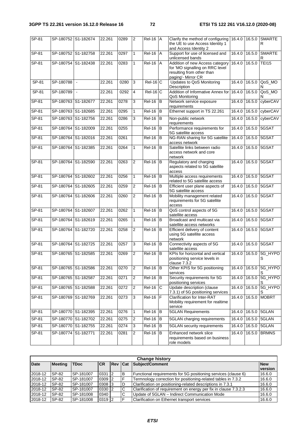| SP-81   |                     | SP-180752 S1-182674 | 22.261 | 0289 | $\overline{2}$ | <b>Rel-16</b> A     |                | Clarify the method of configuring<br>the UE to use Access Identity 1<br>and Access Identity 2                         | 16.4.0 | 16.5.0 | <b>SMARTE</b><br>R  |
|---------|---------------------|---------------------|--------|------|----------------|---------------------|----------------|-----------------------------------------------------------------------------------------------------------------------|--------|--------|---------------------|
| SP-81   |                     | SP-180752 S1-182758 | 22.261 | 0297 | $\mathbf{1}$   | <b>Rel-16</b>       | A              | Support for use of licensed and<br>unlicensed bands                                                                   | 16.4.0 | 16.5.0 | <b>SMARTE</b><br>R  |
| SP-81   | SP-180754 S1-182438 |                     | 22.261 | 0283 | $\mathbf{1}$   | <b>Rel-16</b>       | A              | Addition of new Access category<br>for 'MO signalling on RRC level<br>resulting from other than<br>paging'- Mirror CR | 16.4.0 | 16.5.0 | <b>TEI15</b>        |
| $SP-81$ | SP-180788           | $\blacksquare$      | 22.261 | 0280 | 3              | $Rel-16$ C          |                | Updates to QoS Monitoring<br>Description                                                                              | 16.4.0 | 16.5.0 | QoS_MO<br>N         |
| $SP-81$ | SP-180789           | $\omega$            | 22.261 | 0292 | $\overline{4}$ | $Rel-16$ C          |                | Addition of Informative Annex for<br>QoS Monitoring                                                                   | 16.4.0 | 16.5.0 | QoS_MO<br>N         |
| SP-81   | SP-180763 S1-182677 |                     | 22.261 | 0278 | 3              | <b>Rel-16</b>       | B              | Network service exposure<br>requirements                                                                              | 16.4.0 | 16.5.0 | cyberCAV            |
| SP-81   | SP-180763 S1-182685 |                     | 22.261 | 0295 | $\mathbf{1}$   | $Rel-16$            | $\overline{B}$ | Ethernet support in TS 22.261                                                                                         | 16.4.0 | 16.5.0 | cyberCAV            |
| SP-81   | SP-180763 S1-182756 |                     | 22.261 | 0286 | 3              | <b>Rel-16</b>       | B              | Non-public network<br>requirements                                                                                    | 16.4.0 | 16.5.0 | cyberCAV            |
| SP-81   | SP-180764 S1-182009 |                     | 22.261 | 0255 |                | Rel-16              | $\, {\bf B}$   | Performance requirements for<br>5G satellite access                                                                   | 16.4.0 | 16.5.0 | 5GSAT               |
| SP-81   | SP-180764 S1-182016 |                     | 22.261 | 0261 |                | <b>Rel-16</b>       | $\overline{B}$ | NG-RAN sharing for 5G satellite<br>access network                                                                     | 16.4.0 | 16.5.0 | 5GSAT               |
| SP-81   | SP-180764           | S1-182385           | 22.261 | 0264 | $\mathbf{1}$   | <b>Rel-16</b>       | B              | Satellite links between radio<br>access network and core<br>network                                                   | 16.4.0 | 16.5.0 | 5GSAT               |
| SP-81   |                     | SP-180764 S1-182590 | 22.261 | 0263 | $\overline{2}$ | <b>Rel-16</b>       | B              | Regulatory and charging<br>aspects related to 5G satellite<br>access                                                  | 16.4.0 | 16.5.0 | 5GSAT               |
| SP-81   |                     | SP-180764 S1-182602 | 22.261 | 0256 | 1              | <b>Rel-16</b>       | B              | Multiple access requirements<br>related to 5G satellite access                                                        | 16.4.0 |        | 16.5.0 5GSAT        |
| SP-81   | SP-180764 S1-182605 |                     | 22.261 | 0259 | $\overline{2}$ | $Rel-16$            | B              | Efficient user plane aspects of<br>5G satellite access                                                                | 16.4.0 | 16.5.0 | 5GSAT               |
| SP-81   | SP-180764           | S1-182606           | 22.261 | 0260 | $\overline{2}$ | $\overline{Rel-16}$ | B              | Mobility management related<br>requirements for 5G satellite<br>access                                                | 16.4.0 | 16.5.0 | 5GSAT               |
| SP-81   | SP-180764 S1-182607 |                     | 22.261 | 0262 | 1              | $Rel-16$ B          |                | QoS control aspects of 5G<br>satellite access                                                                         | 16.4.0 |        | 16.5.0 5GSAT        |
| SP-81   |                     | SP-180764 S1-182619 | 22.261 | 0265 | $\mathbf{1}$   | <b>Rel-16</b>       | B              | Broadcast and multicast via<br>satellite access networks                                                              | 16.4.0 | 16.5.0 | 5GSAT               |
| SP-81   |                     | SP-180764 S1-182720 | 22.261 | 0258 | $\overline{2}$ | <b>Rel-16</b>       | B              | Efficient delivery of content<br>using 5G satellite access<br>network                                                 | 16.4.0 | 16.5.0 | 5GSAT               |
| SP-81   |                     | SP-180764 S1-182725 | 22.261 | 0257 | 3              | $ReI-16$ B          |                | Connectivity aspects of 5G<br>satellite access                                                                        | 16.4.0 |        | 16.5.0 5GSAT        |
| SP-81   |                     | SP-180765 S1-182585 | 22.261 | 0269 | $\overline{2}$ | <b>Rel-16</b>       | B              | KPIs for horizontal and vertical<br>positioning service levels in<br>clause 7.3.2                                     | 16.4.0 | 16.5.0 | 5G_HYPO<br>S        |
| SP-81   | SP-180765 S1-182586 |                     | 22.261 | 0270 | $\overline{2}$ | $ReI-16$ B          |                | Other KPIS for 5G positioning<br>services                                                                             | 16.4.0 |        | 16.5.0 5G_HYPO<br>S |
| SP-81   | SP-180765 S1-182587 |                     | 22.261 | 0271 | $\overline{c}$ | <b>Rel-16</b>       | B              | Security requirements for 5G<br>positioning services                                                                  | 16.4.0 |        | 16.5.0 5G_HYPO      |
| $SP-81$ |                     | SP-180765 S1-182588 | 22.261 | 0272 | $\overline{c}$ | <b>Rel-16</b>       | С              | Update description (clause<br>7.3.1) of 5G positioning services                                                       | 16.4.0 |        | 16.5.0 5G_HYPO<br>S |
| SP-81   | SP-180769 S1-182769 |                     | 22.261 | 0273 | 3              | <b>Rel-16</b>       | $\mathsf F$    | Clarification for Inter-RAT<br>Mobility requirement for realtime<br>service                                           | 16.4.0 | 16.5.0 | <b>MOBRT</b>        |
| SP-81   |                     | SP-180770 S1-182395 | 22.261 | 0276 | $\mathbf{1}$   | $Rel-16$ B          |                | <b>5GLAN Requirements</b>                                                                                             | 16.4.0 |        | 16.5.0 5GLAN        |
| $SP-81$ |                     | SP-180770 S1-182702 | 22.261 | 0275 | 2              | $Rel-16$            | B              | 5GLAN charging requirements                                                                                           | 16.4.0 | 16.5.0 | 5GLAN               |
| SP-81   |                     | SP-180770 S1-182755 | 22.261 | 0274 | 3              | Rel-16              | В              | 5GLAN security requirements                                                                                           | 16.4.0 |        | 16.5.0 5GLAN        |
| SP-81   | SP-180774 S1-182771 |                     | 22.261 | 0281 | $\overline{2}$ | $Rel-16$ B          |                | Enhanced network slice<br>requirements based on business<br>role models                                               | 16.4.0 | 16.5.0 | <b>BRMNS</b>        |

| <b>Change history</b> |                |             |            |                |   |                                                                  |                       |  |
|-----------------------|----------------|-------------|------------|----------------|---|------------------------------------------------------------------|-----------------------|--|
| <b>Date</b>           | <b>Meeting</b> | <b>TDoc</b> | <b>CR</b>  | <b>Rev Cat</b> |   | Subject/Comment                                                  | <b>New</b><br>version |  |
| 2018-12               | SP-82          | ISP-181007  | $0331$   2 |                | B | Functional requirements for 5G positioning services (clause 6)   | 16.6.0                |  |
| 2018-12               | SP-82          | SP-181007   | $0309$ 2   |                |   | Termnology correction for positioning-related tables in 7.3.2    | 16.6.0                |  |
| 2018-12               | SP-82          | SP-181007   | 0308 3     |                | D | Clarification on positioning-related descriptions in 7.3.1       | 16.6.0                |  |
| 2018-12               | SP-82          | SP-181007   | $0330$   2 |                | C | Clarification of requirement on energy per fix in clause 7.3.2.3 | 16.6.0                |  |
| 2018-12               | SP-82          | SP-181008   | 0340       |                | C | Update of 5GLAN - Indirect Communication Mode                    | 16.6.0                |  |
| 2018-12               | SP-82          | SP-181008   | 0319 2     |                | ⊏ | Clarification on Ethernet transport services                     | 16.6.0                |  |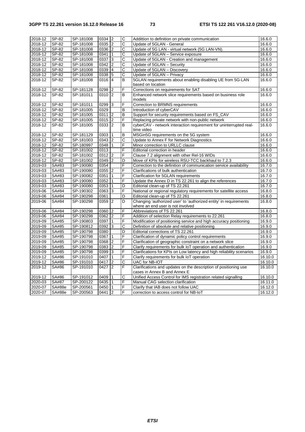| 2018-12 | SP-82  | SP-181008 | $0334$ 2   |                | C                       | Addittion to definition on private communication                      | 16.6.0  |
|---------|--------|-----------|------------|----------------|-------------------------|-----------------------------------------------------------------------|---------|
| 2018-12 | SP-82  | SP-181008 | 0335 2     |                | C                       | Update of 5GLAN - General                                             | 16.6.0  |
| 2018-12 | SP-82  | SP-181008 | 0336 2     |                | Ċ                       | Update of 5G LAN - virtual network (5G LAN-VN).                       | 16.6.0  |
| 2018-12 | SP-82  | SP-181008 | 0341       | $\mathbf{1}$   | С                       | Update of 5GLAN - Service exposure                                    | 16.6.0  |
| 2018-12 | SP-82  | SP-181008 | 0337       | ما             | C                       | Update of 5GLAN - Creation and management                             | 16.6.0  |
| 2018-12 | SP-82  | SP-181008 | 0342       | $\overline{2}$ | С                       | Update of 5GLAN - Security                                            | 16.6.0  |
| 2018-12 | SP-82  | SP-181008 | 0339       | $\overline{4}$ | $\overline{\text{c}}$   | Update of 5GLAN - Discovery                                           | 16.6.0  |
| 2018-12 | SP-82  | SP-181008 | 0338       | 5              | С                       | Update of 5GLAN - Privacy                                             | 16.6.0  |
|         | SP-82  |           | 0316       | 4              | B                       | 5GLAN requirements about enabling disabling UE from 5G-LAN            |         |
| 2018-12 |        | SP-181008 |            |                |                         | based on location                                                     | 16.6.0  |
| 2018-12 | SP-82  | SP-181128 | 0298       | $\overline{2}$ | F                       | Corrections on requirements for SAT                                   | 16.6.0  |
| 2018-12 | SP-82  | SP-181011 | 0310 2     |                | В                       | Enhanced network slice requirements based on business role            | 16.6.0  |
|         |        |           |            |                |                         | models                                                                |         |
| 2018-12 | SP-82  | SP-181011 | 0299       | 3              | F                       | Correction to BRMNS requirements                                      | 16.6.0  |
| 2018-12 | SP-82  | SP-181005 | 0329       |                | B                       | Introduction of cyberCAV                                              | 16.6.0  |
| 2018-12 | SP-82  | SP-181005 | $0311$   2 |                | B                       | Support for security requirements based on FS_CAV                     | 16.6.0  |
| 2018-12 | SP-82  | SP-181005 | 0315       | $\overline{2}$ | F                       | Replacing private network with non-public network                     | 16.6.0  |
| 2018-12 | SP-82  | SP-181005 | $0333$ 2   |                | B                       | cyberCAV - network interaction requirement for uninterrupted real-    | 16.6.0  |
|         |        |           |            |                |                         | time video                                                            |         |
| 2018-12 | SP-82  | SP-181129 | 0303       | $\mathbf{1}$   | B                       | MSGin5G requirements on the 5G system                                 | 16.6.0  |
| 2018-12 | SP-82  | SP-181003 | $0343$ 2   |                | С                       | Update to Annex F for Network Diagnostics                             | 16.6.0  |
| 2018-12 | SP-82  | SP-180997 | 0348       | $\vert$ 1      | F                       | Minor correction to URLLC clause                                      | 16.6.0  |
| 2018-12 | SP-82  | SP-181002 | 0313       |                | F                       | Editorial correction in header                                        | 16.6.0  |
| 2018-12 | SP-82  | SP-181002 | 0312       | $\overline{2}$ | F                       | Clause 7.2 alignment with other Rel-16 WIDs                           | 16.6.0  |
| 2018-12 | SP-82  | SP-181002 | 0349       | $\overline{2}$ | D                       | Move of KPIs for wireless RSU-TCC backhaul to 7.2.3                   | 16.6.0  |
| 2019-03 | SA#83  | SP-190080 | 0354       |                | F                       | Correction to the definition of communication service availability    | 16.7.0  |
| 2019-03 | SA#83  | SP-190080 | 0355       | $\overline{2}$ | F                       | Clarifications of bulk authentication                                 | 16.7.0  |
| 2019-03 | SA#83  | SP-190082 | 0351       |                | F                       | Clarification for 5GLAN requirements                                  | 16.7.0  |
| 2019-03 | SA#83  | SP-190080 | 0352       | 1              | F                       | Update the Annex D in TS 22.261 to align the references               | 16.7.0  |
| 2019-03 | SA#83  | SP-190080 | 0353       | $\mathbf{1}$   | D                       | Editorial clean-up of TS 22.261                                       | 16.7.0  |
| 2019-06 | SA#84  | SP-190302 | 0363       | 3              | F                       | National or regional regulatory requirements for satellite access     | 16.8.0  |
| 2019-06 | SA#84  | SP-190298 | 0361       |                | D                       | Editorial clean-up of TS 22.261                                       | 16.8.0  |
| 2019-06 | SA#84  | SP-190298 | 0359       | 2              | D                       | Changing 'authorized user' to 'authorized entity' in requirements     | 16.8.0  |
|         |        |           |            |                |                         | where an end user is not involved                                     |         |
| 2019-06 | SA#84  | SP-190298 | 0360       | $\overline{2}$ | F                       | Abbreviations of TS 22.261                                            | 16.8.0  |
| 2019-06 | SA#84  | SP-190298 | $0362$   2 |                | F                       | Addition of selection Relay requirements to 22.261                    | 16.8.0  |
| 2019-09 | SA#85  | SP-190803 | 0397       | $\mathbf{1}$   | F                       | Modification of positioning service and high accuracy positioning     | 16.9.0  |
| 2019-09 | SA#85  | SP-190812 | 0392       | 3              | С                       | Definition of absolute and relative positioning                       | 16.9.0  |
| 2019-09 | SA#85  | SP-190798 | 0380       |                | D                       | Editorial corrections of TS 22.261                                    | 16.9.0  |
| 2019-09 | SA#85  | SP-190798 | 0367       | $\mathbf{1}$   | F                       | Clarification of dynamic policy control requirements                  | 16.9.0  |
| 2019-09 | SA#85  | SP-190798 | 0368       | $\overline{2}$ | F                       | Clarification of geographic constraint on a network slice             | 16.9.0  |
| 2019-09 | SA#85  | SP-190798 | 0383 2     |                | F                       | Clarify requirements for bulk IoT operation and authentication        | 16.9.0  |
| 2019-09 | SA#85  | SP-190798 | 0399       | 3              | F                       | Clarifications for KPIs on Low latency and high reliability scenarios | 16.9.0  |
| 2019-12 | SA#86  | SP-191010 | 0407       | 1              | F                       | Clarify requirements for bulk IoT operation                           | 16.10.0 |
| 2019-12 | SA#86  | SP-191010 | 0417       | $\overline{2}$ | $\overline{\mathsf{C}}$ | <b>UAC</b> for NB-IOT                                                 | 16.10.0 |
| 2019-12 | SA#86  | SP-191010 | 0427       | $\overline{2}$ | F                       | Clarifications and updates on the description of positioning use      | 16.10.0 |
|         |        |           |            |                |                         | cases in Annex B and Annex E                                          |         |
| 2019-12 | SA#86  | SP-191012 | 0409       | $\mathbf{1}$   | C                       | Unified Access Control for IMS registration related signalling        | 16.10.0 |
| 2020-03 | SA#87  | SP-200122 | 0435       | $\overline{1}$ | F                       | Manual CAG selection clarification                                    | 16.11.0 |
| 2020-07 | SA#88e | SP-200561 | 0450       | $\vert$ 1      | F                       | Clarify that IAB does not follow UAC                                  | 16.12.0 |
| 2020-07 | SA#88e | SP-200563 | $0441$ 2   |                | F                       | correction to access control for NB-IoT                               | 16.12.0 |
|         |        |           |            |                |                         |                                                                       |         |